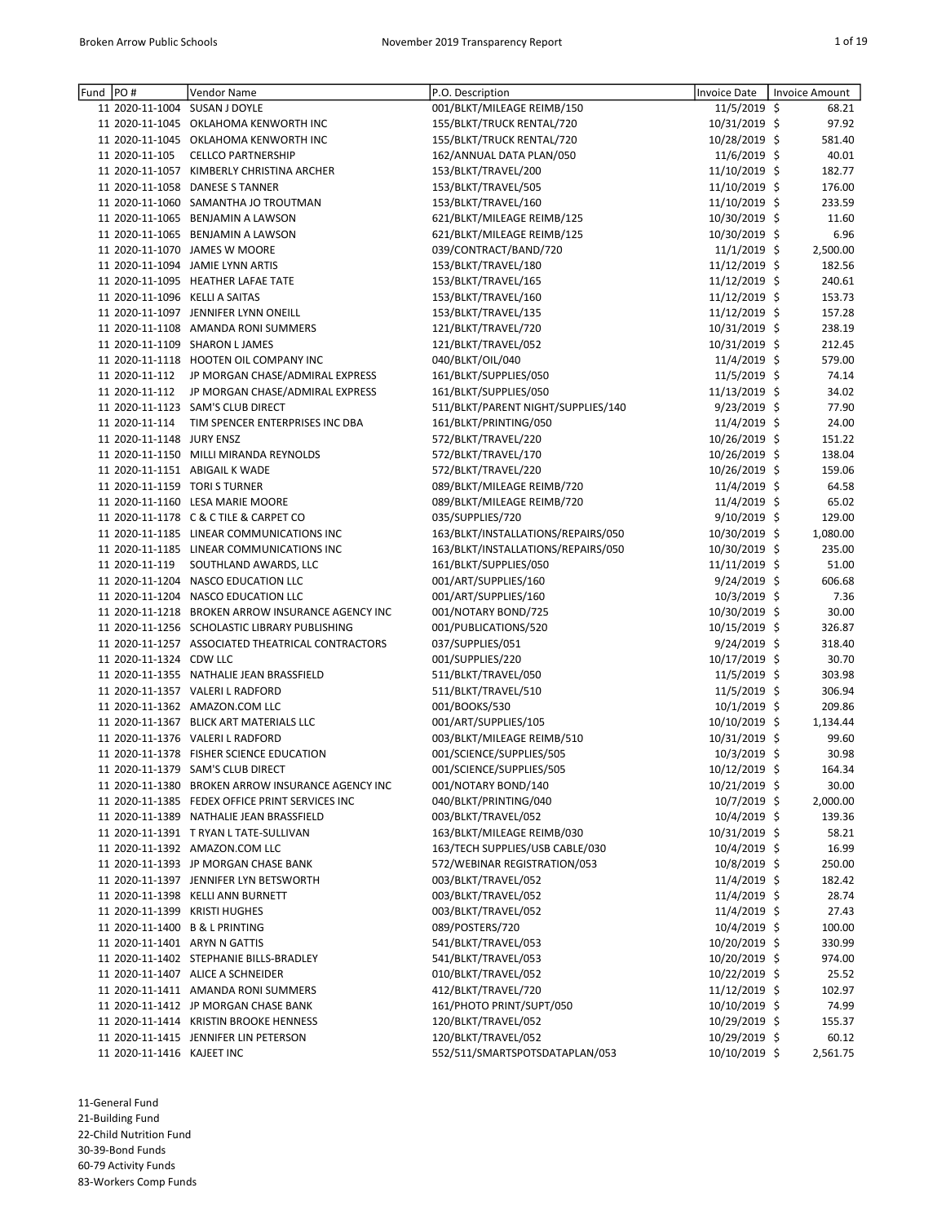| Fund | PO#                            | Vendor Name                                       | P.O. Description                   | Invoice Date   | Invoice Amount |
|------|--------------------------------|---------------------------------------------------|------------------------------------|----------------|----------------|
|      |                                | 11 2020-11-1004 SUSAN J DOYLE                     | 001/BLKT/MILEAGE REIMB/150         | 11/5/2019 \$   | 68.21          |
|      |                                | 11 2020-11-1045 OKLAHOMA KENWORTH INC             | 155/BLKT/TRUCK RENTAL/720          | 10/31/2019 \$  | 97.92          |
|      |                                | 11 2020-11-1045 OKLAHOMA KENWORTH INC             | 155/BLKT/TRUCK RENTAL/720          | 10/28/2019 \$  | 581.40         |
|      | 11 2020-11-105                 | <b>CELLCO PARTNERSHIP</b>                         | 162/ANNUAL DATA PLAN/050           | 11/6/2019 \$   | 40.01          |
|      |                                | 11 2020-11-1057 KIMBERLY CHRISTINA ARCHER         | 153/BLKT/TRAVEL/200                | 11/10/2019 \$  | 182.77         |
|      |                                | 11 2020-11-1058 DANESE S TANNER                   | 153/BLKT/TRAVEL/505                | 11/10/2019 \$  | 176.00         |
|      |                                | 11 2020-11-1060 SAMANTHA JO TROUTMAN              | 153/BLKT/TRAVEL/160                | 11/10/2019 \$  | 233.59         |
|      |                                | 11 2020-11-1065 BENJAMIN A LAWSON                 | 621/BLKT/MILEAGE REIMB/125         | 10/30/2019 \$  | 11.60          |
|      |                                | 11 2020-11-1065 BENJAMIN A LAWSON                 | 621/BLKT/MILEAGE REIMB/125         | 10/30/2019 \$  | 6.96           |
|      |                                | 11 2020-11-1070 JAMES W MOORE                     | 039/CONTRACT/BAND/720              | $11/1/2019$ \$ | 2,500.00       |
|      |                                | 11 2020-11-1094 JAMIE LYNN ARTIS                  | 153/BLKT/TRAVEL/180                | 11/12/2019 \$  | 182.56         |
|      |                                | 11 2020-11-1095 HEATHER LAFAE TATE                | 153/BLKT/TRAVEL/165                | 11/12/2019 \$  | 240.61         |
|      | 11 2020-11-1096 KELLI A SAITAS |                                                   | 153/BLKT/TRAVEL/160                | 11/12/2019 \$  | 153.73         |
|      |                                | 11 2020-11-1097 JENNIFER LYNN ONEILL              | 153/BLKT/TRAVEL/135                | 11/12/2019 \$  | 157.28         |
|      |                                | 11 2020-11-1108 AMANDA RONI SUMMERS               | 121/BLKT/TRAVEL/720                | 10/31/2019 \$  | 238.19         |
|      |                                | 11 2020-11-1109 SHARON LJAMES                     | 121/BLKT/TRAVEL/052                | 10/31/2019 \$  | 212.45         |
|      |                                | 11 2020-11-1118 HOOTEN OIL COMPANY INC            | 040/BLKT/OIL/040                   | 11/4/2019 \$   | 579.00         |
|      | 11 2020-11-112                 | JP MORGAN CHASE/ADMIRAL EXPRESS                   | 161/BLKT/SUPPLIES/050              | 11/5/2019 \$   | 74.14          |
|      | 11 2020-11-112                 | JP MORGAN CHASE/ADMIRAL EXPRESS                   | 161/BLKT/SUPPLIES/050              | 11/13/2019 \$  | 34.02          |
|      |                                | 11 2020-11-1123 SAM'S CLUB DIRECT                 | 511/BLKT/PARENT NIGHT/SUPPLIES/140 | $9/23/2019$ \$ | 77.90          |
|      | 11 2020-11-114                 | TIM SPENCER ENTERPRISES INC DBA                   | 161/BLKT/PRINTING/050              | 11/4/2019 \$   | 24.00          |
|      | 11 2020-11-1148 JURY ENSZ      |                                                   | 572/BLKT/TRAVEL/220                | 10/26/2019 \$  | 151.22         |
|      |                                | 11 2020-11-1150 MILLI MIRANDA REYNOLDS            | 572/BLKT/TRAVEL/170                | 10/26/2019 \$  | 138.04         |
|      |                                | 11 2020-11-1151 ABIGAIL K WADE                    | 572/BLKT/TRAVEL/220                | 10/26/2019 \$  | 159.06         |
|      |                                | 11 2020-11-1159 TORI S TURNER                     | 089/BLKT/MILEAGE REIMB/720         | 11/4/2019 \$   | 64.58          |
|      |                                | 11 2020-11-1160 LESA MARIE MOORE                  | 089/BLKT/MILEAGE REIMB/720         | 11/4/2019 \$   | 65.02          |
|      |                                | 11 2020-11-1178 C & C TILE & CARPET CO            | 035/SUPPLIES/720                   | 9/10/2019 \$   | 129.00         |
|      |                                | 11 2020-11-1185 LINEAR COMMUNICATIONS INC         | 163/BLKT/INSTALLATIONS/REPAIRS/050 | 10/30/2019 \$  | 1,080.00       |
|      |                                | 11 2020-11-1185 LINEAR COMMUNICATIONS INC         | 163/BLKT/INSTALLATIONS/REPAIRS/050 | 10/30/2019 \$  | 235.00         |
|      | 11 2020-11-119                 | SOUTHLAND AWARDS, LLC                             | 161/BLKT/SUPPLIES/050              | 11/11/2019 \$  | 51.00          |
|      |                                | 11 2020-11-1204 NASCO EDUCATION LLC               | 001/ART/SUPPLIES/160               | $9/24/2019$ \$ | 606.68         |
|      |                                | 11 2020-11-1204 NASCO EDUCATION LLC               | 001/ART/SUPPLIES/160               | 10/3/2019 \$   | 7.36           |
|      |                                | 11 2020-11-1218 BROKEN ARROW INSURANCE AGENCY INC | 001/NOTARY BOND/725                | 10/30/2019 \$  | 30.00          |
|      |                                | 11 2020-11-1256 SCHOLASTIC LIBRARY PUBLISHING     | 001/PUBLICATIONS/520               | 10/15/2019 \$  | 326.87         |
|      |                                | 11 2020-11-1257 ASSOCIATED THEATRICAL CONTRACTORS | 037/SUPPLIES/051                   | $9/24/2019$ \$ | 318.40         |
|      | 11 2020-11-1324 CDW LLC        |                                                   | 001/SUPPLIES/220                   | 10/17/2019 \$  | 30.70          |
|      |                                | 11 2020-11-1355 NATHALIE JEAN BRASSFIELD          | 511/BLKT/TRAVEL/050                | 11/5/2019 \$   | 303.98         |
|      |                                | 11 2020-11-1357 VALERI L RADFORD                  | 511/BLKT/TRAVEL/510                | 11/5/2019 \$   | 306.94         |
|      |                                | 11 2020-11-1362 AMAZON.COM LLC                    | 001/BOOKS/530                      | $10/1/2019$ \$ | 209.86         |
|      |                                | 11 2020-11-1367 BLICK ART MATERIALS LLC           | 001/ART/SUPPLIES/105               | 10/10/2019 \$  | 1,134.44       |
|      |                                | 11 2020-11-1376 VALERI L RADFORD                  | 003/BLKT/MILEAGE REIMB/510         | 10/31/2019 \$  | 99.60          |
|      |                                | 11 2020-11-1378 FISHER SCIENCE EDUCATION          | 001/SCIENCE/SUPPLIES/505           | $10/3/2019$ \$ | 30.98          |
|      |                                | 11 2020-11-1379 SAM'S CLUB DIRECT                 | 001/SCIENCE/SUPPLIES/505           | 10/12/2019 \$  | 164.34         |
|      |                                | 11 2020-11-1380 BROKEN ARROW INSURANCE AGENCY INC | 001/NOTARY BOND/140                | 10/21/2019 \$  | 30.00          |
|      |                                | 11 2020-11-1385 FEDEX OFFICE PRINT SERVICES INC   | 040/BLKT/PRINTING/040              | 10/7/2019 \$   | 2,000.00       |
|      |                                | 11 2020-11-1389 NATHALIE JEAN BRASSFIELD          | 003/BLKT/TRAVEL/052                | 10/4/2019 \$   | 139.36         |
|      |                                | 11 2020-11-1391 T RYAN L TATE-SULLIVAN            | 163/BLKT/MILEAGE REIMB/030         | 10/31/2019 \$  | 58.21          |
|      |                                | 11 2020-11-1392 AMAZON.COM LLC                    | 163/TECH SUPPLIES/USB CABLE/030    | $10/4/2019$ \$ | 16.99          |
|      |                                | 11 2020-11-1393 JP MORGAN CHASE BANK              | 572/WEBINAR REGISTRATION/053       | 10/8/2019 \$   | 250.00         |
|      |                                | 11 2020-11-1397 JENNIFER LYN BETSWORTH            | 003/BLKT/TRAVEL/052                | $11/4/2019$ \$ | 182.42         |
|      |                                | 11 2020-11-1398 KELLI ANN BURNETT                 | 003/BLKT/TRAVEL/052                | 11/4/2019 \$   | 28.74          |
|      |                                | 11 2020-11-1399 KRISTI HUGHES                     | 003/BLKT/TRAVEL/052                | 11/4/2019 \$   | 27.43          |
|      |                                | 11 2020-11-1400 B & L PRINTING                    | 089/POSTERS/720                    | 10/4/2019 \$   | 100.00         |
|      |                                | 11 2020-11-1401 ARYN N GATTIS                     | 541/BLKT/TRAVEL/053                | 10/20/2019 \$  | 330.99         |
|      |                                | 11 2020-11-1402 STEPHANIE BILLS-BRADLEY           | 541/BLKT/TRAVEL/053                | 10/20/2019 \$  | 974.00         |
|      |                                | 11 2020-11-1407 ALICE A SCHNEIDER                 | 010/BLKT/TRAVEL/052                | 10/22/2019 \$  | 25.52          |
|      |                                | 11 2020-11-1411 AMANDA RONI SUMMERS               | 412/BLKT/TRAVEL/720                | 11/12/2019 \$  | 102.97         |
|      |                                | 11 2020-11-1412 JP MORGAN CHASE BANK              | 161/PHOTO PRINT/SUPT/050           | 10/10/2019 \$  | 74.99          |
|      |                                | 11 2020-11-1414 KRISTIN BROOKE HENNESS            | 120/BLKT/TRAVEL/052                | 10/29/2019 \$  | 155.37         |
|      |                                | 11 2020-11-1415 JENNIFER LIN PETERSON             | 120/BLKT/TRAVEL/052                | 10/29/2019 \$  | 60.12          |
|      | 11 2020-11-1416 KAJEET INC     |                                                   | 552/511/SMARTSPOTSDATAPLAN/053     | 10/10/2019 \$  | 2,561.75       |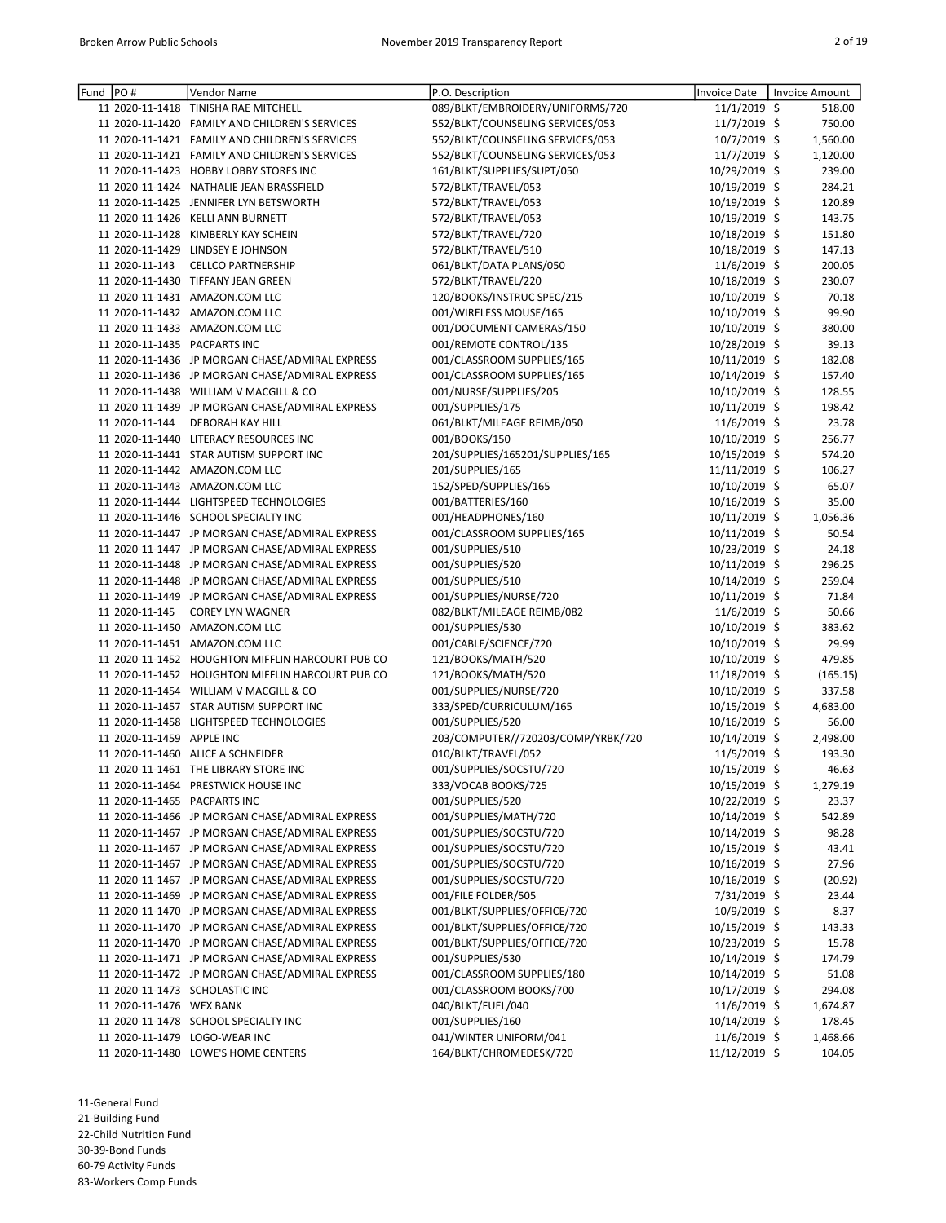| Fund PO# |                              | Vendor Name                                      | P.O. Description                   | Invoice Date   | Invoice Amount |          |
|----------|------------------------------|--------------------------------------------------|------------------------------------|----------------|----------------|----------|
|          |                              | 11 2020-11-1418 TINISHA RAE MITCHELL             | 089/BLKT/EMBROIDERY/UNIFORMS/720   | 11/1/2019 \$   |                | 518.00   |
|          |                              | 11 2020-11-1420 FAMILY AND CHILDREN'S SERVICES   | 552/BLKT/COUNSELING SERVICES/053   | 11/7/2019 \$   |                | 750.00   |
|          |                              | 11 2020-11-1421 FAMILY AND CHILDREN'S SERVICES   | 552/BLKT/COUNSELING SERVICES/053   | 10/7/2019 \$   |                | 1,560.00 |
|          |                              | 11 2020-11-1421 FAMILY AND CHILDREN'S SERVICES   | 552/BLKT/COUNSELING SERVICES/053   | 11/7/2019 \$   |                | 1,120.00 |
|          |                              | 11 2020-11-1423 HOBBY LOBBY STORES INC           | 161/BLKT/SUPPLIES/SUPT/050         | 10/29/2019 \$  |                | 239.00   |
|          |                              | 11 2020-11-1424 NATHALIE JEAN BRASSFIELD         | 572/BLKT/TRAVEL/053                | 10/19/2019 \$  |                | 284.21   |
|          |                              | 11 2020-11-1425 JENNIFER LYN BETSWORTH           | 572/BLKT/TRAVEL/053                | 10/19/2019 \$  |                | 120.89   |
|          |                              | 11 2020-11-1426 KELLI ANN BURNETT                | 572/BLKT/TRAVEL/053                | 10/19/2019 \$  |                | 143.75   |
|          |                              | 11 2020-11-1428 KIMBERLY KAY SCHEIN              | 572/BLKT/TRAVEL/720                | 10/18/2019 \$  |                | 151.80   |
|          |                              | 11 2020-11-1429 LINDSEY E JOHNSON                | 572/BLKT/TRAVEL/510                | 10/18/2019 \$  |                | 147.13   |
|          | 11 2020-11-143               | <b>CELLCO PARTNERSHIP</b>                        | 061/BLKT/DATA PLANS/050            | 11/6/2019 \$   |                | 200.05   |
|          |                              | 11 2020-11-1430 TIFFANY JEAN GREEN               | 572/BLKT/TRAVEL/220                | 10/18/2019 \$  |                | 230.07   |
|          |                              | 11 2020-11-1431 AMAZON.COM LLC                   | 120/BOOKS/INSTRUC SPEC/215         | 10/10/2019 \$  |                | 70.18    |
|          |                              | 11 2020-11-1432 AMAZON.COM LLC                   | 001/WIRELESS MOUSE/165             | 10/10/2019 \$  |                | 99.90    |
|          |                              | 11 2020-11-1433 AMAZON.COM LLC                   | 001/DOCUMENT CAMERAS/150           | 10/10/2019 \$  |                | 380.00   |
|          | 11 2020-11-1435 PACPARTS INC |                                                  | 001/REMOTE CONTROL/135             | 10/28/2019 \$  |                | 39.13    |
|          |                              | 11 2020-11-1436 JP MORGAN CHASE/ADMIRAL EXPRESS  | 001/CLASSROOM SUPPLIES/165         | 10/11/2019 \$  |                | 182.08   |
|          |                              | 11 2020-11-1436 JP MORGAN CHASE/ADMIRAL EXPRESS  | 001/CLASSROOM SUPPLIES/165         | 10/14/2019 \$  |                | 157.40   |
|          |                              | 11 2020-11-1438 WILLIAM V MACGILL & CO           | 001/NURSE/SUPPLIES/205             | 10/10/2019 \$  |                | 128.55   |
|          |                              | 11 2020-11-1439 JP MORGAN CHASE/ADMIRAL EXPRESS  | 001/SUPPLIES/175                   | 10/11/2019 \$  |                | 198.42   |
|          | 11 2020-11-144               | <b>DEBORAH KAY HILL</b>                          | 061/BLKT/MILEAGE REIMB/050         | 11/6/2019 \$   |                | 23.78    |
|          |                              | 11 2020-11-1440 LITERACY RESOURCES INC           | 001/BOOKS/150                      | 10/10/2019 \$  |                | 256.77   |
|          |                              | 11 2020-11-1441 STAR AUTISM SUPPORT INC          | 201/SUPPLIES/165201/SUPPLIES/165   | 10/15/2019 \$  |                | 574.20   |
|          |                              | 11 2020-11-1442 AMAZON.COM LLC                   | 201/SUPPLIES/165                   | 11/11/2019 \$  |                | 106.27   |
|          |                              | 11 2020-11-1443 AMAZON.COM LLC                   | 152/SPED/SUPPLIES/165              | 10/10/2019 \$  |                | 65.07    |
|          |                              | 11 2020-11-1444 LIGHTSPEED TECHNOLOGIES          | 001/BATTERIES/160                  | 10/16/2019 \$  |                | 35.00    |
|          |                              | 11 2020-11-1446 SCHOOL SPECIALTY INC             | 001/HEADPHONES/160                 | 10/11/2019 \$  |                | 1,056.36 |
|          |                              | 11 2020-11-1447 JP MORGAN CHASE/ADMIRAL EXPRESS  | 001/CLASSROOM SUPPLIES/165         | 10/11/2019 \$  |                | 50.54    |
|          |                              | 11 2020-11-1447 JP MORGAN CHASE/ADMIRAL EXPRESS  | 001/SUPPLIES/510                   | 10/23/2019 \$  |                | 24.18    |
|          |                              | 11 2020-11-1448 JP MORGAN CHASE/ADMIRAL EXPRESS  | 001/SUPPLIES/520                   | 10/11/2019 \$  |                | 296.25   |
|          |                              | 11 2020-11-1448 JP MORGAN CHASE/ADMIRAL EXPRESS  | 001/SUPPLIES/510                   | 10/14/2019 \$  |                | 259.04   |
|          |                              | 11 2020-11-1449 JP MORGAN CHASE/ADMIRAL EXPRESS  | 001/SUPPLIES/NURSE/720             | 10/11/2019 \$  |                | 71.84    |
|          | 11 2020-11-145               | <b>COREY LYN WAGNER</b>                          | 082/BLKT/MILEAGE REIMB/082         | 11/6/2019 \$   |                | 50.66    |
|          |                              | 11 2020-11-1450 AMAZON.COM LLC                   | 001/SUPPLIES/530                   | 10/10/2019 \$  |                | 383.62   |
|          |                              | 11 2020-11-1451 AMAZON.COM LLC                   | 001/CABLE/SCIENCE/720              | 10/10/2019 \$  |                | 29.99    |
|          |                              | 11 2020-11-1452 HOUGHTON MIFFLIN HARCOURT PUB CO | 121/BOOKS/MATH/520                 | 10/10/2019 \$  |                | 479.85   |
|          |                              | 11 2020-11-1452 HOUGHTON MIFFLIN HARCOURT PUB CO | 121/BOOKS/MATH/520                 | 11/18/2019 \$  |                | (165.15) |
|          |                              | 11 2020-11-1454 WILLIAM V MACGILL & CO           | 001/SUPPLIES/NURSE/720             | 10/10/2019 \$  |                | 337.58   |
|          |                              | 11 2020-11-1457 STAR AUTISM SUPPORT INC          | 333/SPED/CURRICULUM/165            | 10/15/2019 \$  |                | 4,683.00 |
|          |                              | 11 2020-11-1458 LIGHTSPEED TECHNOLOGIES          | 001/SUPPLIES/520                   | 10/16/2019 \$  |                | 56.00    |
|          | 11 2020-11-1459 APPLE INC    |                                                  | 203/COMPUTER//720203/COMP/YRBK/720 | 10/14/2019 \$  |                | 2,498.00 |
|          |                              | 11 2020-11-1460 ALICE A SCHNEIDER                | 010/BLKT/TRAVEL/052                | 11/5/2019 \$   |                | 193.30   |
|          |                              | 11 2020-11-1461 THE LIBRARY STORE INC            | 001/SUPPLIES/SOCSTU/720            | 10/15/2019 \$  |                | 46.63    |
|          |                              | 11 2020-11-1464 PRESTWICK HOUSE INC              | 333/VOCAB BOOKS/725                | 10/15/2019 \$  |                | 1,279.19 |
|          | 11 2020-11-1465 PACPARTS INC |                                                  | 001/SUPPLIES/520                   | 10/22/2019 \$  |                | 23.37    |
|          |                              | 11 2020-11-1466 JP MORGAN CHASE/ADMIRAL EXPRESS  | 001/SUPPLIES/MATH/720              | 10/14/2019 \$  |                | 542.89   |
|          |                              | 11 2020-11-1467 JP MORGAN CHASE/ADMIRAL EXPRESS  | 001/SUPPLIES/SOCSTU/720            | 10/14/2019 \$  |                | 98.28    |
|          |                              | 11 2020-11-1467 JP MORGAN CHASE/ADMIRAL EXPRESS  | 001/SUPPLIES/SOCSTU/720            | 10/15/2019 \$  |                | 43.41    |
|          |                              | 11 2020-11-1467 JP MORGAN CHASE/ADMIRAL EXPRESS  | 001/SUPPLIES/SOCSTU/720            | 10/16/2019 \$  |                | 27.96    |
|          |                              | 11 2020-11-1467 JP MORGAN CHASE/ADMIRAL EXPRESS  | 001/SUPPLIES/SOCSTU/720            | 10/16/2019 \$  |                | (20.92)  |
|          |                              | 11 2020-11-1469 JP MORGAN CHASE/ADMIRAL EXPRESS  | 001/FILE FOLDER/505                | 7/31/2019 \$   |                | 23.44    |
|          |                              | 11 2020-11-1470 JP MORGAN CHASE/ADMIRAL EXPRESS  | 001/BLKT/SUPPLIES/OFFICE/720       | 10/9/2019 \$   |                | 8.37     |
|          |                              | 11 2020-11-1470 JP MORGAN CHASE/ADMIRAL EXPRESS  | 001/BLKT/SUPPLIES/OFFICE/720       | 10/15/2019 \$  |                | 143.33   |
|          |                              | 11 2020-11-1470 JP MORGAN CHASE/ADMIRAL EXPRESS  | 001/BLKT/SUPPLIES/OFFICE/720       | 10/23/2019 \$  |                | 15.78    |
|          |                              | 11 2020-11-1471 JP MORGAN CHASE/ADMIRAL EXPRESS  | 001/SUPPLIES/530                   | 10/14/2019 \$  |                | 174.79   |
|          |                              | 11 2020-11-1472 JP MORGAN CHASE/ADMIRAL EXPRESS  | 001/CLASSROOM SUPPLIES/180         | 10/14/2019 \$  |                | 51.08    |
|          |                              | 11 2020-11-1473 SCHOLASTIC INC                   | 001/CLASSROOM BOOKS/700            | 10/17/2019 \$  |                | 294.08   |
|          | 11 2020-11-1476 WEX BANK     |                                                  | 040/BLKT/FUEL/040                  | $11/6/2019$ \$ |                | 1,674.87 |
|          |                              | 11 2020-11-1478 SCHOOL SPECIALTY INC             | 001/SUPPLIES/160                   | 10/14/2019 \$  |                | 178.45   |
|          |                              | 11 2020-11-1479 LOGO-WEAR INC                    | 041/WINTER UNIFORM/041             | $11/6/2019$ \$ |                | 1,468.66 |
|          |                              | 11 2020-11-1480 LOWE'S HOME CENTERS              | 164/BLKT/CHROMEDESK/720            | 11/12/2019 \$  |                | 104.05   |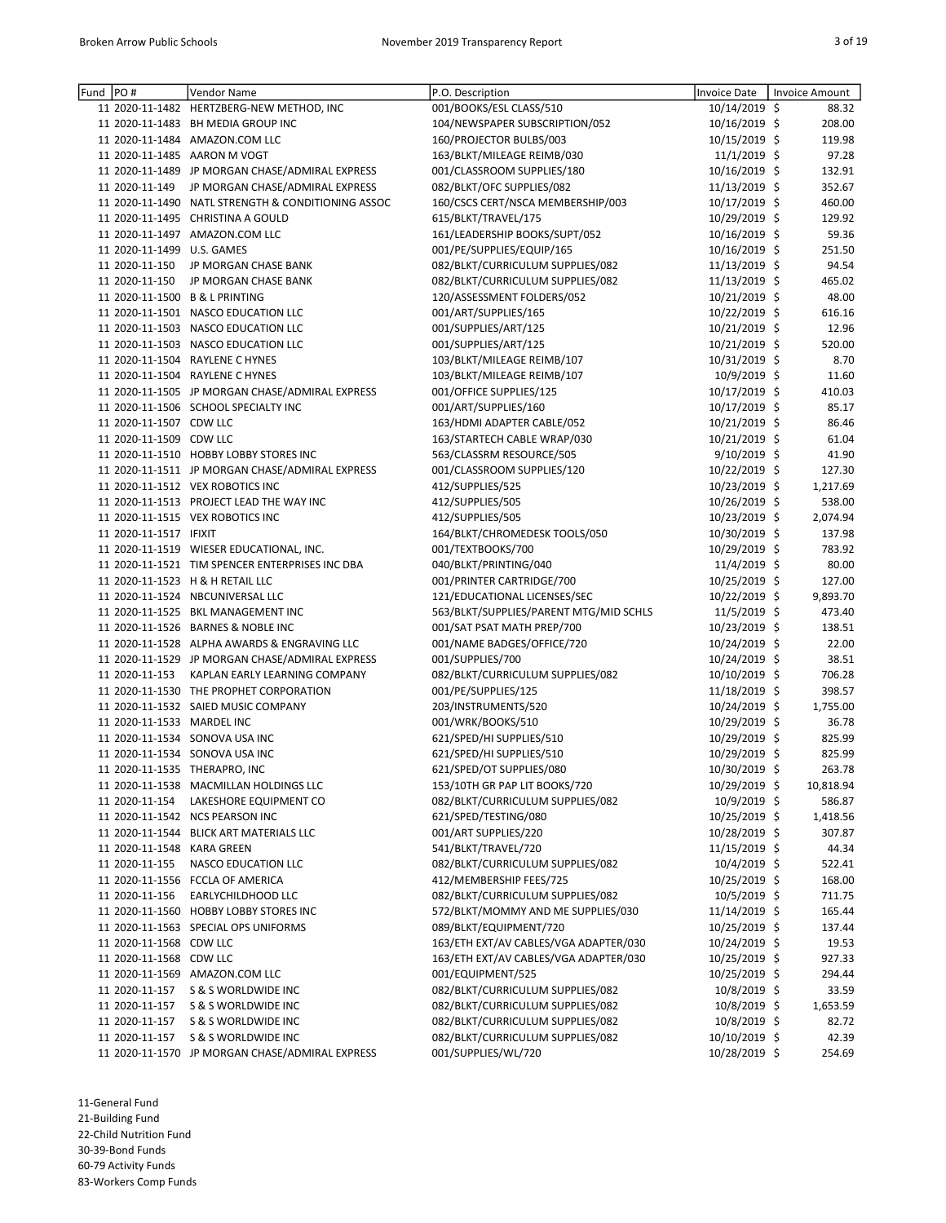| Fund  PO# |                            | Vendor Name                                        | P.O. Description                       | <b>Invoice Date</b> | Invoice Amount |        |
|-----------|----------------------------|----------------------------------------------------|----------------------------------------|---------------------|----------------|--------|
|           |                            | 11 2020-11-1482 HERTZBERG-NEW METHOD, INC          | 001/BOOKS/ESL CLASS/510                | 10/14/2019 \$       |                | 88.32  |
|           |                            | 11 2020-11-1483 BH MEDIA GROUP INC                 | 104/NEWSPAPER SUBSCRIPTION/052         | 10/16/2019 \$       | 208.00         |        |
|           |                            | 11 2020-11-1484 AMAZON.COM LLC                     | 160/PROJECTOR BULBS/003                | 10/15/2019 \$       | 119.98         |        |
|           |                            | 11 2020-11-1485 AARON M VOGT                       | 163/BLKT/MILEAGE REIMB/030             | 11/1/2019 \$        |                | 97.28  |
|           |                            | 11 2020-11-1489 JP MORGAN CHASE/ADMIRAL EXPRESS    | 001/CLASSROOM SUPPLIES/180             | 10/16/2019 \$       | 132.91         |        |
|           | 11 2020-11-149             | JP MORGAN CHASE/ADMIRAL EXPRESS                    | 082/BLKT/OFC SUPPLIES/082              | 11/13/2019 \$       | 352.67         |        |
|           |                            | 11 2020-11-1490 NATL STRENGTH & CONDITIONING ASSOC | 160/CSCS CERT/NSCA MEMBERSHIP/003      | 10/17/2019 \$       | 460.00         |        |
|           |                            | 11 2020-11-1495 CHRISTINA A GOULD                  | 615/BLKT/TRAVEL/175                    | 10/29/2019 \$       | 129.92         |        |
|           |                            | 11 2020-11-1497 AMAZON.COM LLC                     | 161/LEADERSHIP BOOKS/SUPT/052          | 10/16/2019 \$       |                | 59.36  |
|           | 11 2020-11-1499 U.S. GAMES |                                                    | 001/PE/SUPPLIES/EQUIP/165              | 10/16/2019 \$       | 251.50         |        |
|           | 11 2020-11-150             | JP MORGAN CHASE BANK                               | 082/BLKT/CURRICULUM SUPPLIES/082       | 11/13/2019 \$       |                | 94.54  |
|           | 11 2020-11-150             | JP MORGAN CHASE BANK                               | 082/BLKT/CURRICULUM SUPPLIES/082       | 11/13/2019 \$       | 465.02         |        |
|           |                            | 11 2020-11-1500 B & L PRINTING                     | 120/ASSESSMENT FOLDERS/052             | 10/21/2019 \$       |                | 48.00  |
|           |                            | 11 2020-11-1501 NASCO EDUCATION LLC                | 001/ART/SUPPLIES/165                   | 10/22/2019 \$       | 616.16         |        |
|           |                            | 11 2020-11-1503 NASCO EDUCATION LLC                | 001/SUPPLIES/ART/125                   | 10/21/2019 \$       |                | 12.96  |
|           |                            | 11 2020-11-1503 NASCO EDUCATION LLC                | 001/SUPPLIES/ART/125                   | 10/21/2019 \$       | 520.00         |        |
|           |                            | 11 2020-11-1504 RAYLENE C HYNES                    | 103/BLKT/MILEAGE REIMB/107             | 10/31/2019 \$       |                | 8.70   |
|           |                            | 11 2020-11-1504 RAYLENE C HYNES                    | 103/BLKT/MILEAGE REIMB/107             | 10/9/2019 \$        |                | 11.60  |
|           |                            | 11 2020-11-1505 JP MORGAN CHASE/ADMIRAL EXPRESS    | 001/OFFICE SUPPLIES/125                | 10/17/2019 \$       | 410.03         |        |
|           |                            | 11 2020-11-1506 SCHOOL SPECIALTY INC               | 001/ART/SUPPLIES/160                   | 10/17/2019 \$       |                | 85.17  |
|           | 11 2020-11-1507 CDW LLC    |                                                    | 163/HDMI ADAPTER CABLE/052             | 10/21/2019 \$       |                | 86.46  |
|           | 11 2020-11-1509 CDW LLC    |                                                    | 163/STARTECH CABLE WRAP/030            | 10/21/2019 \$       |                | 61.04  |
|           |                            | 11 2020-11-1510 HOBBY LOBBY STORES INC             | 563/CLASSRM RESOURCE/505               | $9/10/2019$ \$      |                | 41.90  |
|           |                            | 11 2020-11-1511 JP MORGAN CHASE/ADMIRAL EXPRESS    | 001/CLASSROOM SUPPLIES/120             | 10/22/2019 \$       | 127.30         |        |
|           |                            | 11 2020-11-1512 VEX ROBOTICS INC                   | 412/SUPPLIES/525                       | 10/23/2019 \$       | 1,217.69       |        |
|           |                            | 11 2020-11-1513 PROJECT LEAD THE WAY INC           | 412/SUPPLIES/505                       | 10/26/2019 \$       | 538.00         |        |
|           |                            | 11 2020-11-1515 VEX ROBOTICS INC                   | 412/SUPPLIES/505                       | 10/23/2019 \$       | 2,074.94       |        |
|           | 11 2020-11-1517 IFIXIT     |                                                    | 164/BLKT/CHROMEDESK TOOLS/050          | 10/30/2019 \$       | 137.98         |        |
|           |                            | 11 2020-11-1519 WIESER EDUCATIONAL, INC.           | 001/TEXTBOOKS/700                      | 10/29/2019 \$       | 783.92         |        |
|           |                            | 11 2020-11-1521 TIM SPENCER ENTERPRISES INC DBA    | 040/BLKT/PRINTING/040                  | 11/4/2019 \$        |                | 80.00  |
|           |                            | 11 2020-11-1523 H & H RETAIL LLC                   | 001/PRINTER CARTRIDGE/700              | 10/25/2019 \$       | 127.00         |        |
|           |                            | 11 2020-11-1524 NBCUNIVERSAL LLC                   | 121/EDUCATIONAL LICENSES/SEC           | 10/22/2019 \$       | 9,893.70       |        |
|           |                            | 11 2020-11-1525 BKL MANAGEMENT INC                 | 563/BLKT/SUPPLIES/PARENT MTG/MID SCHLS | $11/5/2019$ \$      | 473.40         |        |
|           |                            | 11 2020-11-1526 BARNES & NOBLE INC                 | 001/SAT PSAT MATH PREP/700             | 10/23/2019 \$       | 138.51         |        |
|           |                            | 11 2020-11-1528 ALPHA AWARDS & ENGRAVING LLC       | 001/NAME BADGES/OFFICE/720             | 10/24/2019 \$       |                | 22.00  |
|           |                            | 11 2020-11-1529 JP MORGAN CHASE/ADMIRAL EXPRESS    | 001/SUPPLIES/700                       | 10/24/2019 \$       |                | 38.51  |
|           | 11 2020-11-153             | KAPLAN EARLY LEARNING COMPANY                      | 082/BLKT/CURRICULUM SUPPLIES/082       | 10/10/2019 \$       | 706.28         |        |
|           |                            | 11 2020-11-1530 THE PROPHET CORPORATION            | 001/PE/SUPPLIES/125                    | 11/18/2019 \$       | 398.57         |        |
|           |                            | 11 2020-11-1532 SAIED MUSIC COMPANY                | 203/INSTRUMENTS/520                    | 10/24/2019 \$       | 1,755.00       |        |
|           | 11 2020-11-1533 MARDEL INC |                                                    | 001/WRK/BOOKS/510                      | 10/29/2019 \$       |                | 36.78  |
|           |                            | 11 2020-11-1534 SONOVA USA INC                     | 621/SPED/HI SUPPLIES/510               | 10/29/2019 \$       | 825.99         |        |
|           |                            | 11 2020-11-1534 SONOVA USA INC                     | 621/SPED/HI SUPPLIES/510               | 10/29/2019 \$       | 825.99         |        |
|           |                            | 11 2020-11-1535 THERAPRO, INC                      | 621/SPED/OT SUPPLIES/080               | 10/30/2019 \$       |                | 263.78 |
|           |                            | 11 2020-11-1538 MACMILLAN HOLDINGS LLC             | 153/10TH GR PAP LIT BOOKS/720          | 10/29/2019 \$       | 10,818.94      |        |
|           | 11 2020-11-154             | LAKESHORE EQUIPMENT CO                             | 082/BLKT/CURRICULUM SUPPLIES/082       | 10/9/2019 \$        |                | 586.87 |
|           |                            | 11 2020-11-1542 NCS PEARSON INC                    | 621/SPED/TESTING/080                   | 10/25/2019 \$       | 1,418.56       |        |
|           |                            | 11 2020-11-1544 BLICK ART MATERIALS LLC            | 001/ART SUPPLIES/220                   | 10/28/2019 \$       |                | 307.87 |
|           | 11 2020-11-1548 KARA GREEN |                                                    | 541/BLKT/TRAVEL/720                    | 11/15/2019 \$       |                | 44.34  |
|           | 11 2020-11-155             | <b>NASCO EDUCATION LLC</b>                         | 082/BLKT/CURRICULUM SUPPLIES/082       | $10/4/2019$ \$      | 522.41         |        |
|           |                            | 11 2020-11-1556 FCCLA OF AMERICA                   | 412/MEMBERSHIP FEES/725                | 10/25/2019 \$       | 168.00         |        |
|           | 11 2020-11-156             | EARLYCHILDHOOD LLC                                 | 082/BLKT/CURRICULUM SUPPLIES/082       | 10/5/2019 \$        | 711.75         |        |
|           |                            | 11 2020-11-1560 HOBBY LOBBY STORES INC             | 572/BLKT/MOMMY AND ME SUPPLIES/030     | 11/14/2019 \$       | 165.44         |        |
|           |                            | 11 2020-11-1563 SPECIAL OPS UNIFORMS               | 089/BLKT/EQUIPMENT/720                 | 10/25/2019 \$       | 137.44         |        |
|           | 11 2020-11-1568 CDW LLC    |                                                    | 163/ETH EXT/AV CABLES/VGA ADAPTER/030  | 10/24/2019 \$       |                | 19.53  |
|           | 11 2020-11-1568 CDW LLC    |                                                    | 163/ETH EXT/AV CABLES/VGA ADAPTER/030  | 10/25/2019 \$       | 927.33         |        |
|           |                            | 11 2020-11-1569 AMAZON.COM LLC                     | 001/EQUIPMENT/525                      | 10/25/2019 \$       | 294.44         |        |
|           | 11 2020-11-157             | S & S WORLDWIDE INC                                | 082/BLKT/CURRICULUM SUPPLIES/082       | 10/8/2019 \$        |                | 33.59  |
|           | 11 2020-11-157             | S & S WORLDWIDE INC                                | 082/BLKT/CURRICULUM SUPPLIES/082       | 10/8/2019 \$        | 1,653.59       |        |
|           | 11 2020-11-157             | S & S WORLDWIDE INC                                | 082/BLKT/CURRICULUM SUPPLIES/082       | 10/8/2019 \$        |                | 82.72  |
|           | 11 2020-11-157             | S & S WORLDWIDE INC                                | 082/BLKT/CURRICULUM SUPPLIES/082       | 10/10/2019 \$       |                | 42.39  |
|           |                            | 11 2020-11-1570 JP MORGAN CHASE/ADMIRAL EXPRESS    | 001/SUPPLIES/WL/720                    | 10/28/2019 \$       | 254.69         |        |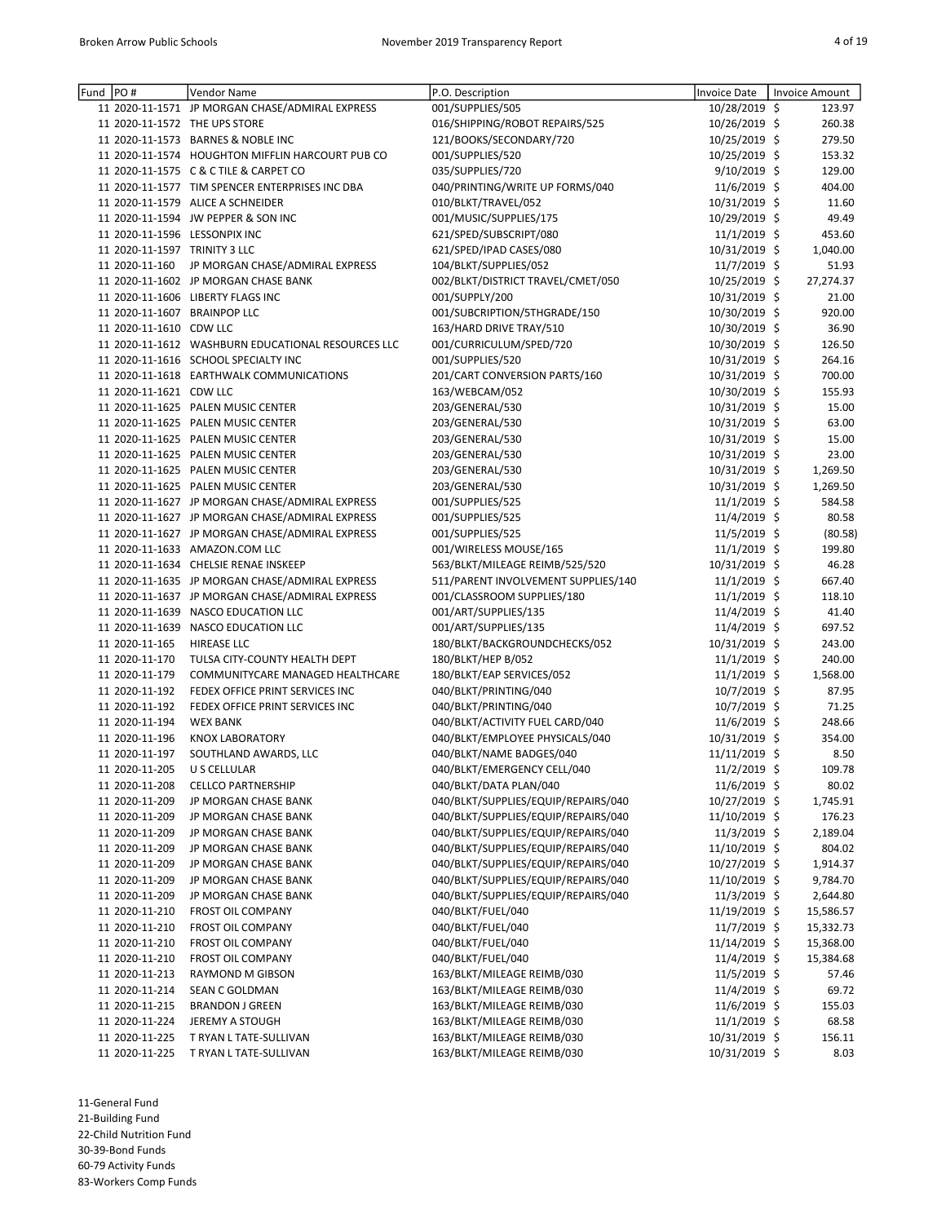| Fund PO# |                               | Vendor Name                                        | P.O. Description                    | <b>Invoice Date</b> | Invoice Amount |
|----------|-------------------------------|----------------------------------------------------|-------------------------------------|---------------------|----------------|
|          |                               | 11 2020-11-1571 JP MORGAN CHASE/ADMIRAL EXPRESS    | 001/SUPPLIES/505                    | 10/28/2019 \$       | 123.97         |
|          |                               | 11 2020-11-1572 THE UPS STORE                      | 016/SHIPPING/ROBOT REPAIRS/525      | 10/26/2019 \$       | 260.38         |
|          |                               | 11 2020-11-1573 BARNES & NOBLE INC                 | 121/BOOKS/SECONDARY/720             | 10/25/2019 \$       | 279.50         |
|          |                               | 11 2020-11-1574 HOUGHTON MIFFLIN HARCOURT PUB CO   | 001/SUPPLIES/520                    | 10/25/2019 \$       | 153.32         |
|          |                               | 11 2020-11-1575 C & C TILE & CARPET CO             | 035/SUPPLIES/720                    | 9/10/2019 \$        | 129.00         |
|          |                               | 11 2020-11-1577 TIM SPENCER ENTERPRISES INC DBA    | 040/PRINTING/WRITE UP FORMS/040     | 11/6/2019 \$        | 404.00         |
|          |                               | 11 2020-11-1579 ALICE A SCHNEIDER                  | 010/BLKT/TRAVEL/052                 | 10/31/2019 \$       | 11.60          |
|          |                               | 11 2020-11-1594 JW PEPPER & SON INC                | 001/MUSIC/SUPPLIES/175              | 10/29/2019 \$       | 49.49          |
|          |                               | 11 2020-11-1596 LESSONPIX INC                      | 621/SPED/SUBSCRIPT/080              | 11/1/2019 \$        | 453.60         |
|          | 11 2020-11-1597 TRINITY 3 LLC |                                                    | 621/SPED/IPAD CASES/080             | 10/31/2019 \$       | 1,040.00       |
|          | 11 2020-11-160                | JP MORGAN CHASE/ADMIRAL EXPRESS                    | 104/BLKT/SUPPLIES/052               | 11/7/2019 \$        | 51.93          |
|          |                               | 11 2020-11-1602 JP MORGAN CHASE BANK               | 002/BLKT/DISTRICT TRAVEL/CMET/050   | 10/25/2019 \$       | 27,274.37      |
|          |                               | 11 2020-11-1606 LIBERTY FLAGS INC                  | 001/SUPPLY/200                      | 10/31/2019 \$       | 21.00          |
|          | 11 2020-11-1607 BRAINPOP LLC  |                                                    | 001/SUBCRIPTION/5THGRADE/150        | 10/30/2019 \$       | 920.00         |
|          | 11 2020-11-1610 CDW LLC       |                                                    | 163/HARD DRIVE TRAY/510             | 10/30/2019 \$       | 36.90          |
|          |                               | 11 2020-11-1612 WASHBURN EDUCATIONAL RESOURCES LLC | 001/CURRICULUM/SPED/720             | 10/30/2019 \$       | 126.50         |
|          |                               | 11 2020-11-1616 SCHOOL SPECIALTY INC               | 001/SUPPLIES/520                    | 10/31/2019 \$       | 264.16         |
|          |                               | 11 2020-11-1618 EARTHWALK COMMUNICATIONS           | 201/CART CONVERSION PARTS/160       | 10/31/2019 \$       | 700.00         |
|          | 11 2020-11-1621 CDW LLC       |                                                    | 163/WEBCAM/052                      | 10/30/2019 \$       | 155.93         |
|          |                               | 11 2020-11-1625 PALEN MUSIC CENTER                 | 203/GENERAL/530                     | 10/31/2019 \$       | 15.00          |
|          |                               | 11 2020-11-1625 PALEN MUSIC CENTER                 | 203/GENERAL/530                     | 10/31/2019 \$       | 63.00          |
|          |                               | 11 2020-11-1625 PALEN MUSIC CENTER                 | 203/GENERAL/530                     | 10/31/2019 \$       | 15.00          |
|          |                               | 11 2020-11-1625 PALEN MUSIC CENTER                 | 203/GENERAL/530                     | 10/31/2019 \$       | 23.00          |
|          |                               | 11 2020-11-1625 PALEN MUSIC CENTER                 | 203/GENERAL/530                     | 10/31/2019 \$       | 1,269.50       |
|          |                               | 11 2020-11-1625 PALEN MUSIC CENTER                 | 203/GENERAL/530                     | 10/31/2019 \$       | 1,269.50       |
|          |                               | 11 2020-11-1627 JP MORGAN CHASE/ADMIRAL EXPRESS    | 001/SUPPLIES/525                    | 11/1/2019 \$        | 584.58         |
|          |                               | 11 2020-11-1627 JP MORGAN CHASE/ADMIRAL EXPRESS    | 001/SUPPLIES/525                    | 11/4/2019 \$        | 80.58          |
|          |                               | 11 2020-11-1627 JP MORGAN CHASE/ADMIRAL EXPRESS    | 001/SUPPLIES/525                    | 11/5/2019 \$        | (80.58)        |
|          |                               | 11 2020-11-1633 AMAZON.COM LLC                     | 001/WIRELESS MOUSE/165              | 11/1/2019 \$        | 199.80         |
|          |                               | 11 2020-11-1634 CHELSIE RENAE INSKEEP              | 563/BLKT/MILEAGE REIMB/525/520      | 10/31/2019 \$       | 46.28          |
|          |                               | 11 2020-11-1635 JP MORGAN CHASE/ADMIRAL EXPRESS    | 511/PARENT INVOLVEMENT SUPPLIES/140 | 11/1/2019 \$        | 667.40         |
|          |                               | 11 2020-11-1637 JP MORGAN CHASE/ADMIRAL EXPRESS    | 001/CLASSROOM SUPPLIES/180          | 11/1/2019 \$        | 118.10         |
|          |                               | 11 2020-11-1639 NASCO EDUCATION LLC                | 001/ART/SUPPLIES/135                | 11/4/2019 \$        | 41.40          |
|          |                               | 11 2020-11-1639 NASCO EDUCATION LLC                | 001/ART/SUPPLIES/135                | 11/4/2019 \$        | 697.52         |
|          | 11 2020-11-165                | <b>HIREASE LLC</b>                                 | 180/BLKT/BACKGROUNDCHECKS/052       | 10/31/2019 \$       | 243.00         |
|          | 11 2020-11-170                | TULSA CITY-COUNTY HEALTH DEPT                      | 180/BLKT/HEP B/052                  | 11/1/2019 \$        | 240.00         |
|          | 11 2020-11-179                | COMMUNITYCARE MANAGED HEALTHCARE                   | 180/BLKT/EAP SERVICES/052           | 11/1/2019 \$        | 1,568.00       |
|          | 11 2020-11-192                | FEDEX OFFICE PRINT SERVICES INC                    | 040/BLKT/PRINTING/040               | 10/7/2019 \$        | 87.95          |
|          | 11 2020-11-192                | FEDEX OFFICE PRINT SERVICES INC                    | 040/BLKT/PRINTING/040               | $10/7/2019$ \$      | 71.25          |
|          | 11 2020-11-194                | <b>WEX BANK</b>                                    | 040/BLKT/ACTIVITY FUEL CARD/040     | 11/6/2019 \$        | 248.66         |
|          | 11 2020-11-196                | <b>KNOX LABORATORY</b>                             | 040/BLKT/EMPLOYEE PHYSICALS/040     | 10/31/2019 \$       | 354.00         |
|          | 11 2020-11-197                | SOUTHLAND AWARDS, LLC                              | 040/BLKT/NAME BADGES/040            | 11/11/2019 \$       | 8.50           |
|          | 11 2020-11-205 US CELLULAR    |                                                    | 040/BLKT/EMERGENCY CELL/040         | 11/2/2019 \$        | 109.78         |
|          | 11 2020-11-208                | <b>CELLCO PARTNERSHIP</b>                          | 040/BLKT/DATA PLAN/040              | 11/6/2019 \$        | 80.02          |
|          | 11 2020-11-209                | JP MORGAN CHASE BANK                               | 040/BLKT/SUPPLIES/EQUIP/REPAIRS/040 | 10/27/2019 \$       | 1,745.91       |
|          | 11 2020-11-209                | JP MORGAN CHASE BANK                               | 040/BLKT/SUPPLIES/EQUIP/REPAIRS/040 | 11/10/2019 \$       | 176.23         |
|          | 11 2020-11-209                | JP MORGAN CHASE BANK                               | 040/BLKT/SUPPLIES/EQUIP/REPAIRS/040 | 11/3/2019 \$        | 2,189.04       |
|          | 11 2020-11-209                | JP MORGAN CHASE BANK                               | 040/BLKT/SUPPLIES/EQUIP/REPAIRS/040 | 11/10/2019 \$       | 804.02         |
|          | 11 2020-11-209                | JP MORGAN CHASE BANK                               | 040/BLKT/SUPPLIES/EQUIP/REPAIRS/040 | 10/27/2019 \$       | 1,914.37       |
|          | 11 2020-11-209                | JP MORGAN CHASE BANK                               | 040/BLKT/SUPPLIES/EQUIP/REPAIRS/040 | 11/10/2019 \$       | 9,784.70       |
|          | 11 2020-11-209                | JP MORGAN CHASE BANK                               | 040/BLKT/SUPPLIES/EQUIP/REPAIRS/040 | 11/3/2019 \$        | 2,644.80       |
|          | 11 2020-11-210                | <b>FROST OIL COMPANY</b>                           | 040/BLKT/FUEL/040                   | 11/19/2019 \$       | 15,586.57      |
|          | 11 2020-11-210                | <b>FROST OIL COMPANY</b>                           | 040/BLKT/FUEL/040                   | 11/7/2019 \$        | 15,332.73      |
|          | 11 2020-11-210                | <b>FROST OIL COMPANY</b>                           | 040/BLKT/FUEL/040                   | 11/14/2019 \$       | 15,368.00      |
|          | 11 2020-11-210                | <b>FROST OIL COMPANY</b>                           | 040/BLKT/FUEL/040                   | 11/4/2019 \$        | 15,384.68      |
|          | 11 2020-11-213                | RAYMOND M GIBSON                                   | 163/BLKT/MILEAGE REIMB/030          | 11/5/2019 \$        | 57.46          |
|          | 11 2020-11-214                | SEAN C GOLDMAN                                     | 163/BLKT/MILEAGE REIMB/030          | 11/4/2019 \$        | 69.72          |
|          | 11 2020-11-215                | <b>BRANDON J GREEN</b>                             | 163/BLKT/MILEAGE REIMB/030          | $11/6/2019$ \$      | 155.03         |
|          | 11 2020-11-224                | <b>JEREMY A STOUGH</b>                             | 163/BLKT/MILEAGE REIMB/030          | 11/1/2019 \$        | 68.58          |
|          | 11 2020-11-225                | T RYAN L TATE-SULLIVAN                             | 163/BLKT/MILEAGE REIMB/030          | 10/31/2019 \$       | 156.11         |
|          | 11 2020-11-225                | T RYAN L TATE-SULLIVAN                             | 163/BLKT/MILEAGE REIMB/030          | 10/31/2019 \$       | 8.03           |
|          |                               |                                                    |                                     |                     |                |

11-General Fund 21-Building Fund 22-Child Nutrition Fund

30-39-Bond Funds

60-79 Activity Funds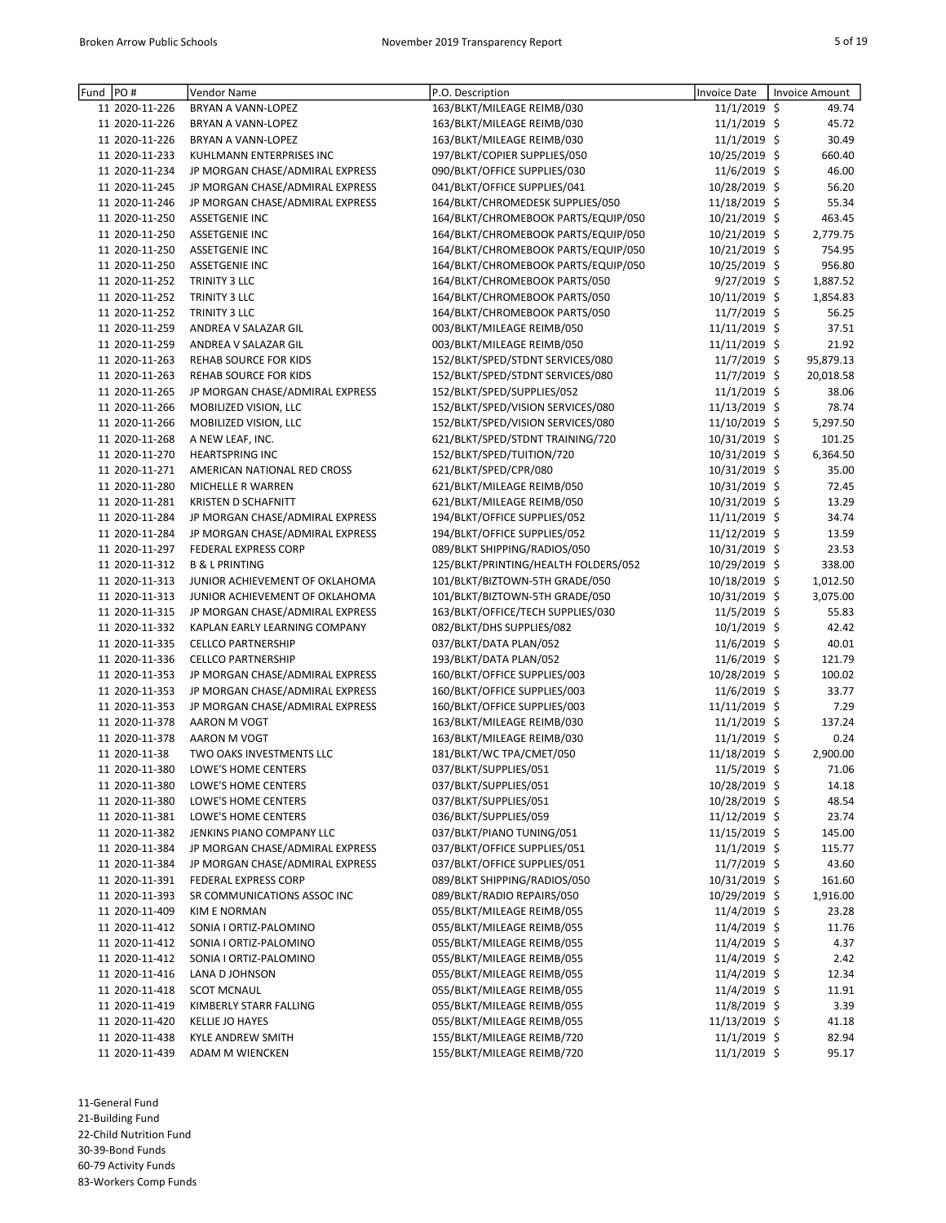| Fund | PO#            | Vendor Name                     | P.O. Description                     | Invoice Date    | Invoice Amount |
|------|----------------|---------------------------------|--------------------------------------|-----------------|----------------|
|      | 11 2020-11-226 | BRYAN A VANN-LOPEZ              | 163/BLKT/MILEAGE REIMB/030           | 11/1/2019 \$    | 49.74          |
|      | 11 2020-11-226 | <b>BRYAN A VANN-LOPEZ</b>       | 163/BLKT/MILEAGE REIMB/030           | 11/1/2019 \$    | 45.72          |
|      | 11 2020-11-226 |                                 |                                      |                 | 30.49          |
|      |                | BRYAN A VANN-LOPEZ              | 163/BLKT/MILEAGE REIMB/030           | 11/1/2019 \$    |                |
|      | 11 2020-11-233 | KUHLMANN ENTERPRISES INC        | 197/BLKT/COPIER SUPPLIES/050         | 10/25/2019 \$   | 660.40         |
|      | 11 2020-11-234 | JP MORGAN CHASE/ADMIRAL EXPRESS | 090/BLKT/OFFICE SUPPLIES/030         | 11/6/2019 \$    | 46.00          |
|      | 11 2020-11-245 | JP MORGAN CHASE/ADMIRAL EXPRESS | 041/BLKT/OFFICE SUPPLIES/041         | 10/28/2019 \$   | 56.20          |
|      | 11 2020-11-246 | JP MORGAN CHASE/ADMIRAL EXPRESS | 164/BLKT/CHROMEDESK SUPPLIES/050     | 11/18/2019 \$   | 55.34          |
|      | 11 2020-11-250 | <b>ASSETGENIE INC</b>           | 164/BLKT/CHROMEBOOK PARTS/EQUIP/050  | 10/21/2019 \$   | 463.45         |
|      | 11 2020-11-250 | <b>ASSETGENIE INC</b>           | 164/BLKT/CHROMEBOOK PARTS/EQUIP/050  | 10/21/2019 \$   | 2,779.75       |
|      | 11 2020-11-250 | <b>ASSETGENIE INC</b>           | 164/BLKT/CHROMEBOOK PARTS/EQUIP/050  | 10/21/2019 \$   | 754.95         |
|      | 11 2020-11-250 | <b>ASSETGENIE INC</b>           | 164/BLKT/CHROMEBOOK PARTS/EQUIP/050  | 10/25/2019 \$   | 956.80         |
|      | 11 2020-11-252 | TRINITY 3 LLC                   | 164/BLKT/CHROMEBOOK PARTS/050        | 9/27/2019 \$    | 1,887.52       |
|      | 11 2020-11-252 | TRINITY 3 LLC                   | 164/BLKT/CHROMEBOOK PARTS/050        | $10/11/2019$ \$ | 1,854.83       |
|      | 11 2020-11-252 | TRINITY 3 LLC                   | 164/BLKT/CHROMEBOOK PARTS/050        | 11/7/2019 \$    | 56.25          |
|      | 11 2020-11-259 | ANDREA V SALAZAR GIL            | 003/BLKT/MILEAGE REIMB/050           | 11/11/2019 \$   | 37.51          |
|      | 11 2020-11-259 | ANDREA V SALAZAR GIL            | 003/BLKT/MILEAGE REIMB/050           | 11/11/2019 \$   | 21.92          |
|      | 11 2020-11-263 | <b>REHAB SOURCE FOR KIDS</b>    | 152/BLKT/SPED/STDNT SERVICES/080     | 11/7/2019 \$    | 95,879.13      |
|      | 11 2020-11-263 | <b>REHAB SOURCE FOR KIDS</b>    | 152/BLKT/SPED/STDNT SERVICES/080     | 11/7/2019 \$    | 20,018.58      |
|      | 11 2020-11-265 | JP MORGAN CHASE/ADMIRAL EXPRESS | 152/BLKT/SPED/SUPPLIES/052           | $11/1/2019$ \$  | 38.06          |
|      | 11 2020-11-266 | MOBILIZED VISION, LLC           | 152/BLKT/SPED/VISION SERVICES/080    | 11/13/2019 \$   | 78.74          |
|      | 11 2020-11-266 | MOBILIZED VISION, LLC           | 152/BLKT/SPED/VISION SERVICES/080    | 11/10/2019 \$   | 5,297.50       |
|      | 11 2020-11-268 | A NEW LEAF, INC.                | 621/BLKT/SPED/STDNT TRAINING/720     | 10/31/2019 \$   | 101.25         |
|      | 11 2020-11-270 | <b>HEARTSPRING INC</b>          | 152/BLKT/SPED/TUITION/720            | 10/31/2019 \$   | 6,364.50       |
|      | 11 2020-11-271 | AMERICAN NATIONAL RED CROSS     | 621/BLKT/SPED/CPR/080                | 10/31/2019 \$   | 35.00          |
|      | 11 2020-11-280 | MICHELLE R WARREN               | 621/BLKT/MILEAGE REIMB/050           | 10/31/2019 \$   | 72.45          |
|      | 11 2020-11-281 | KRISTEN D SCHAFNITT             | 621/BLKT/MILEAGE REIMB/050           | 10/31/2019 \$   | 13.29          |
|      | 11 2020-11-284 | JP MORGAN CHASE/ADMIRAL EXPRESS | 194/BLKT/OFFICE SUPPLIES/052         | 11/11/2019 \$   | 34.74          |
|      | 11 2020-11-284 | JP MORGAN CHASE/ADMIRAL EXPRESS | 194/BLKT/OFFICE SUPPLIES/052         | 11/12/2019 \$   | 13.59          |
|      | 11 2020-11-297 | FEDERAL EXPRESS CORP            | 089/BLKT SHIPPING/RADIOS/050         | 10/31/2019 \$   | 23.53          |
|      | 11 2020-11-312 | <b>B &amp; L PRINTING</b>       | 125/BLKT/PRINTING/HEALTH FOLDERS/052 | 10/29/2019 \$   | 338.00         |
|      | 11 2020-11-313 | JUNIOR ACHIEVEMENT OF OKLAHOMA  | 101/BLKT/BIZTOWN-5TH GRADE/050       | 10/18/2019 \$   | 1,012.50       |
|      | 11 2020-11-313 | JUNIOR ACHIEVEMENT OF OKLAHOMA  | 101/BLKT/BIZTOWN-5TH GRADE/050       | 10/31/2019 \$   | 3,075.00       |
|      | 11 2020-11-315 | JP MORGAN CHASE/ADMIRAL EXPRESS | 163/BLKT/OFFICE/TECH SUPPLIES/030    | 11/5/2019 \$    | 55.83          |
|      | 11 2020-11-332 | KAPLAN EARLY LEARNING COMPANY   | 082/BLKT/DHS SUPPLIES/082            | $10/1/2019$ \$  | 42.42          |
|      | 11 2020-11-335 | <b>CELLCO PARTNERSHIP</b>       | 037/BLKT/DATA PLAN/052               | 11/6/2019 \$    | 40.01          |
|      | 11 2020-11-336 | <b>CELLCO PARTNERSHIP</b>       | 193/BLKT/DATA PLAN/052               | 11/6/2019 \$    | 121.79         |
|      | 11 2020-11-353 | JP MORGAN CHASE/ADMIRAL EXPRESS | 160/BLKT/OFFICE SUPPLIES/003         | 10/28/2019 \$   | 100.02         |
|      | 11 2020-11-353 | JP MORGAN CHASE/ADMIRAL EXPRESS | 160/BLKT/OFFICE SUPPLIES/003         | 11/6/2019 \$    | 33.77          |
|      | 11 2020-11-353 | JP MORGAN CHASE/ADMIRAL EXPRESS | 160/BLKT/OFFICE SUPPLIES/003         | $11/11/2019$ \$ | 7.29           |
|      | 11 2020-11-378 | AARON M VOGT                    | 163/BLKT/MILEAGE REIMB/030           | $11/1/2019$ \$  | 137.24         |
|      | 11 2020-11-378 | AARON M VOGT                    | 163/BLKT/MILEAGE REIMB/030           | $11/1/2019$ \$  | 0.24           |
|      | 11 2020-11-38  | TWO OAKS INVESTMENTS LLC        | 181/BLKT/WC TPA/CMET/050             | 11/18/2019 \$   | 2,900.00       |
|      | 11 2020-11-380 | <b>LOWE'S HOME CENTERS</b>      | 037/BLKT/SUPPLIES/051                | 11/5/2019 \$    | 71.06          |
|      | 11 2020-11-380 | LOWE'S HOME CENTERS             | 037/BLKT/SUPPLIES/051                | 10/28/2019 \$   | 14.18          |
|      | 11 2020-11-380 | LOWE'S HOME CENTERS             | 037/BLKT/SUPPLIES/051                | 10/28/2019 \$   | 48.54          |
|      | 11 2020-11-381 | LOWE'S HOME CENTERS             | 036/BLKT/SUPPLIES/059                | 11/12/2019 \$   | 23.74          |
|      | 11 2020-11-382 | JENKINS PIANO COMPANY LLC       | 037/BLKT/PIANO TUNING/051            | 11/15/2019 \$   | 145.00         |
|      | 11 2020-11-384 | JP MORGAN CHASE/ADMIRAL EXPRESS | 037/BLKT/OFFICE SUPPLIES/051         | $11/1/2019$ \$  | 115.77         |
|      | 11 2020-11-384 | JP MORGAN CHASE/ADMIRAL EXPRESS | 037/BLKT/OFFICE SUPPLIES/051         | $11/7/2019$ \$  | 43.60          |
|      | 11 2020-11-391 | FEDERAL EXPRESS CORP            | 089/BLKT SHIPPING/RADIOS/050         | 10/31/2019 \$   | 161.60         |
|      | 11 2020-11-393 | SR COMMUNICATIONS ASSOC INC     | 089/BLKT/RADIO REPAIRS/050           | 10/29/2019 \$   | 1,916.00       |
|      | 11 2020-11-409 | <b>KIM E NORMAN</b>             | 055/BLKT/MILEAGE REIMB/055           | $11/4/2019$ \$  | 23.28          |
|      | 11 2020-11-412 | SONIA I ORTIZ-PALOMINO          | 055/BLKT/MILEAGE REIMB/055           | $11/4/2019$ \$  | 11.76          |
|      | 11 2020-11-412 |                                 | 055/BLKT/MILEAGE REIMB/055           | 11/4/2019 \$    | 4.37           |
|      |                | SONIA I ORTIZ-PALOMINO          |                                      |                 |                |
|      | 11 2020-11-412 | SONIA I ORTIZ-PALOMINO          | 055/BLKT/MILEAGE REIMB/055           | 11/4/2019 \$    | 2.42           |
|      | 11 2020-11-416 | LANA D JOHNSON                  | 055/BLKT/MILEAGE REIMB/055           | 11/4/2019 \$    | 12.34          |
|      | 11 2020-11-418 | <b>SCOT MCNAUL</b>              | 055/BLKT/MILEAGE REIMB/055           | 11/4/2019 \$    | 11.91          |
|      | 11 2020-11-419 | KIMBERLY STARR FALLING          | 055/BLKT/MILEAGE REIMB/055           | $11/8/2019$ \$  | 3.39           |
|      | 11 2020-11-420 | KELLIE JO HAYES                 | 055/BLKT/MILEAGE REIMB/055           | 11/13/2019 \$   | 41.18          |
|      | 11 2020-11-438 | KYLE ANDREW SMITH               | 155/BLKT/MILEAGE REIMB/720           | $11/1/2019$ \$  | 82.94          |
|      | 11 2020-11-439 | ADAM M WIENCKEN                 | 155/BLKT/MILEAGE REIMB/720           | $11/1/2019$ \$  | 95.17          |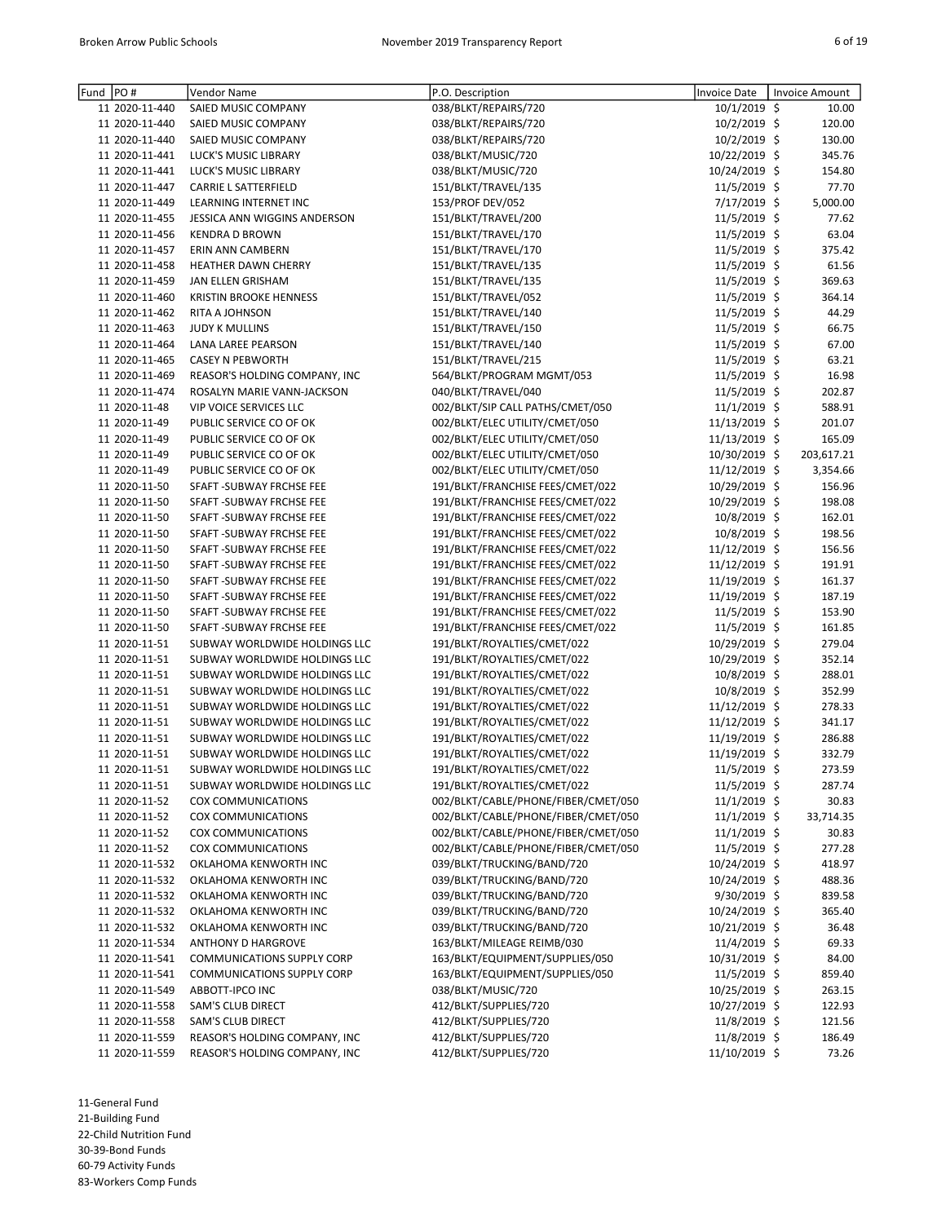| Fund | PO#            | Vendor Name                       | P.O. Description                    | <b>Invoice Date</b> | <b>Invoice Amount</b> |
|------|----------------|-----------------------------------|-------------------------------------|---------------------|-----------------------|
|      | 11 2020-11-440 | SAIED MUSIC COMPANY               | 038/BLKT/REPAIRS/720                | 10/1/2019 \$        | 10.00                 |
|      | 11 2020-11-440 | SAIED MUSIC COMPANY               | 038/BLKT/REPAIRS/720                | 10/2/2019 \$        | 120.00                |
|      | 11 2020-11-440 | SAIED MUSIC COMPANY               | 038/BLKT/REPAIRS/720                | 10/2/2019 \$        | 130.00                |
|      | 11 2020-11-441 | LUCK'S MUSIC LIBRARY              | 038/BLKT/MUSIC/720                  | 10/22/2019 \$       | 345.76                |
|      | 11 2020-11-441 | LUCK'S MUSIC LIBRARY              | 038/BLKT/MUSIC/720                  | 10/24/2019 \$       | 154.80                |
|      | 11 2020-11-447 | <b>CARRIE L SATTERFIELD</b>       | 151/BLKT/TRAVEL/135                 | 11/5/2019 \$        | 77.70                 |
|      | 11 2020-11-449 | <b>LEARNING INTERNET INC</b>      | 153/PROF DEV/052                    | 7/17/2019 \$        | 5,000.00              |
|      | 11 2020-11-455 | JESSICA ANN WIGGINS ANDERSON      | 151/BLKT/TRAVEL/200                 | 11/5/2019 \$        | 77.62                 |
|      | 11 2020-11-456 | <b>KENDRA D BROWN</b>             | 151/BLKT/TRAVEL/170                 | 11/5/2019 \$        | 63.04                 |
|      | 11 2020-11-457 | <b>ERIN ANN CAMBERN</b>           | 151/BLKT/TRAVEL/170                 | 11/5/2019 \$        | 375.42                |
|      | 11 2020-11-458 | HEATHER DAWN CHERRY               | 151/BLKT/TRAVEL/135                 | 11/5/2019 \$        | 61.56                 |
|      | 11 2020-11-459 | JAN ELLEN GRISHAM                 | 151/BLKT/TRAVEL/135                 | 11/5/2019 \$        | 369.63                |
|      | 11 2020-11-460 | <b>KRISTIN BROOKE HENNESS</b>     | 151/BLKT/TRAVEL/052                 | 11/5/2019 \$        | 364.14                |
|      | 11 2020-11-462 | RITA A JOHNSON                    | 151/BLKT/TRAVEL/140                 | 11/5/2019 \$        | 44.29                 |
|      | 11 2020-11-463 | <b>JUDY K MULLINS</b>             | 151/BLKT/TRAVEL/150                 | 11/5/2019 \$        | 66.75                 |
|      | 11 2020-11-464 | LANA LAREE PEARSON                | 151/BLKT/TRAVEL/140                 | 11/5/2019 \$        | 67.00                 |
|      | 11 2020-11-465 | <b>CASEY N PEBWORTH</b>           | 151/BLKT/TRAVEL/215                 | 11/5/2019 \$        | 63.21                 |
|      | 11 2020-11-469 | REASOR'S HOLDING COMPANY, INC     | 564/BLKT/PROGRAM MGMT/053           | 11/5/2019 \$        | 16.98                 |
|      | 11 2020-11-474 | ROSALYN MARIE VANN-JACKSON        | 040/BLKT/TRAVEL/040                 | 11/5/2019 \$        | 202.87                |
|      | 11 2020-11-48  | <b>VIP VOICE SERVICES LLC</b>     | 002/BLKT/SIP CALL PATHS/CMET/050    | 11/1/2019 \$        | 588.91                |
|      | 11 2020-11-49  |                                   |                                     |                     |                       |
|      |                | PUBLIC SERVICE CO OF OK           | 002/BLKT/ELEC UTILITY/CMET/050      | 11/13/2019 \$       | 201.07                |
|      | 11 2020-11-49  | PUBLIC SERVICE CO OF OK           | 002/BLKT/ELEC UTILITY/CMET/050      | 11/13/2019 \$       | 165.09                |
|      | 11 2020-11-49  | PUBLIC SERVICE CO OF OK           | 002/BLKT/ELEC UTILITY/CMET/050      | 10/30/2019 \$       | 203,617.21            |
|      | 11 2020-11-49  | PUBLIC SERVICE CO OF OK           | 002/BLKT/ELEC UTILITY/CMET/050      | 11/12/2019 \$       | 3,354.66              |
|      | 11 2020-11-50  | SFAFT - SUBWAY FRCHSE FEE         | 191/BLKT/FRANCHISE FEES/CMET/022    | 10/29/2019 \$       | 156.96                |
|      | 11 2020-11-50  | SFAFT - SUBWAY FRCHSE FEE         | 191/BLKT/FRANCHISE FEES/CMET/022    | 10/29/2019 \$       | 198.08                |
|      | 11 2020-11-50  | SFAFT - SUBWAY FRCHSE FEE         | 191/BLKT/FRANCHISE FEES/CMET/022    | 10/8/2019 \$        | 162.01                |
|      | 11 2020-11-50  | SFAFT - SUBWAY FRCHSE FEE         | 191/BLKT/FRANCHISE FEES/CMET/022    | 10/8/2019 \$        | 198.56                |
|      | 11 2020-11-50  | SFAFT - SUBWAY FRCHSE FEE         | 191/BLKT/FRANCHISE FEES/CMET/022    | 11/12/2019 \$       | 156.56                |
|      | 11 2020-11-50  | SFAFT - SUBWAY FRCHSE FEE         | 191/BLKT/FRANCHISE FEES/CMET/022    | 11/12/2019 \$       | 191.91                |
|      | 11 2020-11-50  | SFAFT - SUBWAY FRCHSE FEE         | 191/BLKT/FRANCHISE FEES/CMET/022    | 11/19/2019 \$       | 161.37                |
|      | 11 2020-11-50  | SFAFT - SUBWAY FRCHSE FEE         | 191/BLKT/FRANCHISE FEES/CMET/022    | 11/19/2019 \$       | 187.19                |
|      | 11 2020-11-50  | SFAFT - SUBWAY FRCHSE FEE         | 191/BLKT/FRANCHISE FEES/CMET/022    | 11/5/2019 \$        | 153.90                |
|      | 11 2020-11-50  | SFAFT - SUBWAY FRCHSE FEE         | 191/BLKT/FRANCHISE FEES/CMET/022    | 11/5/2019 \$        | 161.85                |
|      | 11 2020-11-51  | SUBWAY WORLDWIDE HOLDINGS LLC     | 191/BLKT/ROYALTIES/CMET/022         | 10/29/2019 \$       | 279.04                |
|      | 11 2020-11-51  | SUBWAY WORLDWIDE HOLDINGS LLC     | 191/BLKT/ROYALTIES/CMET/022         | 10/29/2019 \$       | 352.14                |
|      | 11 2020-11-51  | SUBWAY WORLDWIDE HOLDINGS LLC     | 191/BLKT/ROYALTIES/CMET/022         | 10/8/2019 \$        | 288.01                |
|      | 11 2020-11-51  | SUBWAY WORLDWIDE HOLDINGS LLC     | 191/BLKT/ROYALTIES/CMET/022         | 10/8/2019 \$        | 352.99                |
|      | 11 2020-11-51  | SUBWAY WORLDWIDE HOLDINGS LLC     | 191/BLKT/ROYALTIES/CMET/022         | 11/12/2019 \$       | 278.33                |
|      | 11 2020-11-51  | SUBWAY WORLDWIDE HOLDINGS LLC     | 191/BLKT/ROYALTIES/CMET/022         | 11/12/2019 \$       | 341.17                |
|      | 11 2020-11-51  | SUBWAY WORLDWIDE HOLDINGS LLC     | 191/BLKT/ROYALTIES/CMET/022         | 11/19/2019 \$       | 286.88                |
|      | 11 2020-11-51  | SUBWAY WORLDWIDE HOLDINGS LLC     | 191/BLKT/ROYALTIES/CMET/022         | 11/19/2019 \$       | 332.79                |
|      | 11 2020-11-51  | SUBWAY WORLDWIDE HOLDINGS LLC     | 191/BLKT/ROYALTIES/CMET/022         | 11/5/2019 \$        | 273.59                |
|      | 11 2020-11-51  | SUBWAY WORLDWIDE HOLDINGS LLC     | 191/BLKT/ROYALTIES/CMET/022         | 11/5/2019 \$        | 287.74                |
|      | 11 2020-11-52  | COX COMMUNICATIONS                | 002/BLKT/CABLE/PHONE/FIBER/CMET/050 | $11/1/2019$ \$      | 30.83                 |
|      | 11 2020-11-52  | COX COMMUNICATIONS                | 002/BLKT/CABLE/PHONE/FIBER/CMET/050 | $11/1/2019$ \$      | 33,714.35             |
|      | 11 2020-11-52  |                                   | 002/BLKT/CABLE/PHONE/FIBER/CMET/050 |                     |                       |
|      |                | COX COMMUNICATIONS                |                                     | $11/1/2019$ \$      | 30.83                 |
|      | 11 2020-11-52  | COX COMMUNICATIONS                | 002/BLKT/CABLE/PHONE/FIBER/CMET/050 | $11/5/2019$ \$      | 277.28                |
|      | 11 2020-11-532 | OKLAHOMA KENWORTH INC             | 039/BLKT/TRUCKING/BAND/720          | 10/24/2019 \$       | 418.97                |
|      | 11 2020-11-532 | OKLAHOMA KENWORTH INC             | 039/BLKT/TRUCKING/BAND/720          | 10/24/2019 \$       | 488.36                |
|      | 11 2020-11-532 | OKLAHOMA KENWORTH INC             | 039/BLKT/TRUCKING/BAND/720          | $9/30/2019$ \$      | 839.58                |
|      | 11 2020-11-532 | OKLAHOMA KENWORTH INC             | 039/BLKT/TRUCKING/BAND/720          | 10/24/2019 \$       | 365.40                |
|      | 11 2020-11-532 | OKLAHOMA KENWORTH INC             | 039/BLKT/TRUCKING/BAND/720          | 10/21/2019 \$       | 36.48                 |
|      | 11 2020-11-534 | <b>ANTHONY D HARGROVE</b>         | 163/BLKT/MILEAGE REIMB/030          | 11/4/2019 \$        | 69.33                 |
|      | 11 2020-11-541 | <b>COMMUNICATIONS SUPPLY CORP</b> | 163/BLKT/EQUIPMENT/SUPPLIES/050     | 10/31/2019 \$       | 84.00                 |
|      | 11 2020-11-541 | <b>COMMUNICATIONS SUPPLY CORP</b> | 163/BLKT/EQUIPMENT/SUPPLIES/050     | $11/5/2019$ \$      | 859.40                |
|      | 11 2020-11-549 | ABBOTT-IPCO INC                   | 038/BLKT/MUSIC/720                  | 10/25/2019 \$       | 263.15                |
|      | 11 2020-11-558 | SAM'S CLUB DIRECT                 | 412/BLKT/SUPPLIES/720               | 10/27/2019 \$       | 122.93                |
|      | 11 2020-11-558 | SAM'S CLUB DIRECT                 | 412/BLKT/SUPPLIES/720               | 11/8/2019 \$        | 121.56                |
|      | 11 2020-11-559 | REASOR'S HOLDING COMPANY, INC     | 412/BLKT/SUPPLIES/720               | 11/8/2019 \$        | 186.49                |
|      | 11 2020-11-559 | REASOR'S HOLDING COMPANY, INC     | 412/BLKT/SUPPLIES/720               | 11/10/2019 \$       | 73.26                 |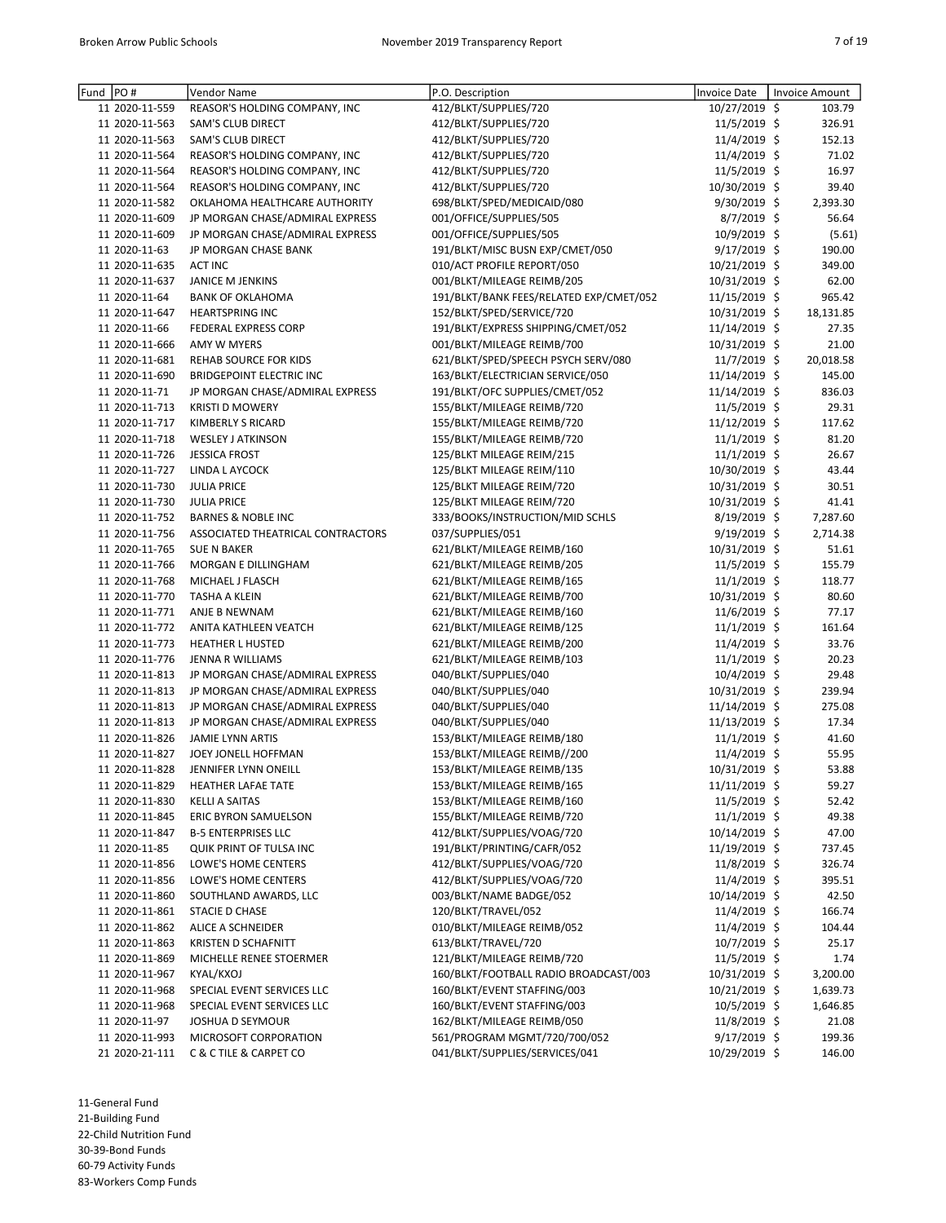| Fund | PO#            | Vendor Name                       | P.O. Description                        | <b>Invoice Date</b> | Invoice Amount |
|------|----------------|-----------------------------------|-----------------------------------------|---------------------|----------------|
|      | 11 2020-11-559 | REASOR'S HOLDING COMPANY, INC     | 412/BLKT/SUPPLIES/720                   | 10/27/2019 \$       | 103.79         |
|      | 11 2020-11-563 | SAM'S CLUB DIRECT                 | 412/BLKT/SUPPLIES/720                   | 11/5/2019 \$        | 326.91         |
|      | 11 2020-11-563 | SAM'S CLUB DIRECT                 | 412/BLKT/SUPPLIES/720                   | 11/4/2019 \$        | 152.13         |
|      | 11 2020-11-564 | REASOR'S HOLDING COMPANY, INC     | 412/BLKT/SUPPLIES/720                   | 11/4/2019 \$        | 71.02          |
|      | 11 2020-11-564 | REASOR'S HOLDING COMPANY, INC     | 412/BLKT/SUPPLIES/720                   | 11/5/2019 \$        | 16.97          |
|      | 11 2020-11-564 | REASOR'S HOLDING COMPANY, INC     | 412/BLKT/SUPPLIES/720                   | 10/30/2019 \$       | 39.40          |
|      | 11 2020-11-582 | OKLAHOMA HEALTHCARE AUTHORITY     | 698/BLKT/SPED/MEDICAID/080              | 9/30/2019 \$        | 2,393.30       |
|      | 11 2020-11-609 | JP MORGAN CHASE/ADMIRAL EXPRESS   | 001/OFFICE/SUPPLIES/505                 | $8/7/2019$ \$       | 56.64          |
|      | 11 2020-11-609 | JP MORGAN CHASE/ADMIRAL EXPRESS   | 001/OFFICE/SUPPLIES/505                 | 10/9/2019 \$        | (5.61)         |
|      | 11 2020-11-63  | JP MORGAN CHASE BANK              | 191/BLKT/MISC BUSN EXP/CMET/050         | 9/17/2019 \$        | 190.00         |
|      | 11 2020-11-635 | <b>ACT INC</b>                    | 010/ACT PROFILE REPORT/050              | 10/21/2019 \$       | 349.00         |
|      | 11 2020-11-637 | JANICE M JENKINS                  | 001/BLKT/MILEAGE REIMB/205              | 10/31/2019 \$       | 62.00          |
|      | 11 2020-11-64  | <b>BANK OF OKLAHOMA</b>           | 191/BLKT/BANK FEES/RELATED EXP/CMET/052 | 11/15/2019 \$       | 965.42         |
|      | 11 2020-11-647 | <b>HEARTSPRING INC</b>            | 152/BLKT/SPED/SERVICE/720               | 10/31/2019 \$       | 18,131.85      |
|      | 11 2020-11-66  | <b>FEDERAL EXPRESS CORP</b>       | 191/BLKT/EXPRESS SHIPPING/CMET/052      | 11/14/2019 \$       | 27.35          |
|      | 11 2020-11-666 | <b>AMY W MYERS</b>                | 001/BLKT/MILEAGE REIMB/700              | 10/31/2019 \$       | 21.00          |
|      | 11 2020-11-681 |                                   | 621/BLKT/SPED/SPEECH PSYCH SERV/080     | 11/7/2019 \$        | 20,018.58      |
|      |                | REHAB SOURCE FOR KIDS             |                                         |                     |                |
|      | 11 2020-11-690 | <b>BRIDGEPOINT ELECTRIC INC</b>   | 163/BLKT/ELECTRICIAN SERVICE/050        | 11/14/2019 \$       | 145.00         |
|      | 11 2020-11-71  | JP MORGAN CHASE/ADMIRAL EXPRESS   | 191/BLKT/OFC SUPPLIES/CMET/052          | 11/14/2019 \$       | 836.03         |
|      | 11 2020-11-713 | <b>KRISTI D MOWERY</b>            | 155/BLKT/MILEAGE REIMB/720              | 11/5/2019 \$        | 29.31          |
|      | 11 2020-11-717 | <b>KIMBERLY S RICARD</b>          | 155/BLKT/MILEAGE REIMB/720              | 11/12/2019 \$       | 117.62         |
|      | 11 2020-11-718 | <b>WESLEY J ATKINSON</b>          | 155/BLKT/MILEAGE REIMB/720              | 11/1/2019 \$        | 81.20          |
|      | 11 2020-11-726 | <b>JESSICA FROST</b>              | 125/BLKT MILEAGE REIM/215               | $11/1/2019$ \$      | 26.67          |
|      | 11 2020-11-727 | LINDA L AYCOCK                    | 125/BLKT MILEAGE REIM/110               | 10/30/2019 \$       | 43.44          |
|      | 11 2020-11-730 | <b>JULIA PRICE</b>                | 125/BLKT MILEAGE REIM/720               | 10/31/2019 \$       | 30.51          |
|      | 11 2020-11-730 | <b>JULIA PRICE</b>                | 125/BLKT MILEAGE REIM/720               | 10/31/2019 \$       | 41.41          |
|      | 11 2020-11-752 | <b>BARNES &amp; NOBLE INC</b>     | 333/BOOKS/INSTRUCTION/MID SCHLS         | $8/19/2019$ \$      | 7,287.60       |
|      | 11 2020-11-756 | ASSOCIATED THEATRICAL CONTRACTORS | 037/SUPPLIES/051                        | $9/19/2019$ \$      | 2,714.38       |
|      | 11 2020-11-765 | <b>SUE N BAKER</b>                | 621/BLKT/MILEAGE REIMB/160              | 10/31/2019 \$       | 51.61          |
|      | 11 2020-11-766 | MORGAN E DILLINGHAM               | 621/BLKT/MILEAGE REIMB/205              | 11/5/2019 \$        | 155.79         |
|      | 11 2020-11-768 | MICHAEL J FLASCH                  | 621/BLKT/MILEAGE REIMB/165              | 11/1/2019 \$        | 118.77         |
|      | 11 2020-11-770 | TASHA A KLEIN                     | 621/BLKT/MILEAGE REIMB/700              | 10/31/2019 \$       | 80.60          |
|      | 11 2020-11-771 | ANJE B NEWNAM                     | 621/BLKT/MILEAGE REIMB/160              | $11/6/2019$ \$      | 77.17          |
|      | 11 2020-11-772 | ANITA KATHLEEN VEATCH             | 621/BLKT/MILEAGE REIMB/125              | $11/1/2019$ \$      | 161.64         |
|      | 11 2020-11-773 | <b>HEATHER L HUSTED</b>           | 621/BLKT/MILEAGE REIMB/200              | 11/4/2019 \$        | 33.76          |
|      | 11 2020-11-776 | JENNA R WILLIAMS                  | 621/BLKT/MILEAGE REIMB/103              | $11/1/2019$ \$      | 20.23          |
|      | 11 2020-11-813 | JP MORGAN CHASE/ADMIRAL EXPRESS   | 040/BLKT/SUPPLIES/040                   | 10/4/2019 \$        | 29.48          |
|      | 11 2020-11-813 | JP MORGAN CHASE/ADMIRAL EXPRESS   | 040/BLKT/SUPPLIES/040                   | 10/31/2019 \$       | 239.94         |
|      | 11 2020-11-813 | JP MORGAN CHASE/ADMIRAL EXPRESS   | 040/BLKT/SUPPLIES/040                   | 11/14/2019 \$       | 275.08         |
|      | 11 2020-11-813 | JP MORGAN CHASE/ADMIRAL EXPRESS   | 040/BLKT/SUPPLIES/040                   | 11/13/2019 \$       | 17.34          |
|      | 11 2020-11-826 | <b>JAMIE LYNN ARTIS</b>           | 153/BLKT/MILEAGE REIMB/180              | $11/1/2019$ \$      | 41.60          |
|      | 11 2020-11-827 | JOEY JONELL HOFFMAN               | 153/BLKT/MILEAGE REIMB//200             | 11/4/2019 \$        | 55.95          |
|      | 11 2020-11-828 | JENNIFER LYNN ONEILL              | 153/BLKT/MILEAGE REIMB/135              | 10/31/2019 \$       | 53.88          |
|      | 11 2020-11-829 | <b>HEATHER LAFAE TATE</b>         | 153/BLKT/MILEAGE REIMB/165              | 11/11/2019 \$       | 59.27          |
|      | 11 2020-11-830 | <b>KELLI A SAITAS</b>             | 153/BLKT/MILEAGE REIMB/160              | 11/5/2019 \$        | 52.42          |
|      | 11 2020-11-845 | ERIC BYRON SAMUELSON              | 155/BLKT/MILEAGE REIMB/720              | 11/1/2019 \$        | 49.38          |
|      | 11 2020-11-847 | <b>B-5 ENTERPRISES LLC</b>        | 412/BLKT/SUPPLIES/VOAG/720              | 10/14/2019 \$       | 47.00          |
|      | 11 2020-11-85  | QUIK PRINT OF TULSA INC           | 191/BLKT/PRINTING/CAFR/052              | 11/19/2019 \$       | 737.45         |
|      | 11 2020-11-856 | LOWE'S HOME CENTERS               | 412/BLKT/SUPPLIES/VOAG/720              | $11/8/2019$ \$      | 326.74         |
|      | 11 2020-11-856 | LOWE'S HOME CENTERS               | 412/BLKT/SUPPLIES/VOAG/720              | $11/4/2019$ \$      | 395.51         |
|      |                |                                   |                                         |                     |                |
|      | 11 2020-11-860 | SOUTHLAND AWARDS, LLC             | 003/BLKT/NAME BADGE/052                 | 10/14/2019 \$       | 42.50          |
|      | 11 2020-11-861 | STACIE D CHASE                    | 120/BLKT/TRAVEL/052                     | 11/4/2019 \$        | 166.74         |
|      | 11 2020-11-862 | ALICE A SCHNEIDER                 | 010/BLKT/MILEAGE REIMB/052              | $11/4/2019$ \$      | 104.44         |
|      | 11 2020-11-863 | KRISTEN D SCHAFNITT               | 613/BLKT/TRAVEL/720                     | $10/7/2019$ \$      | 25.17          |
|      | 11 2020-11-869 | MICHELLE RENEE STOERMER           | 121/BLKT/MILEAGE REIMB/720              | $11/5/2019$ \$      | 1.74           |
|      | 11 2020-11-967 | KYAL/KXOJ                         | 160/BLKT/FOOTBALL RADIO BROADCAST/003   | 10/31/2019 \$       | 3,200.00       |
|      | 11 2020-11-968 | SPECIAL EVENT SERVICES LLC        | 160/BLKT/EVENT STAFFING/003             | 10/21/2019 \$       | 1,639.73       |
|      | 11 2020-11-968 | SPECIAL EVENT SERVICES LLC        | 160/BLKT/EVENT STAFFING/003             | $10/5/2019$ \$      | 1,646.85       |
|      | 11 2020-11-97  | JOSHUA D SEYMOUR                  | 162/BLKT/MILEAGE REIMB/050              | $11/8/2019$ \$      | 21.08          |
|      | 11 2020-11-993 | MICROSOFT CORPORATION             | 561/PROGRAM MGMT/720/700/052            | 9/17/2019 \$        | 199.36         |
|      | 21 2020-21-111 | C & C TILE & CARPET CO            | 041/BLKT/SUPPLIES/SERVICES/041          | 10/29/2019 \$       | 146.00         |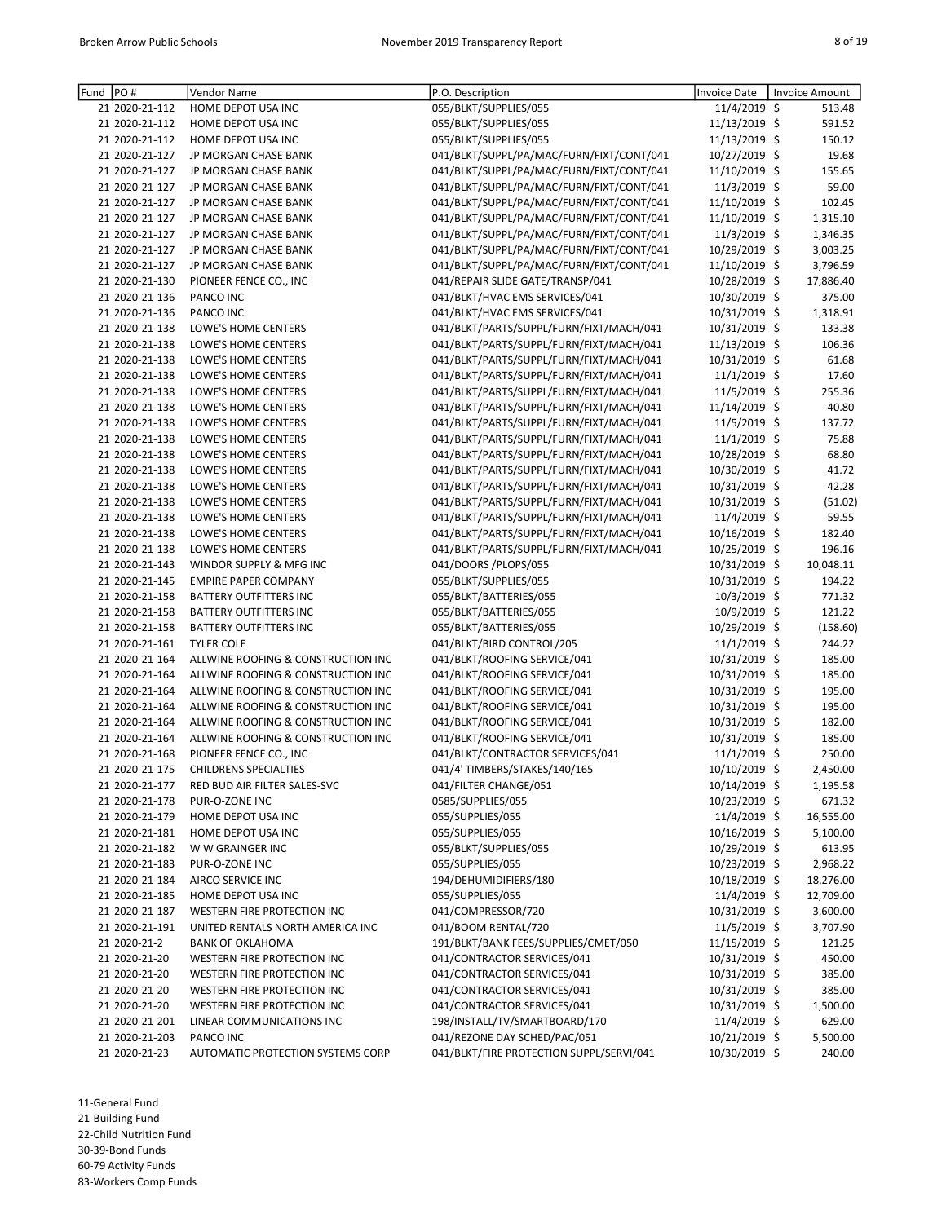| PO#<br>Fund    | Vendor Name                        | P.O. Description                         | Invoice Date   | <b>Invoice Amount</b> |
|----------------|------------------------------------|------------------------------------------|----------------|-----------------------|
| 21 2020-21-112 | HOME DEPOT USA INC                 | 055/BLKT/SUPPLIES/055                    | 11/4/2019 \$   | 513.48                |
| 21 2020-21-112 | HOME DEPOT USA INC                 | 055/BLKT/SUPPLIES/055                    | 11/13/2019 \$  | 591.52                |
| 21 2020-21-112 | HOME DEPOT USA INC                 | 055/BLKT/SUPPLIES/055                    | 11/13/2019 \$  | 150.12                |
| 21 2020-21-127 | JP MORGAN CHASE BANK               | 041/BLKT/SUPPL/PA/MAC/FURN/FIXT/CONT/041 | 10/27/2019 \$  | 19.68                 |
| 21 2020-21-127 | JP MORGAN CHASE BANK               | 041/BLKT/SUPPL/PA/MAC/FURN/FIXT/CONT/041 | 11/10/2019 \$  | 155.65                |
| 21 2020-21-127 | JP MORGAN CHASE BANK               | 041/BLKT/SUPPL/PA/MAC/FURN/FIXT/CONT/041 | 11/3/2019 \$   | 59.00                 |
| 21 2020-21-127 | JP MORGAN CHASE BANK               | 041/BLKT/SUPPL/PA/MAC/FURN/FIXT/CONT/041 | 11/10/2019 \$  | 102.45                |
| 21 2020-21-127 | JP MORGAN CHASE BANK               | 041/BLKT/SUPPL/PA/MAC/FURN/FIXT/CONT/041 | 11/10/2019 \$  | 1,315.10              |
| 21 2020-21-127 | JP MORGAN CHASE BANK               | 041/BLKT/SUPPL/PA/MAC/FURN/FIXT/CONT/041 | 11/3/2019 \$   | 1,346.35              |
| 21 2020-21-127 | JP MORGAN CHASE BANK               | 041/BLKT/SUPPL/PA/MAC/FURN/FIXT/CONT/041 | 10/29/2019 \$  | 3,003.25              |
| 21 2020-21-127 | JP MORGAN CHASE BANK               | 041/BLKT/SUPPL/PA/MAC/FURN/FIXT/CONT/041 | 11/10/2019 \$  | 3,796.59              |
| 21 2020-21-130 |                                    | 041/REPAIR SLIDE GATE/TRANSP/041         | 10/28/2019 \$  | 17,886.40             |
| 21 2020-21-136 | PIONEER FENCE CO., INC             |                                          |                |                       |
|                | PANCO INC                          | 041/BLKT/HVAC EMS SERVICES/041           | 10/30/2019 \$  | 375.00                |
| 21 2020-21-136 | PANCO INC                          | 041/BLKT/HVAC EMS SERVICES/041           | 10/31/2019 \$  | 1,318.91              |
| 21 2020-21-138 | LOWE'S HOME CENTERS                | 041/BLKT/PARTS/SUPPL/FURN/FIXT/MACH/041  | 10/31/2019 \$  | 133.38                |
| 21 2020-21-138 | LOWE'S HOME CENTERS                | 041/BLKT/PARTS/SUPPL/FURN/FIXT/MACH/041  | 11/13/2019 \$  | 106.36                |
| 21 2020-21-138 | LOWE'S HOME CENTERS                | 041/BLKT/PARTS/SUPPL/FURN/FIXT/MACH/041  | 10/31/2019 \$  | 61.68                 |
| 21 2020-21-138 | LOWE'S HOME CENTERS                | 041/BLKT/PARTS/SUPPL/FURN/FIXT/MACH/041  | $11/1/2019$ \$ | 17.60                 |
| 21 2020-21-138 | LOWE'S HOME CENTERS                | 041/BLKT/PARTS/SUPPL/FURN/FIXT/MACH/041  | 11/5/2019 \$   | 255.36                |
| 21 2020-21-138 | LOWE'S HOME CENTERS                | 041/BLKT/PARTS/SUPPL/FURN/FIXT/MACH/041  | 11/14/2019 \$  | 40.80                 |
| 21 2020-21-138 | LOWE'S HOME CENTERS                | 041/BLKT/PARTS/SUPPL/FURN/FIXT/MACH/041  | 11/5/2019 \$   | 137.72                |
| 21 2020-21-138 | LOWE'S HOME CENTERS                | 041/BLKT/PARTS/SUPPL/FURN/FIXT/MACH/041  | 11/1/2019 \$   | 75.88                 |
| 21 2020-21-138 | LOWE'S HOME CENTERS                | 041/BLKT/PARTS/SUPPL/FURN/FIXT/MACH/041  | 10/28/2019 \$  | 68.80                 |
| 21 2020-21-138 | LOWE'S HOME CENTERS                | 041/BLKT/PARTS/SUPPL/FURN/FIXT/MACH/041  | 10/30/2019 \$  | 41.72                 |
| 21 2020-21-138 | LOWE'S HOME CENTERS                | 041/BLKT/PARTS/SUPPL/FURN/FIXT/MACH/041  | 10/31/2019 \$  | 42.28                 |
| 21 2020-21-138 | LOWE'S HOME CENTERS                | 041/BLKT/PARTS/SUPPL/FURN/FIXT/MACH/041  | 10/31/2019 \$  | (51.02)               |
| 21 2020-21-138 | LOWE'S HOME CENTERS                | 041/BLKT/PARTS/SUPPL/FURN/FIXT/MACH/041  | 11/4/2019 \$   | 59.55                 |
| 21 2020-21-138 | LOWE'S HOME CENTERS                | 041/BLKT/PARTS/SUPPL/FURN/FIXT/MACH/041  | 10/16/2019 \$  | 182.40                |
| 21 2020-21-138 | LOWE'S HOME CENTERS                | 041/BLKT/PARTS/SUPPL/FURN/FIXT/MACH/041  | 10/25/2019 \$  | 196.16                |
| 21 2020-21-143 | WINDOR SUPPLY & MFG INC            | 041/DOORS/PLOPS/055                      | 10/31/2019 \$  | 10,048.11             |
| 21 2020-21-145 | <b>EMPIRE PAPER COMPANY</b>        | 055/BLKT/SUPPLIES/055                    | 10/31/2019 \$  | 194.22                |
| 21 2020-21-158 | <b>BATTERY OUTFITTERS INC</b>      | 055/BLKT/BATTERIES/055                   | 10/3/2019 \$   | 771.32                |
| 21 2020-21-158 | <b>BATTERY OUTFITTERS INC</b>      | 055/BLKT/BATTERIES/055                   | 10/9/2019 \$   | 121.22                |
| 21 2020-21-158 | <b>BATTERY OUTFITTERS INC</b>      | 055/BLKT/BATTERIES/055                   | 10/29/2019 \$  | (158.60)              |
| 21 2020-21-161 | <b>TYLER COLE</b>                  | 041/BLKT/BIRD CONTROL/205                | 11/1/2019 \$   | 244.22                |
| 21 2020-21-164 | ALLWINE ROOFING & CONSTRUCTION INC | 041/BLKT/ROOFING SERVICE/041             | 10/31/2019 \$  | 185.00                |
|                |                                    |                                          |                |                       |
| 21 2020-21-164 | ALLWINE ROOFING & CONSTRUCTION INC | 041/BLKT/ROOFING SERVICE/041             | 10/31/2019 \$  | 185.00                |
| 21 2020-21-164 | ALLWINE ROOFING & CONSTRUCTION INC | 041/BLKT/ROOFING SERVICE/041             | 10/31/2019 \$  | 195.00                |
| 21 2020-21-164 | ALLWINE ROOFING & CONSTRUCTION INC | 041/BLKT/ROOFING SERVICE/041             | 10/31/2019 \$  | 195.00                |
| 21 2020-21-164 | ALLWINE ROOFING & CONSTRUCTION INC | 041/BLKT/ROOFING SERVICE/041             | 10/31/2019 \$  | 182.00                |
| 21 2020-21-164 | ALLWINE ROOFING & CONSTRUCTION INC | 041/BLKT/ROOFING SERVICE/041             | 10/31/2019 \$  | 185.00                |
| 21 2020-21-168 | PIONEER FENCE CO., INC             | 041/BLKT/CONTRACTOR SERVICES/041         | $11/1/2019$ \$ | 250.00                |
| 21 2020-21-175 | <b>CHILDRENS SPECIALTIES</b>       | 041/4' TIMBERS/STAKES/140/165            | 10/10/2019 \$  | 2,450.00              |
| 21 2020-21-177 | RED BUD AIR FILTER SALES-SVC       | 041/FILTER CHANGE/051                    | 10/14/2019 \$  | 1,195.58              |
| 21 2020-21-178 | PUR-O-ZONE INC                     | 0585/SUPPLIES/055                        | 10/23/2019 \$  | 671.32                |
| 21 2020-21-179 | HOME DEPOT USA INC                 | 055/SUPPLIES/055                         | 11/4/2019 \$   | 16,555.00             |
| 21 2020-21-181 | HOME DEPOT USA INC                 | 055/SUPPLIES/055                         | 10/16/2019 \$  | 5,100.00              |
| 21 2020-21-182 | W W GRAINGER INC                   | 055/BLKT/SUPPLIES/055                    | 10/29/2019 \$  | 613.95                |
| 21 2020-21-183 | PUR-O-ZONE INC                     | 055/SUPPLIES/055                         | 10/23/2019 \$  | 2,968.22              |
| 21 2020-21-184 | AIRCO SERVICE INC                  | 194/DEHUMIDIFIERS/180                    | 10/18/2019 \$  | 18,276.00             |
| 21 2020-21-185 | HOME DEPOT USA INC                 | 055/SUPPLIES/055                         | 11/4/2019 \$   | 12,709.00             |
| 21 2020-21-187 | WESTERN FIRE PROTECTION INC        | 041/COMPRESSOR/720                       | 10/31/2019 \$  | 3,600.00              |
| 21 2020-21-191 | UNITED RENTALS NORTH AMERICA INC   | 041/BOOM RENTAL/720                      | 11/5/2019 \$   | 3,707.90              |
| 21 2020-21-2   | <b>BANK OF OKLAHOMA</b>            | 191/BLKT/BANK FEES/SUPPLIES/CMET/050     | 11/15/2019 \$  | 121.25                |
| 21 2020-21-20  | WESTERN FIRE PROTECTION INC        | 041/CONTRACTOR SERVICES/041              | 10/31/2019 \$  | 450.00                |
| 21 2020-21-20  | WESTERN FIRE PROTECTION INC        | 041/CONTRACTOR SERVICES/041              | 10/31/2019 \$  | 385.00                |
| 21 2020-21-20  | WESTERN FIRE PROTECTION INC        | 041/CONTRACTOR SERVICES/041              | 10/31/2019 \$  | 385.00                |
| 21 2020-21-20  | WESTERN FIRE PROTECTION INC        | 041/CONTRACTOR SERVICES/041              | 10/31/2019 \$  | 1,500.00              |
| 21 2020-21-201 | LINEAR COMMUNICATIONS INC          | 198/INSTALL/TV/SMARTBOARD/170            | $11/4/2019$ \$ | 629.00                |
| 21 2020-21-203 | PANCO INC                          | 041/REZONE DAY SCHED/PAC/051             | 10/21/2019 \$  | 5,500.00              |
| 21 2020-21-23  | AUTOMATIC PROTECTION SYSTEMS CORP  | 041/BLKT/FIRE PROTECTION SUPPL/SERVI/041 | 10/30/2019 \$  | 240.00                |
|                |                                    |                                          |                |                       |

11-General Fund 21-Building Fund 22-Child Nutrition Fund

30-39-Bond Funds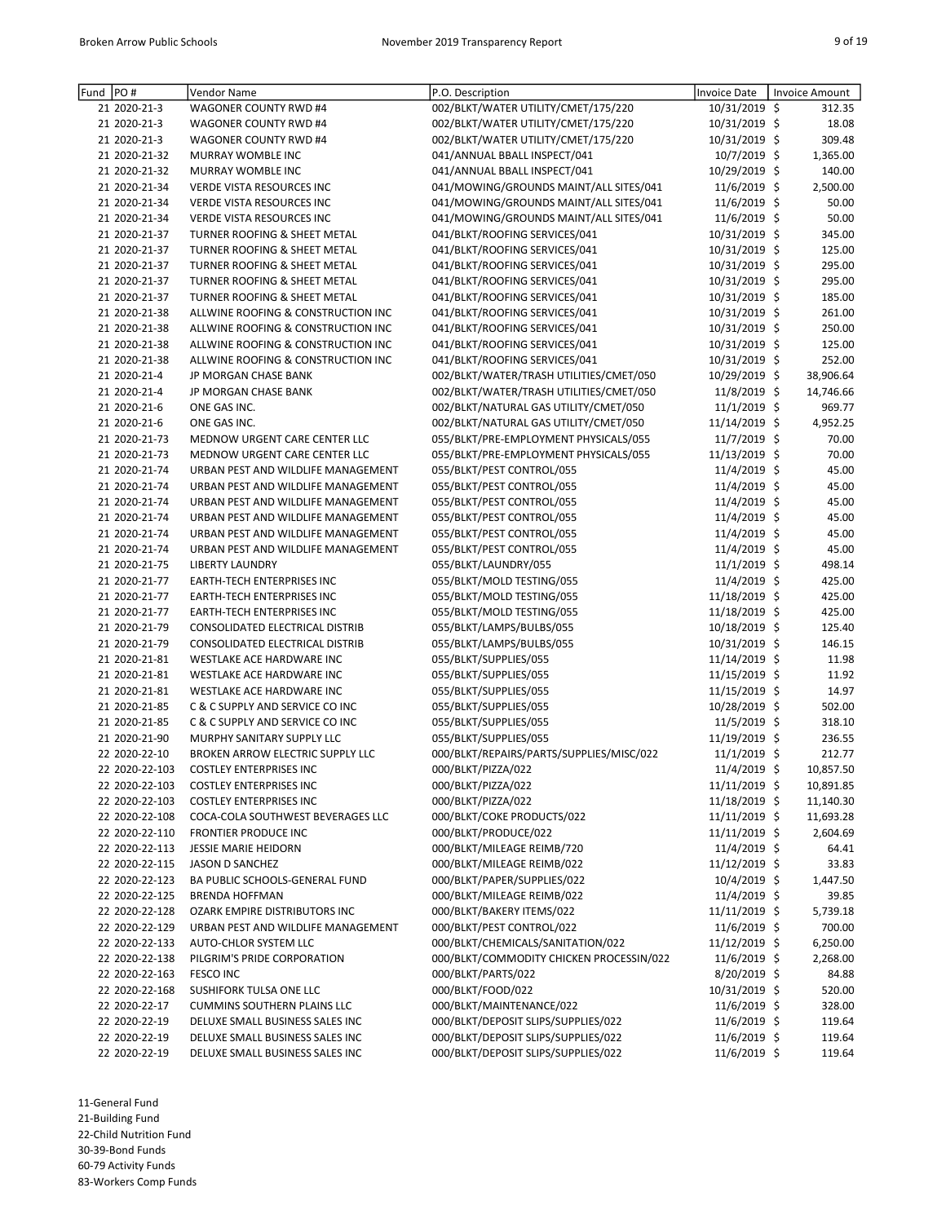| Fund | PO#            | Vendor Name                             | P.O. Description                         | <b>Invoice Date</b> | Invoice Amount |
|------|----------------|-----------------------------------------|------------------------------------------|---------------------|----------------|
|      | 21 2020-21-3   | WAGONER COUNTY RWD #4                   | 002/BLKT/WATER UTILITY/CMET/175/220      | 10/31/2019 \$       | 312.35         |
|      | 21 2020-21-3   | WAGONER COUNTY RWD #4                   | 002/BLKT/WATER UTILITY/CMET/175/220      | 10/31/2019 \$       | 18.08          |
|      | 21 2020-21-3   | WAGONER COUNTY RWD #4                   | 002/BLKT/WATER UTILITY/CMET/175/220      | 10/31/2019 \$       | 309.48         |
|      | 21 2020-21-32  | MURRAY WOMBLE INC                       | 041/ANNUAL BBALL INSPECT/041             | 10/7/2019 \$        | 1,365.00       |
|      | 21 2020-21-32  | MURRAY WOMBLE INC                       | 041/ANNUAL BBALL INSPECT/041             | 10/29/2019 \$       | 140.00         |
|      | 21 2020-21-34  | <b>VERDE VISTA RESOURCES INC</b>        | 041/MOWING/GROUNDS MAINT/ALL SITES/041   | 11/6/2019 \$        | 2,500.00       |
|      | 21 2020-21-34  | VERDE VISTA RESOURCES INC               | 041/MOWING/GROUNDS MAINT/ALL SITES/041   | 11/6/2019 \$        | 50.00          |
|      | 21 2020-21-34  | VERDE VISTA RESOURCES INC               | 041/MOWING/GROUNDS MAINT/ALL SITES/041   | 11/6/2019 \$        | 50.00          |
|      | 21 2020-21-37  | TURNER ROOFING & SHEET METAL            | 041/BLKT/ROOFING SERVICES/041            | 10/31/2019 \$       | 345.00         |
|      | 21 2020-21-37  | TURNER ROOFING & SHEET METAL            | 041/BLKT/ROOFING SERVICES/041            | 10/31/2019 \$       | 125.00         |
|      | 21 2020-21-37  |                                         | 041/BLKT/ROOFING SERVICES/041            | 10/31/2019 \$       | 295.00         |
|      |                | TURNER ROOFING & SHEET METAL            | 041/BLKT/ROOFING SERVICES/041            | 10/31/2019 \$       |                |
|      | 21 2020-21-37  | TURNER ROOFING & SHEET METAL            |                                          |                     | 295.00         |
|      | 21 2020-21-37  | TURNER ROOFING & SHEET METAL            | 041/BLKT/ROOFING SERVICES/041            | 10/31/2019 \$       | 185.00         |
|      | 21 2020-21-38  | ALLWINE ROOFING & CONSTRUCTION INC      | 041/BLKT/ROOFING SERVICES/041            | 10/31/2019 \$       | 261.00         |
|      | 21 2020-21-38  | ALLWINE ROOFING & CONSTRUCTION INC      | 041/BLKT/ROOFING SERVICES/041            | 10/31/2019 \$       | 250.00         |
|      | 21 2020-21-38  | ALLWINE ROOFING & CONSTRUCTION INC      | 041/BLKT/ROOFING SERVICES/041            | 10/31/2019 \$       | 125.00         |
|      | 21 2020-21-38  | ALLWINE ROOFING & CONSTRUCTION INC      | 041/BLKT/ROOFING SERVICES/041            | 10/31/2019 \$       | 252.00         |
|      | 21 2020-21-4   | JP MORGAN CHASE BANK                    | 002/BLKT/WATER/TRASH UTILITIES/CMET/050  | 10/29/2019 \$       | 38,906.64      |
|      | 21 2020-21-4   | JP MORGAN CHASE BANK                    | 002/BLKT/WATER/TRASH UTILITIES/CMET/050  | 11/8/2019 \$        | 14,746.66      |
|      | 21 2020-21-6   | ONE GAS INC.                            | 002/BLKT/NATURAL GAS UTILITY/CMET/050    | 11/1/2019 \$        | 969.77         |
|      | 21 2020-21-6   | ONE GAS INC.                            | 002/BLKT/NATURAL GAS UTILITY/CMET/050    | 11/14/2019 \$       | 4,952.25       |
|      | 21 2020-21-73  | MEDNOW URGENT CARE CENTER LLC           | 055/BLKT/PRE-EMPLOYMENT PHYSICALS/055    | 11/7/2019 \$        | 70.00          |
|      | 21 2020-21-73  | <b>MEDNOW URGENT CARE CENTER LLC</b>    | 055/BLKT/PRE-EMPLOYMENT PHYSICALS/055    | 11/13/2019 \$       | 70.00          |
|      | 21 2020-21-74  | URBAN PEST AND WILDLIFE MANAGEMENT      | 055/BLKT/PEST CONTROL/055                | 11/4/2019 \$        | 45.00          |
|      | 21 2020-21-74  | URBAN PEST AND WILDLIFE MANAGEMENT      | 055/BLKT/PEST CONTROL/055                | 11/4/2019 \$        | 45.00          |
|      | 21 2020-21-74  | URBAN PEST AND WILDLIFE MANAGEMENT      | 055/BLKT/PEST CONTROL/055                | 11/4/2019 \$        | 45.00          |
|      | 21 2020-21-74  | URBAN PEST AND WILDLIFE MANAGEMENT      | 055/BLKT/PEST CONTROL/055                | 11/4/2019 \$        | 45.00          |
|      | 21 2020-21-74  | URBAN PEST AND WILDLIFE MANAGEMENT      | 055/BLKT/PEST CONTROL/055                | 11/4/2019 \$        | 45.00          |
|      | 21 2020-21-74  | URBAN PEST AND WILDLIFE MANAGEMENT      | 055/BLKT/PEST CONTROL/055                | 11/4/2019 \$        | 45.00          |
|      | 21 2020-21-75  | <b>LIBERTY LAUNDRY</b>                  | 055/BLKT/LAUNDRY/055                     | 11/1/2019 \$        | 498.14         |
|      | 21 2020-21-77  | EARTH-TECH ENTERPRISES INC              | 055/BLKT/MOLD TESTING/055                | 11/4/2019 \$        | 425.00         |
|      |                |                                         |                                          |                     |                |
|      | 21 2020-21-77  | EARTH-TECH ENTERPRISES INC              | 055/BLKT/MOLD TESTING/055                | 11/18/2019 \$       | 425.00         |
|      | 21 2020-21-77  | <b>EARTH-TECH ENTERPRISES INC</b>       | 055/BLKT/MOLD TESTING/055                | 11/18/2019 \$       | 425.00         |
|      | 21 2020-21-79  | CONSOLIDATED ELECTRICAL DISTRIB         | 055/BLKT/LAMPS/BULBS/055                 | 10/18/2019 \$       | 125.40         |
|      | 21 2020-21-79  | CONSOLIDATED ELECTRICAL DISTRIB         | 055/BLKT/LAMPS/BULBS/055                 | 10/31/2019 \$       | 146.15         |
|      | 21 2020-21-81  | WESTLAKE ACE HARDWARE INC               | 055/BLKT/SUPPLIES/055                    | 11/14/2019 \$       | 11.98          |
|      | 21 2020-21-81  | WESTLAKE ACE HARDWARE INC               | 055/BLKT/SUPPLIES/055                    | 11/15/2019 \$       | 11.92          |
|      | 21 2020-21-81  | WESTLAKE ACE HARDWARE INC               | 055/BLKT/SUPPLIES/055                    | 11/15/2019 \$       | 14.97          |
|      | 21 2020-21-85  | C & C SUPPLY AND SERVICE CO INC         | 055/BLKT/SUPPLIES/055                    | 10/28/2019 \$       | 502.00         |
|      | 21 2020-21-85  | C & C SUPPLY AND SERVICE CO INC         | 055/BLKT/SUPPLIES/055                    | 11/5/2019 \$        | 318.10         |
|      | 21 2020-21-90  | MURPHY SANITARY SUPPLY LLC              | 055/BLKT/SUPPLIES/055                    | 11/19/2019 \$       | 236.55         |
|      | 22 2020-22-10  | <b>BROKEN ARROW ELECTRIC SUPPLY LLC</b> | 000/BLKT/REPAIRS/PARTS/SUPPLIES/MISC/022 | 11/1/2019 \$        | 212.77         |
|      | 22 2020-22-103 | <b>COSTLEY ENTERPRISES INC</b>          | 000/BLKT/PIZZA/022                       | 11/4/2019 \$        | 10,857.50      |
|      | 22 2020-22-103 | <b>COSTLEY ENTERPRISES INC</b>          | 000/BLKT/PIZZA/022                       | 11/11/2019 \$       | 10,891.85      |
|      | 22 2020-22-103 | <b>COSTLEY ENTERPRISES INC</b>          | 000/BLKT/PIZZA/022                       | 11/18/2019 \$       | 11,140.30      |
|      | 22 2020-22-108 | COCA-COLA SOUTHWEST BEVERAGES LLC       | 000/BLKT/COKE PRODUCTS/022               | 11/11/2019 \$       | 11,693.28      |
|      | 22 2020-22-110 | FRONTIER PRODUCE INC                    | 000/BLKT/PRODUCE/022                     | 11/11/2019 \$       | 2,604.69       |
|      | 22 2020-22-113 | <b>JESSIE MARIE HEIDORN</b>             | 000/BLKT/MILEAGE REIMB/720               | 11/4/2019 \$        | 64.41          |
|      | 22 2020-22-115 | JASON D SANCHEZ                         | 000/BLKT/MILEAGE REIMB/022               | 11/12/2019 \$       | 33.83          |
|      | 22 2020-22-123 | BA PUBLIC SCHOOLS-GENERAL FUND          | 000/BLKT/PAPER/SUPPLIES/022              | $10/4/2019$ \$      | 1,447.50       |
|      | 22 2020-22-125 | <b>BRENDA HOFFMAN</b>                   | 000/BLKT/MILEAGE REIMB/022               | 11/4/2019 \$        | 39.85          |
|      | 22 2020-22-128 | OZARK EMPIRE DISTRIBUTORS INC           | 000/BLKT/BAKERY ITEMS/022                | 11/11/2019 \$       | 5,739.18       |
|      | 22 2020-22-129 | URBAN PEST AND WILDLIFE MANAGEMENT      | 000/BLKT/PEST CONTROL/022                | 11/6/2019 \$        | 700.00         |
|      | 22 2020-22-133 | AUTO-CHLOR SYSTEM LLC                   | 000/BLKT/CHEMICALS/SANITATION/022        |                     |                |
|      |                |                                         | 000/BLKT/COMMODITY CHICKEN PROCESSIN/022 | 11/12/2019 \$       | 6,250.00       |
|      | 22 2020-22-138 | PILGRIM'S PRIDE CORPORATION             |                                          | $11/6/2019$ \$      | 2,268.00       |
|      | 22 2020-22-163 | FESCO INC                               | 000/BLKT/PARTS/022                       | 8/20/2019 \$        | 84.88          |
|      | 22 2020-22-168 | SUSHIFORK TULSA ONE LLC                 | 000/BLKT/FOOD/022                        | 10/31/2019 \$       | 520.00         |
|      | 22 2020-22-17  | <b>CUMMINS SOUTHERN PLAINS LLC</b>      | 000/BLKT/MAINTENANCE/022                 | $11/6/2019$ \$      | 328.00         |
|      | 22 2020-22-19  | DELUXE SMALL BUSINESS SALES INC         | 000/BLKT/DEPOSIT SLIPS/SUPPLIES/022      | $11/6/2019$ \$      | 119.64         |
|      | 22 2020-22-19  | DELUXE SMALL BUSINESS SALES INC         | 000/BLKT/DEPOSIT SLIPS/SUPPLIES/022      | 11/6/2019 \$        | 119.64         |
|      | 22 2020-22-19  | DELUXE SMALL BUSINESS SALES INC         | 000/BLKT/DEPOSIT SLIPS/SUPPLIES/022      | 11/6/2019 \$        | 119.64         |

21-Building Fund

22-Child Nutrition Fund

30-39-Bond Funds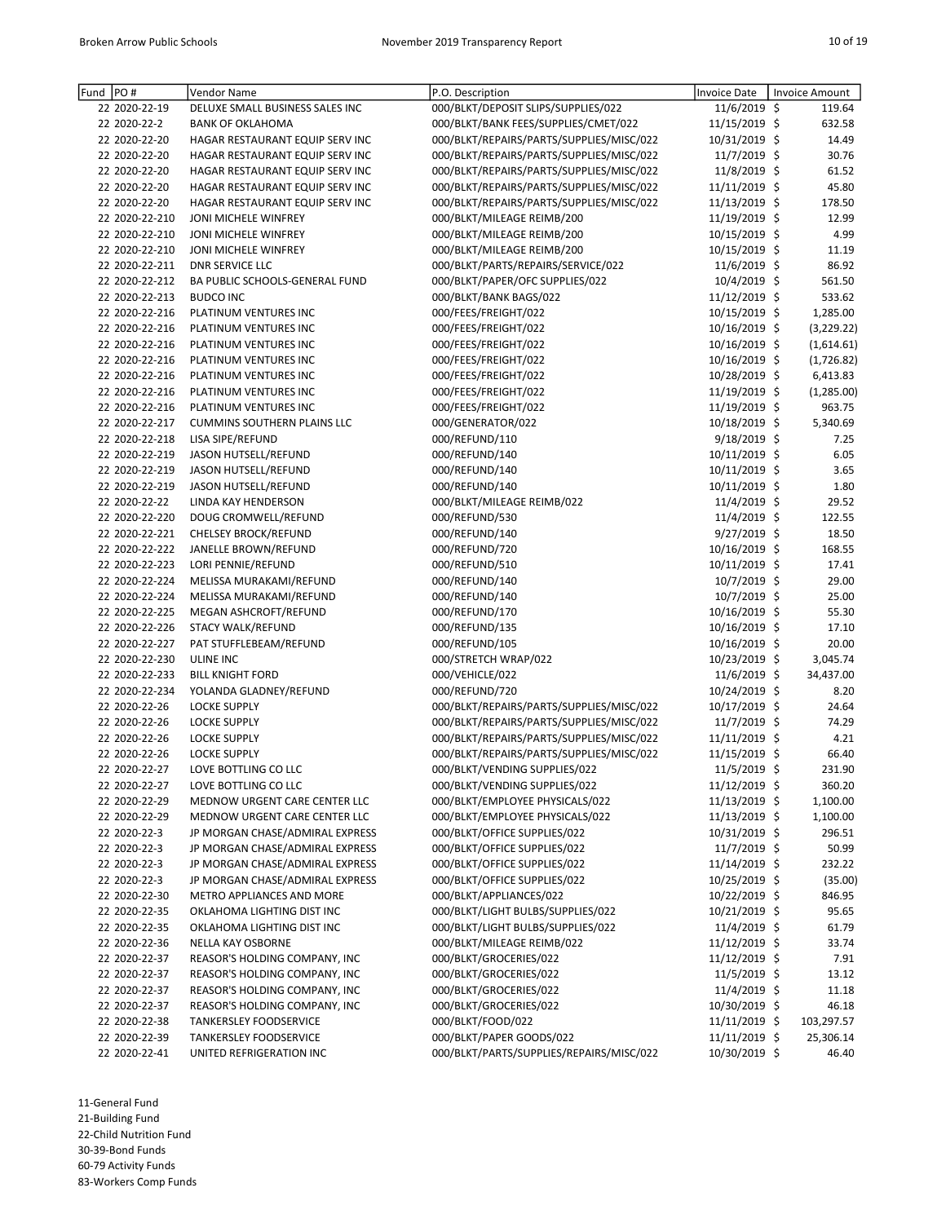| Fund PO# |                                  | Vendor Name                         | P.O. Description                         | Invoice Date                   | Invoice Amount    |
|----------|----------------------------------|-------------------------------------|------------------------------------------|--------------------------------|-------------------|
|          | 22 2020-22-19                    | DELUXE SMALL BUSINESS SALES INC     | 000/BLKT/DEPOSIT SLIPS/SUPPLIES/022      | 11/6/2019 \$                   | 119.64            |
|          | 22 2020-22-2                     | <b>BANK OF OKLAHOMA</b>             | 000/BLKT/BANK FEES/SUPPLIES/CMET/022     | 11/15/2019 \$                  | 632.58            |
|          | 22 2020-22-20                    | HAGAR RESTAURANT EQUIP SERV INC     | 000/BLKT/REPAIRS/PARTS/SUPPLIES/MISC/022 | 10/31/2019 \$                  | 14.49             |
|          | 22 2020-22-20                    | HAGAR RESTAURANT EQUIP SERV INC     | 000/BLKT/REPAIRS/PARTS/SUPPLIES/MISC/022 | 11/7/2019 \$                   | 30.76             |
|          | 22 2020-22-20                    | HAGAR RESTAURANT EQUIP SERV INC     | 000/BLKT/REPAIRS/PARTS/SUPPLIES/MISC/022 | 11/8/2019 \$                   | 61.52             |
|          | 22 2020-22-20                    | HAGAR RESTAURANT EQUIP SERV INC     | 000/BLKT/REPAIRS/PARTS/SUPPLIES/MISC/022 | 11/11/2019 \$                  | 45.80             |
|          | 22 2020-22-20                    | HAGAR RESTAURANT EQUIP SERV INC     | 000/BLKT/REPAIRS/PARTS/SUPPLIES/MISC/022 | 11/13/2019 \$                  | 178.50            |
|          | 22 2020-22-210                   | JONI MICHELE WINFREY                | 000/BLKT/MILEAGE REIMB/200               | 11/19/2019 \$                  | 12.99             |
|          | 22 2020-22-210                   | JONI MICHELE WINFREY                | 000/BLKT/MILEAGE REIMB/200               | 10/15/2019 \$                  | 4.99              |
|          | 22 2020-22-210                   | JONI MICHELE WINFREY                | 000/BLKT/MILEAGE REIMB/200               | 10/15/2019 \$                  | 11.19             |
|          | 22 2020-22-211                   | <b>DNR SERVICE LLC</b>              | 000/BLKT/PARTS/REPAIRS/SERVICE/022       | 11/6/2019 \$                   | 86.92             |
|          | 22 2020-22-212                   | BA PUBLIC SCHOOLS-GENERAL FUND      | 000/BLKT/PAPER/OFC SUPPLIES/022          | 10/4/2019 \$                   | 561.50            |
|          | 22 2020-22-213                   | <b>BUDCO INC</b>                    | 000/BLKT/BANK BAGS/022                   | 11/12/2019 \$                  | 533.62            |
|          | 22 2020-22-216                   | PLATINUM VENTURES INC               | 000/FEES/FREIGHT/022                     | 10/15/2019 \$                  | 1,285.00          |
|          | 22 2020-22-216                   | PLATINUM VENTURES INC               | 000/FEES/FREIGHT/022                     | 10/16/2019 \$                  | (3,229.22)        |
|          | 22 2020-22-216                   | PLATINUM VENTURES INC               | 000/FEES/FREIGHT/022                     | 10/16/2019 \$                  | (1,614.61)        |
|          | 22 2020-22-216                   | PLATINUM VENTURES INC               | 000/FEES/FREIGHT/022                     | 10/16/2019 \$                  | (1,726.82)        |
|          | 22 2020-22-216                   | PLATINUM VENTURES INC               | 000/FEES/FREIGHT/022                     | 10/28/2019 \$                  | 6,413.83          |
|          | 22 2020-22-216                   | PLATINUM VENTURES INC               | 000/FEES/FREIGHT/022                     | 11/19/2019 \$                  | (1,285.00)        |
|          | 22 2020-22-216                   | PLATINUM VENTURES INC               | 000/FEES/FREIGHT/022                     | 11/19/2019 \$                  | 963.75            |
|          | 22 2020-22-217                   | <b>CUMMINS SOUTHERN PLAINS LLC</b>  | 000/GENERATOR/022                        | 10/18/2019 \$                  | 5,340.69          |
|          | 22 2020-22-218                   | LISA SIPE/REFUND                    | 000/REFUND/110                           | 9/18/2019 \$                   | 7.25              |
|          | 22 2020-22-219                   | JASON HUTSELL/REFUND                | 000/REFUND/140                           | 10/11/2019 \$                  | 6.05              |
|          | 22 2020-22-219                   | JASON HUTSELL/REFUND                | 000/REFUND/140                           | 10/11/2019 \$                  | 3.65              |
|          | 22 2020-22-219                   | JASON HUTSELL/REFUND                | 000/REFUND/140                           | 10/11/2019 \$                  | 1.80              |
|          | 22 2020-22-22                    | LINDA KAY HENDERSON                 | 000/BLKT/MILEAGE REIMB/022               | 11/4/2019 \$                   | 29.52             |
|          | 22 2020-22-220                   | DOUG CROMWELL/REFUND                | 000/REFUND/530                           | 11/4/2019 \$                   | 122.55            |
|          | 22 2020-22-221                   | <b>CHELSEY BROCK/REFUND</b>         | 000/REFUND/140                           | 9/27/2019 \$                   | 18.50             |
|          | 22 2020-22-222                   | JANELLE BROWN/REFUND                | 000/REFUND/720                           | 10/16/2019 \$                  | 168.55            |
|          | 22 2020-22-223                   | LORI PENNIE/REFUND                  | 000/REFUND/510                           | 10/11/2019 \$                  | 17.41             |
|          | 22 2020-22-224                   | MELISSA MURAKAMI/REFUND             | 000/REFUND/140                           | 10/7/2019 \$                   | 29.00             |
|          | 22 2020-22-224                   | MELISSA MURAKAMI/REFUND             | 000/REFUND/140                           | 10/7/2019 \$                   | 25.00             |
|          | 22 2020-22-225                   | MEGAN ASHCROFT/REFUND               | 000/REFUND/170                           | 10/16/2019 \$                  | 55.30             |
|          | 22 2020-22-226<br>22 2020-22-227 | STACY WALK/REFUND                   | 000/REFUND/135<br>000/REFUND/105         | 10/16/2019 \$<br>10/16/2019 \$ | 17.10             |
|          | 22 2020-22-230                   | PAT STUFFLEBEAM/REFUND<br>ULINE INC | 000/STRETCH WRAP/022                     | 10/23/2019 \$                  | 20.00<br>3,045.74 |
|          | 22 2020-22-233                   | <b>BILL KNIGHT FORD</b>             | 000/VEHICLE/022                          | 11/6/2019 \$                   | 34,437.00         |
|          | 22 2020-22-234                   | YOLANDA GLADNEY/REFUND              | 000/REFUND/720                           | 10/24/2019 \$                  | 8.20              |
|          | 22 2020-22-26                    | <b>LOCKE SUPPLY</b>                 | 000/BLKT/REPAIRS/PARTS/SUPPLIES/MISC/022 | 10/17/2019 \$                  | 24.64             |
|          | 22 2020-22-26                    | <b>LOCKE SUPPLY</b>                 | 000/BLKT/REPAIRS/PARTS/SUPPLIES/MISC/022 | $11/7/2019$ \$                 | 74.29             |
|          | 22 2020-22-26                    | <b>LOCKE SUPPLY</b>                 | 000/BLKT/REPAIRS/PARTS/SUPPLIES/MISC/022 | 11/11/2019 \$                  | 4.21              |
|          | 22 2020-22-26                    | <b>LOCKE SUPPLY</b>                 | 000/BLKT/REPAIRS/PARTS/SUPPLIES/MISC/022 | 11/15/2019 \$                  | 66.40             |
|          | 22 2020-22-27                    | LOVE BOTTLING CO LLC                | 000/BLKT/VENDING SUPPLIES/022            | 11/5/2019 \$                   | 231.90            |
|          | 22 2020-22-27                    | LOVE BOTTLING CO LLC                | 000/BLKT/VENDING SUPPLIES/022            | 11/12/2019 \$                  | 360.20            |
|          | 22 2020-22-29                    | MEDNOW URGENT CARE CENTER LLC       | 000/BLKT/EMPLOYEE PHYSICALS/022          | 11/13/2019 \$                  | 1,100.00          |
|          | 22 2020-22-29                    | MEDNOW URGENT CARE CENTER LLC       | 000/BLKT/EMPLOYEE PHYSICALS/022          | 11/13/2019 \$                  | 1,100.00          |
|          | 22 2020-22-3                     | JP MORGAN CHASE/ADMIRAL EXPRESS     | 000/BLKT/OFFICE SUPPLIES/022             | 10/31/2019 \$                  | 296.51            |
|          | 22 2020-22-3                     | JP MORGAN CHASE/ADMIRAL EXPRESS     | 000/BLKT/OFFICE SUPPLIES/022             | 11/7/2019 \$                   | 50.99             |
|          | 22 2020-22-3                     | JP MORGAN CHASE/ADMIRAL EXPRESS     | 000/BLKT/OFFICE SUPPLIES/022             | 11/14/2019 \$                  | 232.22            |
|          | 22 2020-22-3                     | JP MORGAN CHASE/ADMIRAL EXPRESS     | 000/BLKT/OFFICE SUPPLIES/022             | 10/25/2019 \$                  | (35.00)           |
|          | 22 2020-22-30                    | METRO APPLIANCES AND MORE           | 000/BLKT/APPLIANCES/022                  | 10/22/2019 \$                  | 846.95            |
|          | 22 2020-22-35                    | OKLAHOMA LIGHTING DIST INC          | 000/BLKT/LIGHT BULBS/SUPPLIES/022        | 10/21/2019 \$                  | 95.65             |
|          | 22 2020-22-35                    | OKLAHOMA LIGHTING DIST INC          | 000/BLKT/LIGHT BULBS/SUPPLIES/022        | 11/4/2019 \$                   | 61.79             |
|          | 22 2020-22-36                    | NELLA KAY OSBORNE                   | 000/BLKT/MILEAGE REIMB/022               | 11/12/2019 \$                  | 33.74             |
|          | 22 2020-22-37                    | REASOR'S HOLDING COMPANY, INC       | 000/BLKT/GROCERIES/022                   | 11/12/2019 \$                  | 7.91              |
|          | 22 2020-22-37                    | REASOR'S HOLDING COMPANY, INC       | 000/BLKT/GROCERIES/022                   | 11/5/2019 \$                   | 13.12             |
|          | 22 2020-22-37                    | REASOR'S HOLDING COMPANY, INC       | 000/BLKT/GROCERIES/022                   | $11/4/2019$ \$                 | 11.18             |
|          | 22 2020-22-37                    | REASOR'S HOLDING COMPANY, INC       | 000/BLKT/GROCERIES/022                   | 10/30/2019 \$                  | 46.18             |
|          | 22 2020-22-38                    | <b>TANKERSLEY FOODSERVICE</b>       | 000/BLKT/FOOD/022                        | 11/11/2019 \$                  | 103,297.57        |
|          | 22 2020-22-39                    | TANKERSLEY FOODSERVICE              | 000/BLKT/PAPER GOODS/022                 | 11/11/2019 \$                  | 25,306.14         |
|          | 22 2020-22-41                    | UNITED REFRIGERATION INC            | 000/BLKT/PARTS/SUPPLIES/REPAIRS/MISC/022 | 10/30/2019 \$                  | 46.40             |

11-General Fund 21-Building Fund

22-Child Nutrition Fund

30-39-Bond Funds

60-79 Activity Funds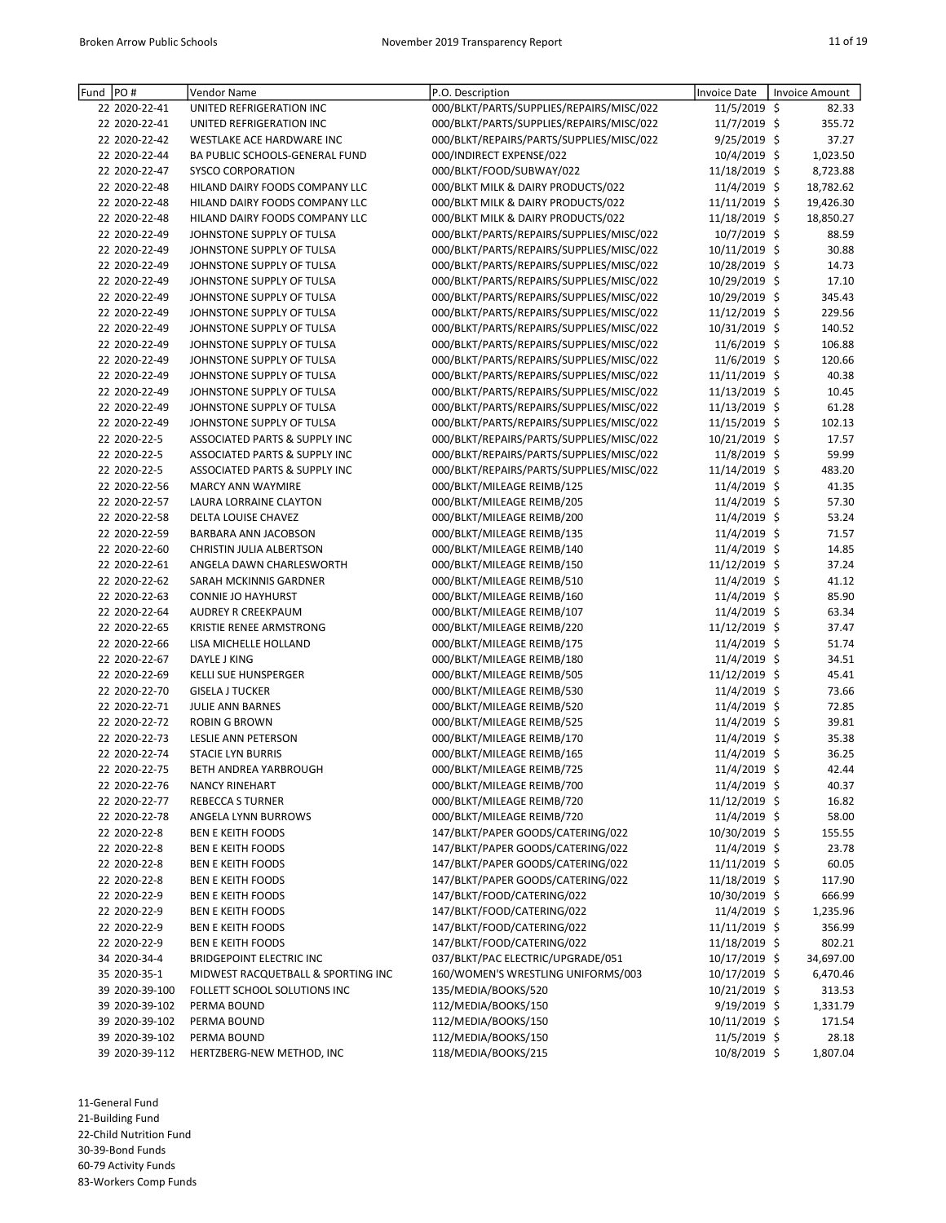| Fund PO#       | Vendor Name                        | P.O. Description                         | Invoice Date    | Invoice Amount |
|----------------|------------------------------------|------------------------------------------|-----------------|----------------|
| 22 2020-22-41  | UNITED REFRIGERATION INC           | 000/BLKT/PARTS/SUPPLIES/REPAIRS/MISC/022 | 11/5/2019 \$    | 82.33          |
| 22 2020-22-41  | UNITED REFRIGERATION INC           | 000/BLKT/PARTS/SUPPLIES/REPAIRS/MISC/022 | 11/7/2019 \$    | 355.72         |
| 22 2020-22-42  | WESTLAKE ACE HARDWARE INC          | 000/BLKT/REPAIRS/PARTS/SUPPLIES/MISC/022 | $9/25/2019$ \$  | 37.27          |
| 22 2020-22-44  | BA PUBLIC SCHOOLS-GENERAL FUND     | 000/INDIRECT EXPENSE/022                 | 10/4/2019 \$    | 1,023.50       |
| 22 2020-22-47  | <b>SYSCO CORPORATION</b>           | 000/BLKT/FOOD/SUBWAY/022                 | 11/18/2019 \$   | 8,723.88       |
| 22 2020-22-48  | HILAND DAIRY FOODS COMPANY LLC     | 000/BLKT MILK & DAIRY PRODUCTS/022       | 11/4/2019 \$    | 18,782.62      |
| 22 2020-22-48  | HILAND DAIRY FOODS COMPANY LLC     | 000/BLKT MILK & DAIRY PRODUCTS/022       | 11/11/2019 \$   | 19,426.30      |
| 22 2020-22-48  | HILAND DAIRY FOODS COMPANY LLC     | 000/BLKT MILK & DAIRY PRODUCTS/022       | 11/18/2019 \$   | 18,850.27      |
| 22 2020-22-49  | JOHNSTONE SUPPLY OF TULSA          | 000/BLKT/PARTS/REPAIRS/SUPPLIES/MISC/022 | 10/7/2019 \$    | 88.59          |
| 22 2020-22-49  | JOHNSTONE SUPPLY OF TULSA          | 000/BLKT/PARTS/REPAIRS/SUPPLIES/MISC/022 | 10/11/2019 \$   | 30.88          |
| 22 2020-22-49  | JOHNSTONE SUPPLY OF TULSA          | 000/BLKT/PARTS/REPAIRS/SUPPLIES/MISC/022 | 10/28/2019 \$   | 14.73          |
| 22 2020-22-49  | JOHNSTONE SUPPLY OF TULSA          | 000/BLKT/PARTS/REPAIRS/SUPPLIES/MISC/022 | 10/29/2019 \$   | 17.10          |
| 22 2020-22-49  | JOHNSTONE SUPPLY OF TULSA          | 000/BLKT/PARTS/REPAIRS/SUPPLIES/MISC/022 | 10/29/2019 \$   | 345.43         |
| 22 2020-22-49  | JOHNSTONE SUPPLY OF TULSA          | 000/BLKT/PARTS/REPAIRS/SUPPLIES/MISC/022 | 11/12/2019 \$   | 229.56         |
| 22 2020-22-49  | JOHNSTONE SUPPLY OF TULSA          | 000/BLKT/PARTS/REPAIRS/SUPPLIES/MISC/022 | 10/31/2019 \$   | 140.52         |
| 22 2020-22-49  | JOHNSTONE SUPPLY OF TULSA          | 000/BLKT/PARTS/REPAIRS/SUPPLIES/MISC/022 | 11/6/2019 \$    | 106.88         |
| 22 2020-22-49  | JOHNSTONE SUPPLY OF TULSA          | 000/BLKT/PARTS/REPAIRS/SUPPLIES/MISC/022 | 11/6/2019 \$    | 120.66         |
| 22 2020-22-49  | JOHNSTONE SUPPLY OF TULSA          | 000/BLKT/PARTS/REPAIRS/SUPPLIES/MISC/022 | 11/11/2019 \$   | 40.38          |
| 22 2020-22-49  | JOHNSTONE SUPPLY OF TULSA          | 000/BLKT/PARTS/REPAIRS/SUPPLIES/MISC/022 | 11/13/2019 \$   | 10.45          |
| 22 2020-22-49  | JOHNSTONE SUPPLY OF TULSA          | 000/BLKT/PARTS/REPAIRS/SUPPLIES/MISC/022 | 11/13/2019 \$   | 61.28          |
| 22 2020-22-49  | JOHNSTONE SUPPLY OF TULSA          | 000/BLKT/PARTS/REPAIRS/SUPPLIES/MISC/022 | 11/15/2019 \$   | 102.13         |
| 22 2020-22-5   | ASSOCIATED PARTS & SUPPLY INC      | 000/BLKT/REPAIRS/PARTS/SUPPLIES/MISC/022 | 10/21/2019 \$   | 17.57          |
| 22 2020-22-5   | ASSOCIATED PARTS & SUPPLY INC      | 000/BLKT/REPAIRS/PARTS/SUPPLIES/MISC/022 | 11/8/2019 \$    | 59.99          |
| 22 2020-22-5   | ASSOCIATED PARTS & SUPPLY INC      | 000/BLKT/REPAIRS/PARTS/SUPPLIES/MISC/022 | 11/14/2019 \$   | 483.20         |
| 22 2020-22-56  | <b>MARCY ANN WAYMIRE</b>           | 000/BLKT/MILEAGE REIMB/125               | 11/4/2019 \$    | 41.35          |
| 22 2020-22-57  | LAURA LORRAINE CLAYTON             | 000/BLKT/MILEAGE REIMB/205               | 11/4/2019 \$    | 57.30          |
| 22 2020-22-58  | DELTA LOUISE CHAVEZ                | 000/BLKT/MILEAGE REIMB/200               | 11/4/2019 \$    | 53.24          |
| 22 2020-22-59  | BARBARA ANN JACOBSON               | 000/BLKT/MILEAGE REIMB/135               | 11/4/2019 \$    | 71.57          |
| 22 2020-22-60  | CHRISTIN JULIA ALBERTSON           | 000/BLKT/MILEAGE REIMB/140               | 11/4/2019 \$    | 14.85          |
| 22 2020-22-61  | ANGELA DAWN CHARLESWORTH           | 000/BLKT/MILEAGE REIMB/150               | 11/12/2019 \$   | 37.24          |
| 22 2020-22-62  | SARAH MCKINNIS GARDNER             | 000/BLKT/MILEAGE REIMB/510               | 11/4/2019 \$    | 41.12          |
| 22 2020-22-63  | CONNIE JO HAYHURST                 | 000/BLKT/MILEAGE REIMB/160               | 11/4/2019 \$    | 85.90          |
| 22 2020-22-64  | AUDREY R CREEKPAUM                 | 000/BLKT/MILEAGE REIMB/107               | 11/4/2019 \$    | 63.34          |
| 22 2020-22-65  | KRISTIE RENEE ARMSTRONG            | 000/BLKT/MILEAGE REIMB/220               | 11/12/2019 \$   | 37.47          |
| 22 2020-22-66  | LISA MICHELLE HOLLAND              | 000/BLKT/MILEAGE REIMB/175               | 11/4/2019 \$    | 51.74          |
| 22 2020-22-67  | DAYLE J KING                       | 000/BLKT/MILEAGE REIMB/180               | 11/4/2019 \$    | 34.51          |
| 22 2020-22-69  | <b>KELLI SUE HUNSPERGER</b>        | 000/BLKT/MILEAGE REIMB/505               | 11/12/2019 \$   | 45.41          |
| 22 2020-22-70  | <b>GISELA J TUCKER</b>             | 000/BLKT/MILEAGE REIMB/530               | 11/4/2019 \$    | 73.66          |
| 22 2020-22-71  | <b>JULIE ANN BARNES</b>            | 000/BLKT/MILEAGE REIMB/520               | 11/4/2019 \$    | 72.85          |
| 22 2020-22-72  | <b>ROBIN G BROWN</b>               | 000/BLKT/MILEAGE REIMB/525               | 11/4/2019 \$    | 39.81          |
| 22 2020-22-73  | <b>LESLIE ANN PETERSON</b>         | 000/BLKT/MILEAGE REIMB/170               | 11/4/2019 \$    | 35.38          |
| 22 2020-22-74  | <b>STACIE LYN BURRIS</b>           | 000/BLKT/MILEAGE REIMB/165               | 11/4/2019 \$    | 36.25          |
| 22 2020-22-75  | BETH ANDREA YARBROUGH              | 000/BLKT/MILEAGE REIMB/725               | 11/4/2019 \$    | 42.44          |
| 22 2020-22-76  | <b>NANCY RINEHART</b>              | 000/BLKT/MILEAGE REIMB/700               | 11/4/2019 \$    | 40.37          |
| 22 2020-22-77  | REBECCA S TURNER                   | 000/BLKT/MILEAGE REIMB/720               | 11/12/2019 \$   | 16.82          |
| 22 2020-22-78  | ANGELA LYNN BURROWS                | 000/BLKT/MILEAGE REIMB/720               | 11/4/2019 \$    | 58.00          |
| 22 2020-22-8   | <b>BEN E KEITH FOODS</b>           | 147/BLKT/PAPER GOODS/CATERING/022        | 10/30/2019 \$   | 155.55         |
| 22 2020-22-8   | <b>BEN E KEITH FOODS</b>           | 147/BLKT/PAPER GOODS/CATERING/022        | 11/4/2019 \$    | 23.78          |
| 22 2020-22-8   | <b>BEN E KEITH FOODS</b>           | 147/BLKT/PAPER GOODS/CATERING/022        | 11/11/2019 \$   | 60.05          |
| 22 2020-22-8   | <b>BEN E KEITH FOODS</b>           | 147/BLKT/PAPER GOODS/CATERING/022        | 11/18/2019 \$   | 117.90         |
| 22 2020-22-9   | <b>BEN E KEITH FOODS</b>           | 147/BLKT/FOOD/CATERING/022               | 10/30/2019 \$   | 666.99         |
| 22 2020-22-9   | <b>BEN E KEITH FOODS</b>           | 147/BLKT/FOOD/CATERING/022               | 11/4/2019 \$    | 1,235.96       |
| 22 2020-22-9   | <b>BEN E KEITH FOODS</b>           | 147/BLKT/FOOD/CATERING/022               | 11/11/2019 \$   | 356.99         |
| 22 2020-22-9   | <b>BEN E KEITH FOODS</b>           | 147/BLKT/FOOD/CATERING/022               | 11/18/2019 \$   | 802.21         |
| 34 2020-34-4   | <b>BRIDGEPOINT ELECTRIC INC</b>    | 037/BLKT/PAC ELECTRIC/UPGRADE/051        | 10/17/2019 \$   | 34,697.00      |
| 35 2020-35-1   | MIDWEST RACQUETBALL & SPORTING INC | 160/WOMEN'S WRESTLING UNIFORMS/003       | 10/17/2019 \$   | 6,470.46       |
| 39 2020-39-100 | FOLLETT SCHOOL SOLUTIONS INC       | 135/MEDIA/BOOKS/520                      | 10/21/2019 \$   | 313.53         |
| 39 2020-39-102 | PERMA BOUND                        | 112/MEDIA/BOOKS/150                      | 9/19/2019 \$    | 1,331.79       |
| 39 2020-39-102 | PERMA BOUND                        | 112/MEDIA/BOOKS/150                      | $10/11/2019$ \$ | 171.54         |
| 39 2020-39-102 | PERMA BOUND                        | 112/MEDIA/BOOKS/150                      | 11/5/2019 \$    | 28.18          |
| 39 2020-39-112 | HERTZBERG-NEW METHOD, INC          | 118/MEDIA/BOOKS/215                      | 10/8/2019 \$    | 1,807.04       |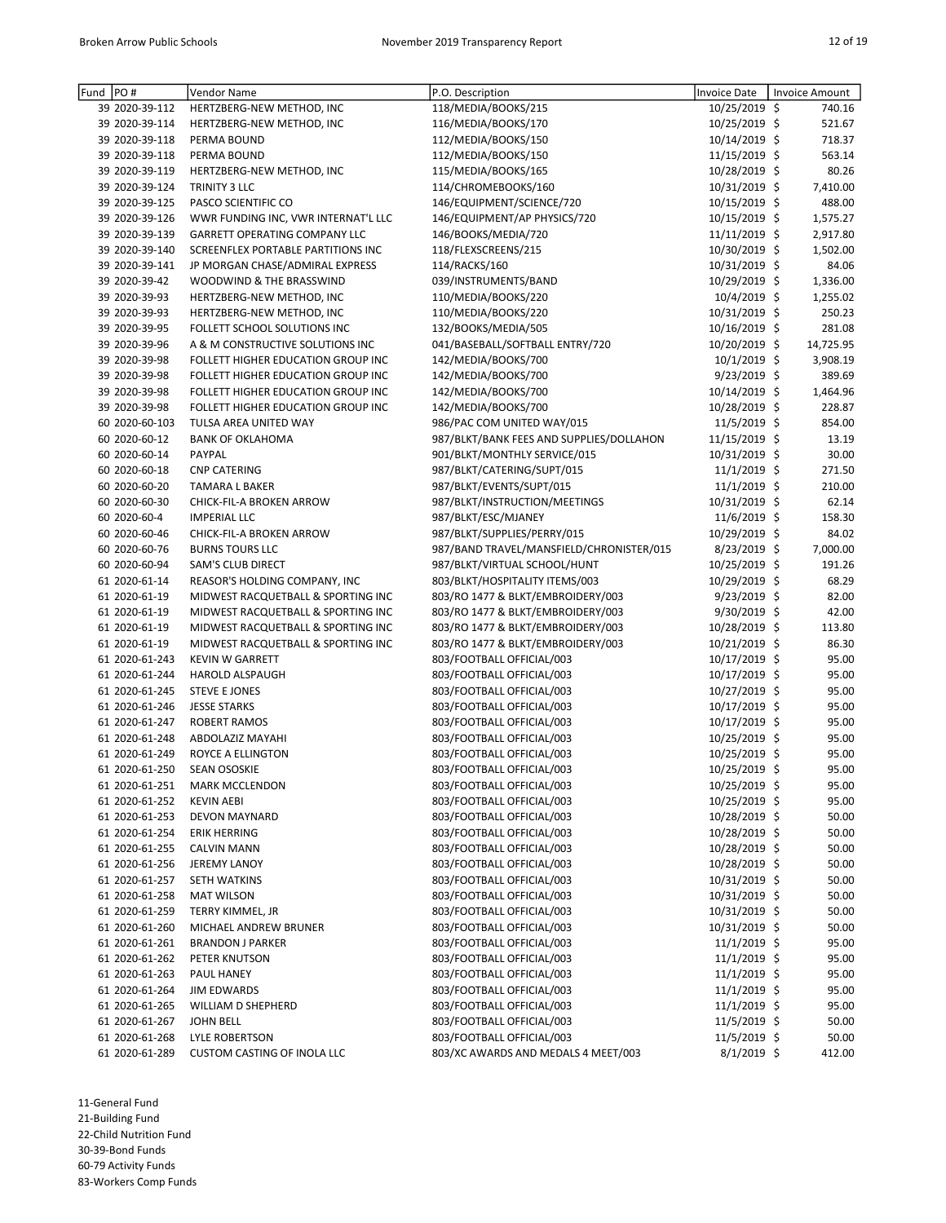| Fund | PO#            | Vendor Name                         | P.O. Description                         | Invoice Date    | <b>Invoice Amount</b> |
|------|----------------|-------------------------------------|------------------------------------------|-----------------|-----------------------|
|      | 39 2020-39-112 | HERTZBERG-NEW METHOD, INC           | 118/MEDIA/BOOKS/215                      | 10/25/2019 \$   | 740.16                |
|      | 39 2020-39-114 | HERTZBERG-NEW METHOD, INC           | 116/MEDIA/BOOKS/170                      | 10/25/2019 \$   | 521.67                |
|      | 39 2020-39-118 | PERMA BOUND                         | 112/MEDIA/BOOKS/150                      | 10/14/2019 \$   | 718.37                |
|      | 39 2020-39-118 | PERMA BOUND                         | 112/MEDIA/BOOKS/150                      | 11/15/2019 \$   | 563.14                |
|      | 39 2020-39-119 | HERTZBERG-NEW METHOD, INC           | 115/MEDIA/BOOKS/165                      | 10/28/2019 \$   | 80.26                 |
|      | 39 2020-39-124 | TRINITY 3 LLC                       | 114/CHROMEBOOKS/160                      | 10/31/2019 \$   | 7,410.00              |
|      | 39 2020-39-125 | PASCO SCIENTIFIC CO                 | 146/EQUIPMENT/SCIENCE/720                | 10/15/2019 \$   | 488.00                |
|      | 39 2020-39-126 | WWR FUNDING INC, VWR INTERNAT'L LLC | 146/EQUIPMENT/AP PHYSICS/720             | 10/15/2019 \$   | 1,575.27              |
|      | 39 2020-39-139 | GARRETT OPERATING COMPANY LLC       | 146/BOOKS/MEDIA/720                      | $11/11/2019$ \$ | 2,917.80              |
|      | 39 2020-39-140 | SCREENFLEX PORTABLE PARTITIONS INC  | 118/FLEXSCREENS/215                      | 10/30/2019 \$   | 1,502.00              |
|      | 39 2020-39-141 | JP MORGAN CHASE/ADMIRAL EXPRESS     | 114/RACKS/160                            | 10/31/2019 \$   | 84.06                 |
|      | 39 2020-39-42  | WOODWIND & THE BRASSWIND            | 039/INSTRUMENTS/BAND                     | 10/29/2019 \$   | 1,336.00              |
|      | 39 2020-39-93  | HERTZBERG-NEW METHOD, INC           | 110/MEDIA/BOOKS/220                      | 10/4/2019 \$    | 1,255.02              |
|      | 39 2020-39-93  | HERTZBERG-NEW METHOD, INC           | 110/MEDIA/BOOKS/220                      | 10/31/2019 \$   | 250.23                |
|      | 39 2020-39-95  | FOLLETT SCHOOL SOLUTIONS INC        | 132/BOOKS/MEDIA/505                      | 10/16/2019 \$   | 281.08                |
|      | 39 2020-39-96  | A & M CONSTRUCTIVE SOLUTIONS INC    | 041/BASEBALL/SOFTBALL ENTRY/720          | 10/20/2019 \$   | 14,725.95             |
|      | 39 2020-39-98  | FOLLETT HIGHER EDUCATION GROUP INC  | 142/MEDIA/BOOKS/700                      | 10/1/2019 \$    | 3,908.19              |
|      | 39 2020-39-98  | FOLLETT HIGHER EDUCATION GROUP INC  | 142/MEDIA/BOOKS/700                      | 9/23/2019 \$    | 389.69                |
|      | 39 2020-39-98  | FOLLETT HIGHER EDUCATION GROUP INC  | 142/MEDIA/BOOKS/700                      | 10/14/2019 \$   | 1,464.96              |
|      | 39 2020-39-98  | FOLLETT HIGHER EDUCATION GROUP INC  | 142/MEDIA/BOOKS/700                      | 10/28/2019 \$   | 228.87                |
|      |                |                                     |                                          |                 |                       |
|      | 60 2020-60-103 | TULSA AREA UNITED WAY               | 986/PAC COM UNITED WAY/015               | 11/5/2019 \$    | 854.00                |
|      | 60 2020-60-12  | <b>BANK OF OKLAHOMA</b>             | 987/BLKT/BANK FEES AND SUPPLIES/DOLLAHON | 11/15/2019 \$   | 13.19                 |
|      | 60 2020-60-14  | PAYPAL                              | 901/BLKT/MONTHLY SERVICE/015             | 10/31/2019 \$   | 30.00                 |
|      | 60 2020-60-18  | <b>CNP CATERING</b>                 | 987/BLKT/CATERING/SUPT/015               | $11/1/2019$ \$  | 271.50                |
|      | 60 2020-60-20  | <b>TAMARA L BAKER</b>               | 987/BLKT/EVENTS/SUPT/015                 | 11/1/2019 \$    | 210.00                |
|      | 60 2020-60-30  | CHICK-FIL-A BROKEN ARROW            | 987/BLKT/INSTRUCTION/MEETINGS            | 10/31/2019 \$   | 62.14                 |
|      | 60 2020-60-4   | <b>IMPERIAL LLC</b>                 | 987/BLKT/ESC/MJANEY                      | 11/6/2019 \$    | 158.30                |
|      | 60 2020-60-46  | CHICK-FIL-A BROKEN ARROW            | 987/BLKT/SUPPLIES/PERRY/015              | 10/29/2019 \$   | 84.02                 |
|      | 60 2020-60-76  | <b>BURNS TOURS LLC</b>              | 987/BAND TRAVEL/MANSFIELD/CHRONISTER/015 | $8/23/2019$ \$  | 7,000.00              |
|      | 60 2020-60-94  | SAM'S CLUB DIRECT                   | 987/BLKT/VIRTUAL SCHOOL/HUNT             | 10/25/2019 \$   | 191.26                |
|      | 61 2020-61-14  | REASOR'S HOLDING COMPANY, INC       | 803/BLKT/HOSPITALITY ITEMS/003           | 10/29/2019 \$   | 68.29                 |
|      | 61 2020-61-19  | MIDWEST RACQUETBALL & SPORTING INC  | 803/RO 1477 & BLKT/EMBROIDERY/003        | $9/23/2019$ \$  | 82.00                 |
|      | 61 2020-61-19  | MIDWEST RACQUETBALL & SPORTING INC  | 803/RO 1477 & BLKT/EMBROIDERY/003        | 9/30/2019 \$    | 42.00                 |
|      | 61 2020-61-19  | MIDWEST RACQUETBALL & SPORTING INC  | 803/RO 1477 & BLKT/EMBROIDERY/003        | 10/28/2019 \$   | 113.80                |
|      | 61 2020-61-19  | MIDWEST RACQUETBALL & SPORTING INC  | 803/RO 1477 & BLKT/EMBROIDERY/003        | 10/21/2019 \$   | 86.30                 |
|      | 61 2020-61-243 | <b>KEVIN W GARRETT</b>              | 803/FOOTBALL OFFICIAL/003                | 10/17/2019 \$   | 95.00                 |
|      | 61 2020-61-244 | <b>HAROLD ALSPAUGH</b>              | 803/FOOTBALL OFFICIAL/003                | 10/17/2019 \$   | 95.00                 |
|      | 61 2020-61-245 | <b>STEVE E JONES</b>                | 803/FOOTBALL OFFICIAL/003                | 10/27/2019 \$   | 95.00                 |
|      | 61 2020-61-246 | <b>JESSE STARKS</b>                 | 803/FOOTBALL OFFICIAL/003                | 10/17/2019 \$   | 95.00                 |
|      | 61 2020-61-247 | <b>ROBERT RAMOS</b>                 | 803/FOOTBALL OFFICIAL/003                | 10/17/2019 \$   | 95.00                 |
|      | 61 2020-61-248 | ABDOLAZIZ MAYAHI                    | 803/FOOTBALL OFFICIAL/003                | 10/25/2019 \$   | 95.00                 |
|      | 61 2020-61-249 | <b>ROYCE A ELLINGTON</b>            | 803/FOOTBALL OFFICIAL/003                | 10/25/2019 \$   | 95.00                 |
|      | 61 2020-61-250 | <b>SEAN OSOSKIE</b>                 | 803/FOOTBALL OFFICIAL/003                | 10/25/2019 \$   | 95.00                 |
|      | 61 2020-61-251 | <b>MARK MCCLENDON</b>               | 803/FOOTBALL OFFICIAL/003                | 10/25/2019 \$   | 95.00                 |
|      | 61 2020-61-252 | <b>KEVIN AEBI</b>                   | 803/FOOTBALL OFFICIAL/003                | 10/25/2019 \$   | 95.00                 |
|      | 61 2020-61-253 | DEVON MAYNARD                       | 803/FOOTBALL OFFICIAL/003                | 10/28/2019 \$   | 50.00                 |
|      | 61 2020-61-254 | ERIK HERRING                        | 803/FOOTBALL OFFICIAL/003                | 10/28/2019 \$   | 50.00                 |
|      | 61 2020-61-255 |                                     | 803/FOOTBALL OFFICIAL/003                |                 |                       |
|      |                | <b>CALVIN MANN</b>                  |                                          | 10/28/2019 \$   | 50.00                 |
|      | 61 2020-61-256 | JEREMY LANOY                        | 803/FOOTBALL OFFICIAL/003                | 10/28/2019 \$   | 50.00                 |
|      | 61 2020-61-257 | SETH WATKINS                        | 803/FOOTBALL OFFICIAL/003                | 10/31/2019 \$   | 50.00                 |
|      | 61 2020-61-258 | <b>MAT WILSON</b>                   | 803/FOOTBALL OFFICIAL/003                | 10/31/2019 \$   | 50.00                 |
|      | 61 2020-61-259 | TERRY KIMMEL, JR                    | 803/FOOTBALL OFFICIAL/003                | 10/31/2019 \$   | 50.00                 |
|      | 61 2020-61-260 | MICHAEL ANDREW BRUNER               | 803/FOOTBALL OFFICIAL/003                | 10/31/2019 \$   | 50.00                 |
|      | 61 2020-61-261 | <b>BRANDON J PARKER</b>             | 803/FOOTBALL OFFICIAL/003                | $11/1/2019$ \$  | 95.00                 |
|      | 61 2020-61-262 | PETER KNUTSON                       | 803/FOOTBALL OFFICIAL/003                | $11/1/2019$ \$  | 95.00                 |
|      | 61 2020-61-263 | PAUL HANEY                          | 803/FOOTBALL OFFICIAL/003                | $11/1/2019$ \$  | 95.00                 |
|      | 61 2020-61-264 | <b>JIM EDWARDS</b>                  | 803/FOOTBALL OFFICIAL/003                | $11/1/2019$ \$  | 95.00                 |
|      | 61 2020-61-265 | WILLIAM D SHEPHERD                  | 803/FOOTBALL OFFICIAL/003                | $11/1/2019$ \$  | 95.00                 |
|      | 61 2020-61-267 | <b>JOHN BELL</b>                    | 803/FOOTBALL OFFICIAL/003                | $11/5/2019$ \$  | 50.00                 |
|      | 61 2020-61-268 | <b>LYLE ROBERTSON</b>               | 803/FOOTBALL OFFICIAL/003                | $11/5/2019$ \$  | 50.00                 |
|      | 61 2020-61-289 | <b>CUSTOM CASTING OF INOLA LLC</b>  | 803/XC AWARDS AND MEDALS 4 MEET/003      | $8/1/2019$ \$   | 412.00                |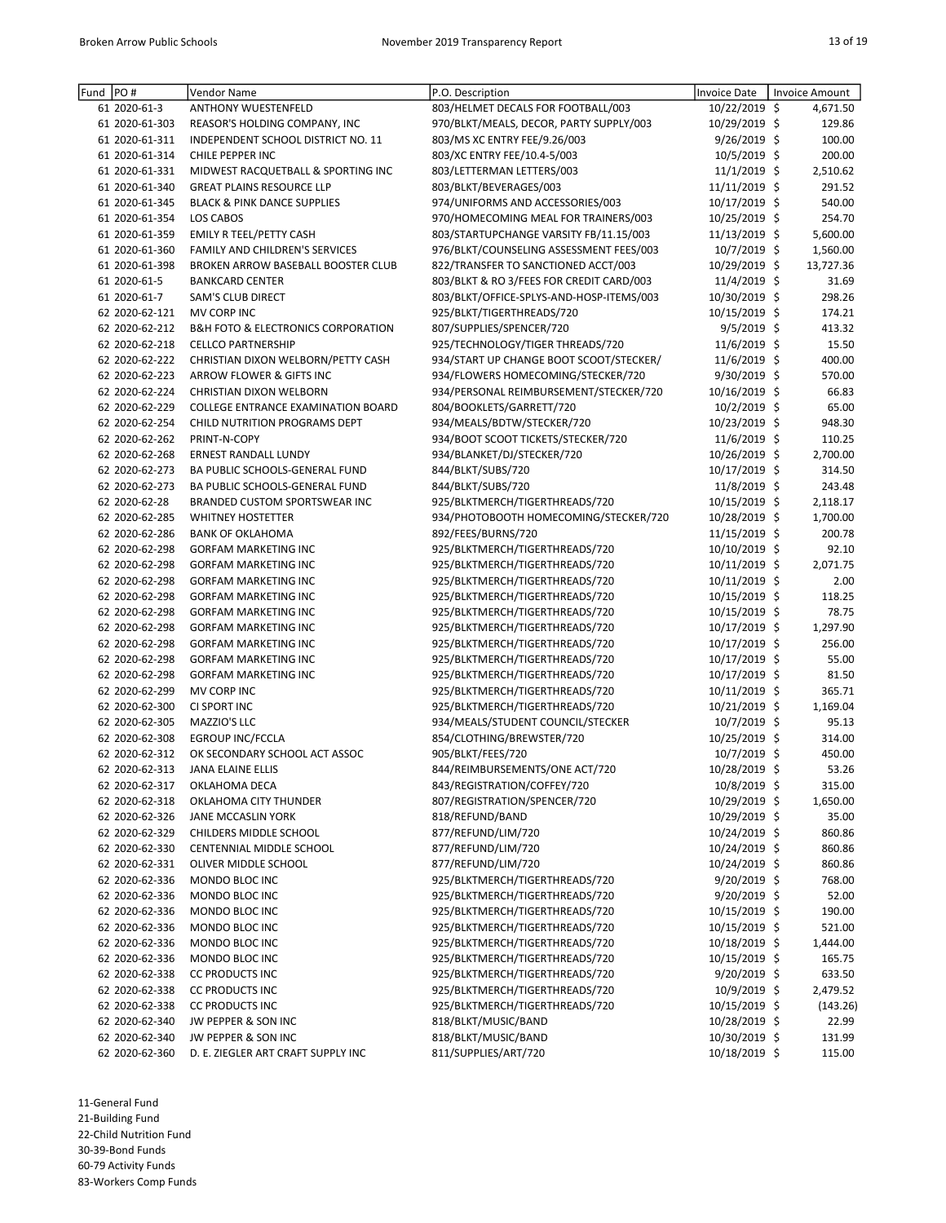| Fund | PO#            | Vendor Name                                       | P.O. Description                         | <b>Invoice Date</b> | <b>Invoice Amount</b> |
|------|----------------|---------------------------------------------------|------------------------------------------|---------------------|-----------------------|
|      | 61 2020-61-3   | <b>ANTHONY WUESTENFELD</b>                        | 803/HELMET DECALS FOR FOOTBALL/003       | 10/22/2019 \$       | 4,671.50              |
|      | 61 2020-61-303 | REASOR'S HOLDING COMPANY, INC                     | 970/BLKT/MEALS, DECOR, PARTY SUPPLY/003  | 10/29/2019 \$       | 129.86                |
|      | 61 2020-61-311 | INDEPENDENT SCHOOL DISTRICT NO. 11                | 803/MS XC ENTRY FEE/9.26/003             | 9/26/2019 \$        | 100.00                |
|      | 61 2020-61-314 | CHILE PEPPER INC                                  | 803/XC ENTRY FEE/10.4-5/003              | 10/5/2019 \$        | 200.00                |
|      | 61 2020-61-331 | MIDWEST RACQUETBALL & SPORTING INC                | 803/LETTERMAN LETTERS/003                | 11/1/2019 \$        | 2,510.62              |
|      | 61 2020-61-340 | <b>GREAT PLAINS RESOURCE LLP</b>                  | 803/BLKT/BEVERAGES/003                   | 11/11/2019 \$       | 291.52                |
|      | 61 2020-61-345 | <b>BLACK &amp; PINK DANCE SUPPLIES</b>            | 974/UNIFORMS AND ACCESSORIES/003         | 10/17/2019 \$       | 540.00                |
|      | 61 2020-61-354 | LOS CABOS                                         | 970/HOMECOMING MEAL FOR TRAINERS/003     | 10/25/2019 \$       | 254.70                |
|      | 61 2020-61-359 | EMILY R TEEL/PETTY CASH                           | 803/STARTUPCHANGE VARSITY FB/11.15/003   | 11/13/2019 \$       | 5,600.00              |
|      | 61 2020-61-360 | FAMILY AND CHILDREN'S SERVICES                    | 976/BLKT/COUNSELING ASSESSMENT FEES/003  | 10/7/2019 \$        | 1,560.00              |
|      | 61 2020-61-398 | BROKEN ARROW BASEBALL BOOSTER CLUB                | 822/TRANSFER TO SANCTIONED ACCT/003      | 10/29/2019 \$       | 13,727.36             |
|      | 61 2020-61-5   | <b>BANKCARD CENTER</b>                            | 803/BLKT & RO 3/FEES FOR CREDIT CARD/003 | 11/4/2019 \$        | 31.69                 |
|      | 61 2020-61-7   | SAM'S CLUB DIRECT                                 | 803/BLKT/OFFICE-SPLYS-AND-HOSP-ITEMS/003 | 10/30/2019 \$       | 298.26                |
|      | 62 2020-62-121 | MV CORP INC                                       | 925/BLKT/TIGERTHREADS/720                | 10/15/2019 \$       | 174.21                |
|      | 62 2020-62-212 | <b>B&amp;H FOTO &amp; ELECTRONICS CORPORATION</b> | 807/SUPPLIES/SPENCER/720                 | $9/5/2019$ \$       | 413.32                |
|      | 62 2020-62-218 | <b>CELLCO PARTNERSHIP</b>                         | 925/TECHNOLOGY/TIGER THREADS/720         | 11/6/2019 \$        | 15.50                 |
|      | 62 2020-62-222 | CHRISTIAN DIXON WELBORN/PETTY CASH                | 934/START UP CHANGE BOOT SCOOT/STECKER/  | 11/6/2019 \$        | 400.00                |
|      | 62 2020-62-223 | ARROW FLOWER & GIFTS INC                          | 934/FLOWERS HOMECOMING/STECKER/720       | 9/30/2019 \$        | 570.00                |
|      | 62 2020-62-224 | CHRISTIAN DIXON WELBORN                           | 934/PERSONAL REIMBURSEMENT/STECKER/720   | 10/16/2019 \$       | 66.83                 |
|      | 62 2020-62-229 | <b>COLLEGE ENTRANCE EXAMINATION BOARD</b>         | 804/BOOKLETS/GARRETT/720                 | 10/2/2019 \$        | 65.00                 |
|      | 62 2020-62-254 | CHILD NUTRITION PROGRAMS DEPT                     | 934/MEALS/BDTW/STECKER/720               | 10/23/2019 \$       | 948.30                |
|      | 62 2020-62-262 | PRINT-N-COPY                                      | 934/BOOT SCOOT TICKETS/STECKER/720       | 11/6/2019 \$        | 110.25                |
|      | 62 2020-62-268 | ERNEST RANDALL LUNDY                              | 934/BLANKET/DJ/STECKER/720               | 10/26/2019 \$       | 2,700.00              |
|      | 62 2020-62-273 | BA PUBLIC SCHOOLS-GENERAL FUND                    | 844/BLKT/SUBS/720                        | 10/17/2019 \$       | 314.50                |
|      | 62 2020-62-273 | BA PUBLIC SCHOOLS-GENERAL FUND                    | 844/BLKT/SUBS/720                        | 11/8/2019 \$        | 243.48                |
|      | 62 2020-62-28  | BRANDED CUSTOM SPORTSWEAR INC                     | 925/BLKTMERCH/TIGERTHREADS/720           | 10/15/2019 \$       | 2,118.17              |
|      | 62 2020-62-285 | <b>WHITNEY HOSTETTER</b>                          | 934/PHOTOBOOTH HOMECOMING/STECKER/720    | 10/28/2019 \$       | 1,700.00              |
|      | 62 2020-62-286 | <b>BANK OF OKLAHOMA</b>                           | 892/FEES/BURNS/720                       | 11/15/2019 \$       | 200.78                |
|      | 62 2020-62-298 | <b>GORFAM MARKETING INC</b>                       | 925/BLKTMERCH/TIGERTHREADS/720           | 10/10/2019 \$       | 92.10                 |
|      | 62 2020-62-298 | <b>GORFAM MARKETING INC</b>                       | 925/BLKTMERCH/TIGERTHREADS/720           | 10/11/2019 \$       | 2,071.75              |
|      | 62 2020-62-298 | <b>GORFAM MARKETING INC</b>                       | 925/BLKTMERCH/TIGERTHREADS/720           | 10/11/2019 \$       | 2.00                  |
|      | 62 2020-62-298 | <b>GORFAM MARKETING INC</b>                       | 925/BLKTMERCH/TIGERTHREADS/720           | 10/15/2019 \$       | 118.25                |
|      | 62 2020-62-298 | <b>GORFAM MARKETING INC</b>                       | 925/BLKTMERCH/TIGERTHREADS/720           | 10/15/2019 \$       | 78.75                 |
|      | 62 2020-62-298 | <b>GORFAM MARKETING INC</b>                       | 925/BLKTMERCH/TIGERTHREADS/720           | 10/17/2019 \$       | 1,297.90              |
|      | 62 2020-62-298 | <b>GORFAM MARKETING INC</b>                       | 925/BLKTMERCH/TIGERTHREADS/720           | 10/17/2019 \$       | 256.00                |
|      | 62 2020-62-298 | <b>GORFAM MARKETING INC</b>                       | 925/BLKTMERCH/TIGERTHREADS/720           | 10/17/2019 \$       | 55.00                 |
|      | 62 2020-62-298 | <b>GORFAM MARKETING INC</b>                       | 925/BLKTMERCH/TIGERTHREADS/720           | 10/17/2019 \$       | 81.50                 |
|      | 62 2020-62-299 | MV CORP INC                                       | 925/BLKTMERCH/TIGERTHREADS/720           | 10/11/2019 \$       | 365.71                |
|      | 62 2020-62-300 | CI SPORT INC                                      | 925/BLKTMERCH/TIGERTHREADS/720           | 10/21/2019 \$       | 1,169.04              |
|      | 62 2020-62-305 | MAZZIO'S LLC                                      | 934/MEALS/STUDENT COUNCIL/STECKER        | 10/7/2019 \$        | 95.13                 |
|      | 62 2020-62-308 | EGROUP INC/FCCLA                                  | 854/CLOTHING/BREWSTER/720                | 10/25/2019 \$       | 314.00                |
|      | 62 2020-62-312 | OK SECONDARY SCHOOL ACT ASSOC                     | 905/BLKT/FEES/720                        | 10/7/2019 \$        | 450.00                |
|      |                | 62 2020-62-313 JANA ELAINE ELLIS                  | 844/REIMBURSEMENTS/ONE ACT/720           | 10/28/2019 \$       | 53.26                 |
|      | 62 2020-62-317 | OKLAHOMA DECA                                     | 843/REGISTRATION/COFFEY/720              | 10/8/2019 \$        | 315.00                |
|      | 62 2020-62-318 | OKLAHOMA CITY THUNDER                             | 807/REGISTRATION/SPENCER/720             | 10/29/2019 \$       | 1,650.00              |
|      | 62 2020-62-326 | JANE MCCASLIN YORK                                | 818/REFUND/BAND                          | 10/29/2019 \$       | 35.00                 |
|      | 62 2020-62-329 | CHILDERS MIDDLE SCHOOL                            | 877/REFUND/LIM/720                       | 10/24/2019 \$       | 860.86                |
|      | 62 2020-62-330 | CENTENNIAL MIDDLE SCHOOL                          | 877/REFUND/LIM/720                       | 10/24/2019 \$       | 860.86                |
|      | 62 2020-62-331 | OLIVER MIDDLE SCHOOL                              | 877/REFUND/LIM/720                       | 10/24/2019 \$       | 860.86                |
|      | 62 2020-62-336 | MONDO BLOC INC                                    | 925/BLKTMERCH/TIGERTHREADS/720           | $9/20/2019$ \$      | 768.00                |
|      | 62 2020-62-336 | MONDO BLOC INC                                    | 925/BLKTMERCH/TIGERTHREADS/720           | $9/20/2019$ \$      | 52.00                 |
|      | 62 2020-62-336 | MONDO BLOC INC                                    | 925/BLKTMERCH/TIGERTHREADS/720           | 10/15/2019 \$       | 190.00                |
|      | 62 2020-62-336 | MONDO BLOC INC                                    | 925/BLKTMERCH/TIGERTHREADS/720           | 10/15/2019 \$       | 521.00                |
|      | 62 2020-62-336 | MONDO BLOC INC                                    | 925/BLKTMERCH/TIGERTHREADS/720           | 10/18/2019 \$       | 1,444.00              |
|      | 62 2020-62-336 | MONDO BLOC INC                                    | 925/BLKTMERCH/TIGERTHREADS/720           | 10/15/2019 \$       | 165.75                |
|      | 62 2020-62-338 | <b>CC PRODUCTS INC</b>                            | 925/BLKTMERCH/TIGERTHREADS/720           | 9/20/2019 \$        | 633.50                |
|      | 62 2020-62-338 | <b>CC PRODUCTS INC</b>                            | 925/BLKTMERCH/TIGERTHREADS/720           | 10/9/2019 \$        | 2,479.52              |
|      | 62 2020-62-338 | <b>CC PRODUCTS INC</b>                            | 925/BLKTMERCH/TIGERTHREADS/720           | 10/15/2019 \$       | (143.26)              |
|      | 62 2020-62-340 | JW PEPPER & SON INC                               | 818/BLKT/MUSIC/BAND                      | 10/28/2019 \$       | 22.99                 |
|      | 62 2020-62-340 | JW PEPPER & SON INC                               | 818/BLKT/MUSIC/BAND                      | 10/30/2019 \$       | 131.99                |
|      | 62 2020-62-360 | D. E. ZIEGLER ART CRAFT SUPPLY INC                | 811/SUPPLIES/ART/720                     | 10/18/2019 \$       | 115.00                |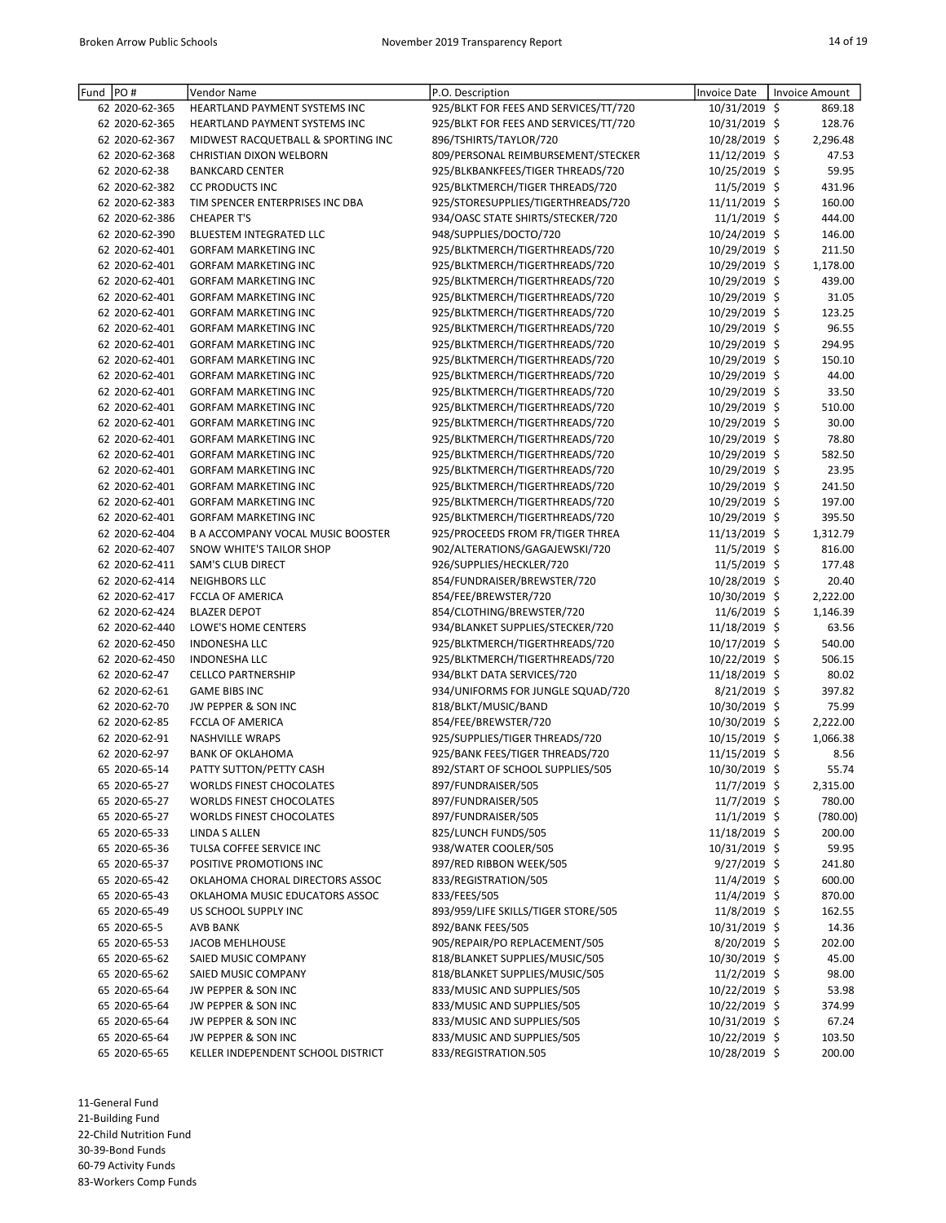| Fund | PO#            | Vendor Name                              | P.O. Description                      | Invoice Date   | Invoice Amount |
|------|----------------|------------------------------------------|---------------------------------------|----------------|----------------|
|      | 62 2020-62-365 | HEARTLAND PAYMENT SYSTEMS INC            | 925/BLKT FOR FEES AND SERVICES/TT/720 | 10/31/2019 \$  | 869.18         |
|      | 62 2020-62-365 | <b>HEARTLAND PAYMENT SYSTEMS INC</b>     | 925/BLKT FOR FEES AND SERVICES/TT/720 | 10/31/2019 \$  | 128.76         |
|      | 62 2020-62-367 | MIDWEST RACQUETBALL & SPORTING INC       | 896/TSHIRTS/TAYLOR/720                | 10/28/2019 \$  | 2,296.48       |
|      | 62 2020-62-368 | <b>CHRISTIAN DIXON WELBORN</b>           | 809/PERSONAL REIMBURSEMENT/STECKER    | 11/12/2019 \$  | 47.53          |
|      | 62 2020-62-38  | <b>BANKCARD CENTER</b>                   | 925/BLKBANKFEES/TIGER THREADS/720     | 10/25/2019 \$  | 59.95          |
|      | 62 2020-62-382 | <b>CC PRODUCTS INC</b>                   | 925/BLKTMERCH/TIGER THREADS/720       | 11/5/2019 \$   | 431.96         |
|      | 62 2020-62-383 | TIM SPENCER ENTERPRISES INC DBA          | 925/STORESUPPLIES/TIGERTHREADS/720    | 11/11/2019 \$  | 160.00         |
|      | 62 2020-62-386 | <b>CHEAPER T'S</b>                       | 934/OASC STATE SHIRTS/STECKER/720     | $11/1/2019$ \$ | 444.00         |
|      | 62 2020-62-390 | <b>BLUESTEM INTEGRATED LLC</b>           | 948/SUPPLIES/DOCTO/720                | 10/24/2019 \$  | 146.00         |
|      | 62 2020-62-401 | <b>GORFAM MARKETING INC</b>              | 925/BLKTMERCH/TIGERTHREADS/720        | 10/29/2019 \$  | 211.50         |
|      | 62 2020-62-401 | <b>GORFAM MARKETING INC</b>              | 925/BLKTMERCH/TIGERTHREADS/720        | 10/29/2019 \$  | 1,178.00       |
|      | 62 2020-62-401 | <b>GORFAM MARKETING INC</b>              | 925/BLKTMERCH/TIGERTHREADS/720        | 10/29/2019 \$  | 439.00         |
|      | 62 2020-62-401 | <b>GORFAM MARKETING INC</b>              | 925/BLKTMERCH/TIGERTHREADS/720        | 10/29/2019 \$  | 31.05          |
|      | 62 2020-62-401 | <b>GORFAM MARKETING INC</b>              | 925/BLKTMERCH/TIGERTHREADS/720        | 10/29/2019 \$  | 123.25         |
|      | 62 2020-62-401 | <b>GORFAM MARKETING INC</b>              | 925/BLKTMERCH/TIGERTHREADS/720        | 10/29/2019 \$  | 96.55          |
|      | 62 2020-62-401 | <b>GORFAM MARKETING INC</b>              | 925/BLKTMERCH/TIGERTHREADS/720        | 10/29/2019 \$  | 294.95         |
|      | 62 2020-62-401 | <b>GORFAM MARKETING INC</b>              | 925/BLKTMERCH/TIGERTHREADS/720        | 10/29/2019 \$  | 150.10         |
|      | 62 2020-62-401 | <b>GORFAM MARKETING INC</b>              | 925/BLKTMERCH/TIGERTHREADS/720        | 10/29/2019 \$  | 44.00          |
|      | 62 2020-62-401 | <b>GORFAM MARKETING INC</b>              | 925/BLKTMERCH/TIGERTHREADS/720        | 10/29/2019 \$  | 33.50          |
|      | 62 2020-62-401 | <b>GORFAM MARKETING INC</b>              | 925/BLKTMERCH/TIGERTHREADS/720        | 10/29/2019 \$  | 510.00         |
|      | 62 2020-62-401 | <b>GORFAM MARKETING INC</b>              | 925/BLKTMERCH/TIGERTHREADS/720        | 10/29/2019 \$  | 30.00          |
|      | 62 2020-62-401 | <b>GORFAM MARKETING INC</b>              | 925/BLKTMERCH/TIGERTHREADS/720        | 10/29/2019 \$  | 78.80          |
|      | 62 2020-62-401 | <b>GORFAM MARKETING INC</b>              | 925/BLKTMERCH/TIGERTHREADS/720        | 10/29/2019 \$  | 582.50         |
|      | 62 2020-62-401 | <b>GORFAM MARKETING INC</b>              | 925/BLKTMERCH/TIGERTHREADS/720        | 10/29/2019 \$  | 23.95          |
|      | 62 2020-62-401 | <b>GORFAM MARKETING INC</b>              | 925/BLKTMERCH/TIGERTHREADS/720        | 10/29/2019 \$  | 241.50         |
|      | 62 2020-62-401 | <b>GORFAM MARKETING INC</b>              | 925/BLKTMERCH/TIGERTHREADS/720        | 10/29/2019 \$  | 197.00         |
|      | 62 2020-62-401 | <b>GORFAM MARKETING INC</b>              | 925/BLKTMERCH/TIGERTHREADS/720        | 10/29/2019 \$  | 395.50         |
|      | 62 2020-62-404 | <b>B A ACCOMPANY VOCAL MUSIC BOOSTER</b> | 925/PROCEEDS FROM FR/TIGER THREA      | 11/13/2019 \$  | 1,312.79       |
|      | 62 2020-62-407 | SNOW WHITE'S TAILOR SHOP                 | 902/ALTERATIONS/GAGAJEWSKI/720        | $11/5/2019$ \$ | 816.00         |
|      | 62 2020-62-411 | SAM'S CLUB DIRECT                        | 926/SUPPLIES/HECKLER/720              | $11/5/2019$ \$ | 177.48         |
|      | 62 2020-62-414 | <b>NEIGHBORS LLC</b>                     | 854/FUNDRAISER/BREWSTER/720           | 10/28/2019 \$  | 20.40          |
|      | 62 2020-62-417 | FCCLA OF AMERICA                         | 854/FEE/BREWSTER/720                  | 10/30/2019 \$  | 2,222.00       |
|      | 62 2020-62-424 | <b>BLAZER DEPOT</b>                      | 854/CLOTHING/BREWSTER/720             | 11/6/2019 \$   | 1,146.39       |
|      | 62 2020-62-440 | LOWE'S HOME CENTERS                      | 934/BLANKET SUPPLIES/STECKER/720      | 11/18/2019 \$  | 63.56          |
|      | 62 2020-62-450 | <b>INDONESHA LLC</b>                     | 925/BLKTMERCH/TIGERTHREADS/720        | 10/17/2019 \$  | 540.00         |
|      | 62 2020-62-450 | <b>INDONESHA LLC</b>                     | 925/BLKTMERCH/TIGERTHREADS/720        | 10/22/2019 \$  | 506.15         |
|      | 62 2020-62-47  | <b>CELLCO PARTNERSHIP</b>                | 934/BLKT DATA SERVICES/720            | 11/18/2019 \$  | 80.02          |
|      | 62 2020-62-61  | <b>GAME BIBS INC</b>                     | 934/UNIFORMS FOR JUNGLE SQUAD/720     | $8/21/2019$ \$ | 397.82         |
|      | 62 2020-62-70  | JW PEPPER & SON INC                      | 818/BLKT/MUSIC/BAND                   | 10/30/2019 \$  | 75.99          |
|      | 62 2020-62-85  | FCCLA OF AMERICA                         | 854/FEE/BREWSTER/720                  | 10/30/2019 \$  | 2,222.00       |
|      | 62 2020-62-91  | <b>NASHVILLE WRAPS</b>                   | 925/SUPPLIES/TIGER THREADS/720        | 10/15/2019 \$  | 1,066.38       |
|      | 62 2020-62-97  | <b>BANK OF OKLAHOMA</b>                  | 925/BANK FEES/TIGER THREADS/720       | 11/15/2019 \$  | 8.56           |
|      | 65 2020-65-14  | PATTY SUTTON/PETTY CASH                  | 892/START OF SCHOOL SUPPLIES/505      | 10/30/2019 \$  | 55.74          |
|      | 65 2020-65-27  | <b>WORLDS FINEST CHOCOLATES</b>          | 897/FUNDRAISER/505                    | $11/7/2019$ \$ | 2,315.00       |
|      | 65 2020-65-27  | <b>WORLDS FINEST CHOCOLATES</b>          | 897/FUNDRAISER/505                    | 11/7/2019 \$   | 780.00         |
|      | 65 2020-65-27  | <b>WORLDS FINEST CHOCOLATES</b>          | 897/FUNDRAISER/505                    | 11/1/2019 \$   | (780.00)       |
|      | 65 2020-65-33  | LINDA S ALLEN                            | 825/LUNCH FUNDS/505                   | 11/18/2019 \$  | 200.00         |
|      | 65 2020-65-36  | TULSA COFFEE SERVICE INC                 | 938/WATER COOLER/505                  | 10/31/2019 \$  | 59.95          |
|      | 65 2020-65-37  | POSITIVE PROMOTIONS INC                  | 897/RED RIBBON WEEK/505               | $9/27/2019$ \$ | 241.80         |
|      | 65 2020-65-42  | OKLAHOMA CHORAL DIRECTORS ASSOC          | 833/REGISTRATION/505                  | $11/4/2019$ \$ | 600.00         |
|      | 65 2020-65-43  | OKLAHOMA MUSIC EDUCATORS ASSOC           | 833/FEES/505                          | $11/4/2019$ \$ | 870.00         |
|      | 65 2020-65-49  | US SCHOOL SUPPLY INC                     | 893/959/LIFE SKILLS/TIGER STORE/505   | 11/8/2019 \$   | 162.55         |
|      | 65 2020-65-5   | <b>AVB BANK</b>                          | 892/BANK FEES/505                     | 10/31/2019 \$  | 14.36          |
|      | 65 2020-65-53  | <b>JACOB MEHLHOUSE</b>                   | 905/REPAIR/PO REPLACEMENT/505         | 8/20/2019 \$   | 202.00         |
|      | 65 2020-65-62  | SAIED MUSIC COMPANY                      | 818/BLANKET SUPPLIES/MUSIC/505        | 10/30/2019 \$  | 45.00          |
|      | 65 2020-65-62  | SAIED MUSIC COMPANY                      | 818/BLANKET SUPPLIES/MUSIC/505        | $11/2/2019$ \$ | 98.00          |
|      | 65 2020-65-64  | JW PEPPER & SON INC                      | 833/MUSIC AND SUPPLIES/505            | 10/22/2019 \$  | 53.98          |
|      | 65 2020-65-64  | JW PEPPER & SON INC                      | 833/MUSIC AND SUPPLIES/505            | 10/22/2019 \$  | 374.99         |
|      | 65 2020-65-64  | JW PEPPER & SON INC                      | 833/MUSIC AND SUPPLIES/505            | 10/31/2019 \$  | 67.24          |
|      | 65 2020-65-64  | JW PEPPER & SON INC                      | 833/MUSIC AND SUPPLIES/505            | 10/22/2019 \$  | 103.50         |
|      | 65 2020-65-65  | KELLER INDEPENDENT SCHOOL DISTRICT       | 833/REGISTRATION.505                  | 10/28/2019 \$  | 200.00         |

21-Building Fund

22-Child Nutrition Fund

30-39-Bond Funds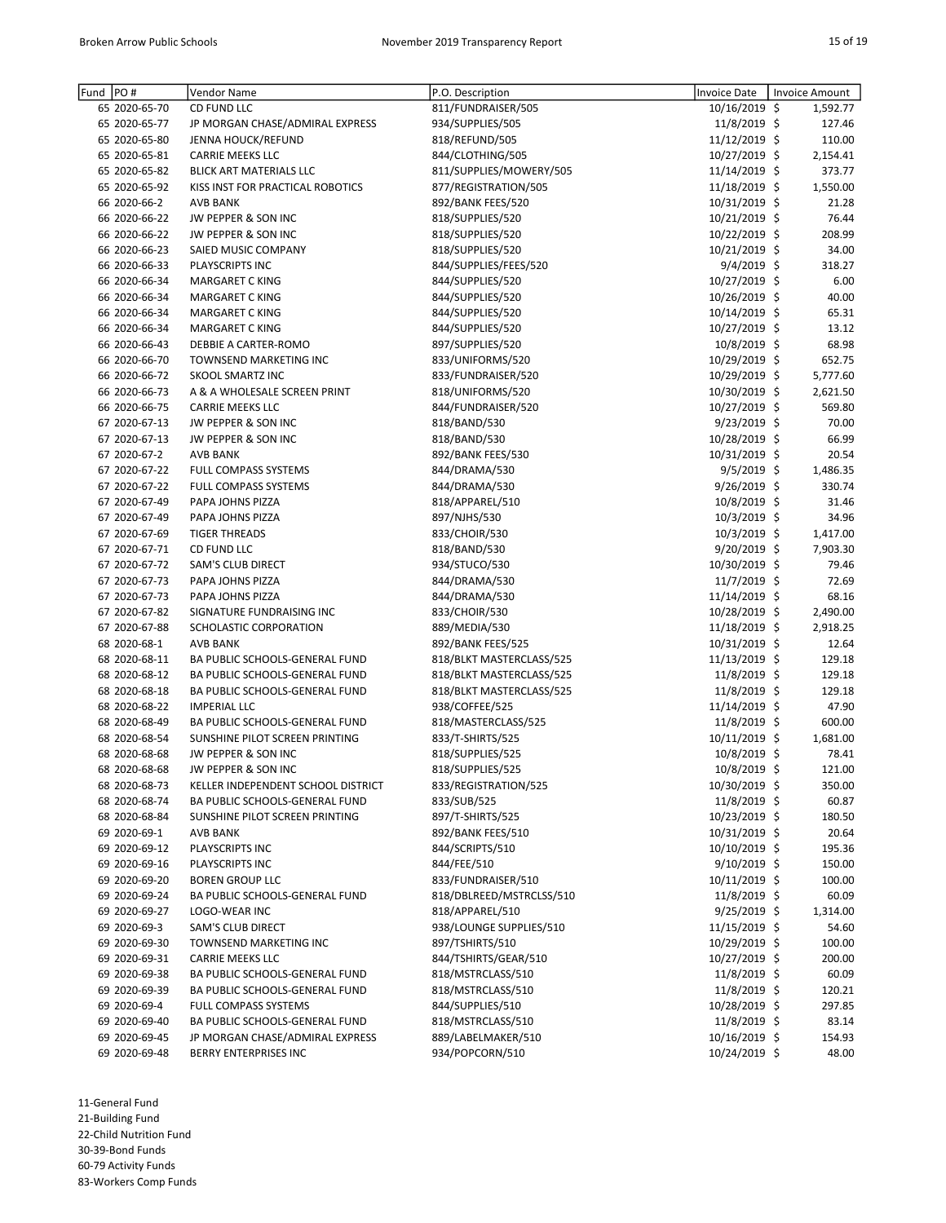| PO#<br>Fund   | Vendor Name                        | P.O. Description         | Invoice Date   | Invoice Amount |
|---------------|------------------------------------|--------------------------|----------------|----------------|
| 65 2020-65-70 | CD FUND LLC                        | 811/FUNDRAISER/505       | 10/16/2019 \$  | 1,592.77       |
| 65 2020-65-77 | JP MORGAN CHASE/ADMIRAL EXPRESS    | 934/SUPPLIES/505         | 11/8/2019 \$   | 127.46         |
| 65 2020-65-80 | JENNA HOUCK/REFUND                 | 818/REFUND/505           | 11/12/2019 \$  | 110.00         |
| 65 2020-65-81 | <b>CARRIE MEEKS LLC</b>            | 844/CLOTHING/505         | 10/27/2019 \$  | 2,154.41       |
| 65 2020-65-82 | BLICK ART MATERIALS LLC            | 811/SUPPLIES/MOWERY/505  | 11/14/2019 \$  | 373.77         |
| 65 2020-65-92 | KISS INST FOR PRACTICAL ROBOTICS   | 877/REGISTRATION/505     | 11/18/2019 \$  | 1,550.00       |
| 66 2020-66-2  | <b>AVB BANK</b>                    | 892/BANK FEES/520        | 10/31/2019 \$  | 21.28          |
| 66 2020-66-22 | JW PEPPER & SON INC                | 818/SUPPLIES/520         | 10/21/2019 \$  | 76.44          |
| 66 2020-66-22 | JW PEPPER & SON INC                | 818/SUPPLIES/520         | 10/22/2019 \$  | 208.99         |
| 66 2020-66-23 | SAIED MUSIC COMPANY                | 818/SUPPLIES/520         | 10/21/2019 \$  | 34.00          |
| 66 2020-66-33 | PLAYSCRIPTS INC                    | 844/SUPPLIES/FEES/520    | $9/4/2019$ \$  | 318.27         |
| 66 2020-66-34 | <b>MARGARET C KING</b>             | 844/SUPPLIES/520         | 10/27/2019 \$  | 6.00           |
| 66 2020-66-34 | <b>MARGARET C KING</b>             | 844/SUPPLIES/520         | 10/26/2019 \$  | 40.00          |
| 66 2020-66-34 | <b>MARGARET C KING</b>             | 844/SUPPLIES/520         | 10/14/2019 \$  | 65.31          |
| 66 2020-66-34 | <b>MARGARET C KING</b>             | 844/SUPPLIES/520         | 10/27/2019 \$  | 13.12          |
| 66 2020-66-43 | DEBBIE A CARTER-ROMO               | 897/SUPPLIES/520         | 10/8/2019 \$   | 68.98          |
| 66 2020-66-70 | TOWNSEND MARKETING INC             | 833/UNIFORMS/520         | 10/29/2019 \$  | 652.75         |
| 66 2020-66-72 | <b>SKOOL SMARTZ INC</b>            | 833/FUNDRAISER/520       | 10/29/2019 \$  | 5,777.60       |
| 66 2020-66-73 | A & A WHOLESALE SCREEN PRINT       | 818/UNIFORMS/520         | 10/30/2019 \$  | 2,621.50       |
| 66 2020-66-75 | <b>CARRIE MEEKS LLC</b>            | 844/FUNDRAISER/520       | 10/27/2019 \$  | 569.80         |
| 67 2020-67-13 | JW PEPPER & SON INC                | 818/BAND/530             | $9/23/2019$ \$ | 70.00          |
| 67 2020-67-13 | JW PEPPER & SON INC                | 818/BAND/530             | 10/28/2019 \$  | 66.99          |
| 67 2020-67-2  | <b>AVB BANK</b>                    | 892/BANK FEES/530        | 10/31/2019 \$  | 20.54          |
| 67 2020-67-22 | FULL COMPASS SYSTEMS               | 844/DRAMA/530            | $9/5/2019$ \$  | 1,486.35       |
| 67 2020-67-22 | FULL COMPASS SYSTEMS               | 844/DRAMA/530            | 9/26/2019 \$   | 330.74         |
| 67 2020-67-49 | PAPA JOHNS PIZZA                   | 818/APPAREL/510          | 10/8/2019 \$   | 31.46          |
| 67 2020-67-49 | PAPA JOHNS PIZZA                   | 897/NJHS/530             | 10/3/2019 \$   | 34.96          |
| 67 2020-67-69 | <b>TIGER THREADS</b>               | 833/CHOIR/530            | 10/3/2019 \$   | 1,417.00       |
| 67 2020-67-71 | CD FUND LLC                        | 818/BAND/530             | $9/20/2019$ \$ | 7,903.30       |
| 67 2020-67-72 | SAM'S CLUB DIRECT                  | 934/STUCO/530            | 10/30/2019 \$  | 79.46          |
| 67 2020-67-73 | PAPA JOHNS PIZZA                   | 844/DRAMA/530            | 11/7/2019 \$   | 72.69          |
| 67 2020-67-73 | PAPA JOHNS PIZZA                   | 844/DRAMA/530            | 11/14/2019 \$  | 68.16          |
| 67 2020-67-82 | SIGNATURE FUNDRAISING INC          | 833/CHOIR/530            | 10/28/2019 \$  | 2,490.00       |
| 67 2020-67-88 | SCHOLASTIC CORPORATION             | 889/MEDIA/530            | 11/18/2019 \$  | 2,918.25       |
| 68 2020-68-1  | <b>AVB BANK</b>                    | 892/BANK FEES/525        | 10/31/2019 \$  | 12.64          |
| 68 2020-68-11 | BA PUBLIC SCHOOLS-GENERAL FUND     | 818/BLKT MASTERCLASS/525 | 11/13/2019 \$  | 129.18         |
| 68 2020-68-12 | BA PUBLIC SCHOOLS-GENERAL FUND     | 818/BLKT MASTERCLASS/525 | 11/8/2019 \$   | 129.18         |
| 68 2020-68-18 | BA PUBLIC SCHOOLS-GENERAL FUND     | 818/BLKT MASTERCLASS/525 | 11/8/2019 \$   | 129.18         |
| 68 2020-68-22 | <b>IMPERIAL LLC</b>                | 938/COFFEE/525           | 11/14/2019 \$  | 47.90          |
| 68 2020-68-49 | BA PUBLIC SCHOOLS-GENERAL FUND     | 818/MASTERCLASS/525      | 11/8/2019 \$   | 600.00         |
| 68 2020-68-54 | SUNSHINE PILOT SCREEN PRINTING     | 833/T-SHIRTS/525         | 10/11/2019 \$  | 1,681.00       |
| 68 2020-68-68 | JW PEPPER & SON INC                | 818/SUPPLIES/525         | 10/8/2019 \$   | 78.41          |
| 68 2020-68-68 | JW PEPPER & SON INC                | 818/SUPPLIES/525         | 10/8/2019 \$   | 121.00         |
| 68 2020-68-73 | KELLER INDEPENDENT SCHOOL DISTRICT | 833/REGISTRATION/525     | 10/30/2019 \$  | 350.00         |
| 68 2020-68-74 | BA PUBLIC SCHOOLS-GENERAL FUND     | 833/SUB/525              | 11/8/2019 \$   | 60.87          |
| 68 2020-68-84 | SUNSHINE PILOT SCREEN PRINTING     | 897/T-SHIRTS/525         | 10/23/2019 \$  | 180.50         |
| 69 2020-69-1  | AVB BANK                           | 892/BANK FEES/510        | 10/31/2019 \$  | 20.64          |
| 69 2020-69-12 | PLAYSCRIPTS INC                    | 844/SCRIPTS/510          | 10/10/2019 \$  | 195.36         |
| 69 2020-69-16 | PLAYSCRIPTS INC                    | 844/FEE/510              | $9/10/2019$ \$ | 150.00         |
| 69 2020-69-20 | <b>BOREN GROUP LLC</b>             | 833/FUNDRAISER/510       | 10/11/2019 \$  | 100.00         |
| 69 2020-69-24 | BA PUBLIC SCHOOLS-GENERAL FUND     | 818/DBLREED/MSTRCLSS/510 | 11/8/2019 \$   | 60.09          |
| 69 2020-69-27 | LOGO-WEAR INC                      | 818/APPAREL/510          | $9/25/2019$ \$ | 1,314.00       |
| 69 2020-69-3  | <b>SAM'S CLUB DIRECT</b>           | 938/LOUNGE SUPPLIES/510  | 11/15/2019 \$  | 54.60          |
| 69 2020-69-30 | TOWNSEND MARKETING INC             | 897/TSHIRTS/510          | 10/29/2019 \$  | 100.00         |
| 69 2020-69-31 | CARRIE MEEKS LLC                   | 844/TSHIRTS/GEAR/510     | 10/27/2019 \$  | 200.00         |
| 69 2020-69-38 | BA PUBLIC SCHOOLS-GENERAL FUND     | 818/MSTRCLASS/510        | 11/8/2019 \$   | 60.09          |
| 69 2020-69-39 | BA PUBLIC SCHOOLS-GENERAL FUND     | 818/MSTRCLASS/510        | 11/8/2019 \$   | 120.21         |
| 69 2020-69-4  | FULL COMPASS SYSTEMS               | 844/SUPPLIES/510         | 10/28/2019 \$  | 297.85         |
| 69 2020-69-40 | BA PUBLIC SCHOOLS-GENERAL FUND     | 818/MSTRCLASS/510        | 11/8/2019 \$   | 83.14          |
| 69 2020-69-45 | JP MORGAN CHASE/ADMIRAL EXPRESS    | 889/LABELMAKER/510       | 10/16/2019 \$  | 154.93         |
| 69 2020-69-48 | BERRY ENTERPRISES INC              | 934/POPCORN/510          | 10/24/2019 \$  | 48.00          |

21-Building Fund

22-Child Nutrition Fund

30-39-Bond Funds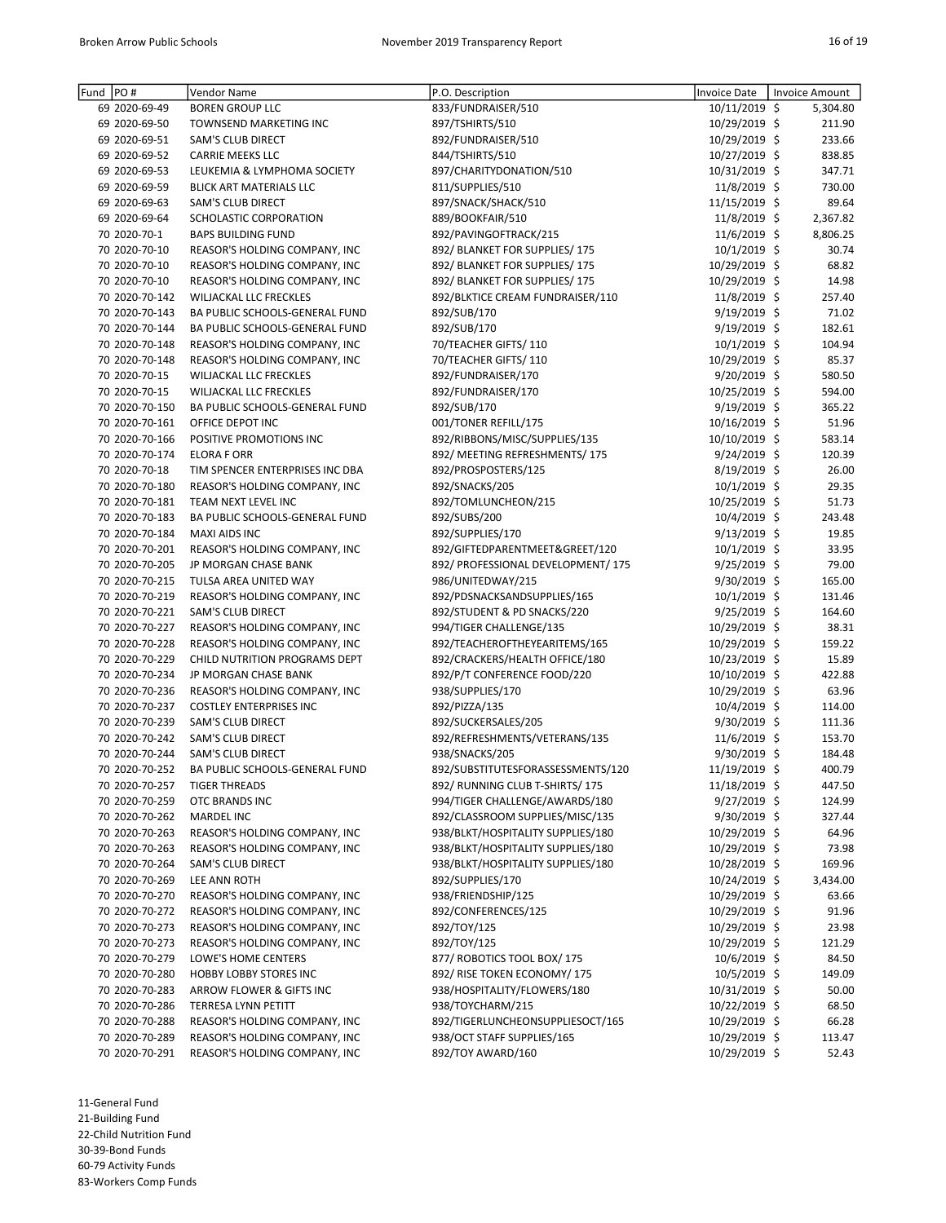| Fund PO# |                | Vendor Name                           | P.O. Description                   | <b>Invoice Date</b> | Invoice Amount |
|----------|----------------|---------------------------------------|------------------------------------|---------------------|----------------|
|          | 69 2020-69-49  | <b>BOREN GROUP LLC</b>                | 833/FUNDRAISER/510                 | 10/11/2019 \$       | 5,304.80       |
|          | 69 2020-69-50  | TOWNSEND MARKETING INC                | 897/TSHIRTS/510                    | 10/29/2019 \$       | 211.90         |
|          | 69 2020-69-51  | SAM'S CLUB DIRECT                     | 892/FUNDRAISER/510                 | 10/29/2019 \$       | 233.66         |
|          | 69 2020-69-52  | <b>CARRIE MEEKS LLC</b>               | 844/TSHIRTS/510                    | 10/27/2019 \$       | 838.85         |
|          | 69 2020-69-53  | LEUKEMIA & LYMPHOMA SOCIETY           | 897/CHARITYDONATION/510            | 10/31/2019 \$       | 347.71         |
|          | 69 2020-69-59  | <b>BLICK ART MATERIALS LLC</b>        | 811/SUPPLIES/510                   | $11/8/2019$ \$      | 730.00         |
|          | 69 2020-69-63  | <b>SAM'S CLUB DIRECT</b>              | 897/SNACK/SHACK/510                | 11/15/2019 \$       | 89.64          |
|          | 69 2020-69-64  | SCHOLASTIC CORPORATION                | 889/BOOKFAIR/510                   | 11/8/2019 \$        | 2,367.82       |
|          | 70 2020-70-1   | <b>BAPS BUILDING FUND</b>             | 892/PAVINGOFTRACK/215              | $11/6/2019$ \$      | 8,806.25       |
|          | 70 2020-70-10  | REASOR'S HOLDING COMPANY, INC         | 892/ BLANKET FOR SUPPLIES/ 175     | 10/1/2019 \$        | 30.74          |
|          | 70 2020-70-10  | REASOR'S HOLDING COMPANY, INC         | 892/ BLANKET FOR SUPPLIES/175      | 10/29/2019 \$       | 68.82          |
|          | 70 2020-70-10  | REASOR'S HOLDING COMPANY, INC         | 892/ BLANKET FOR SUPPLIES/175      | 10/29/2019 \$       | 14.98          |
|          | 70 2020-70-142 | WILJACKAL LLC FRECKLES                | 892/BLKTICE CREAM FUNDRAISER/110   | 11/8/2019 \$        | 257.40         |
|          | 70 2020-70-143 | BA PUBLIC SCHOOLS-GENERAL FUND        | 892/SUB/170                        | $9/19/2019$ \$      | 71.02          |
|          | 70 2020-70-144 | BA PUBLIC SCHOOLS-GENERAL FUND        | 892/SUB/170                        | $9/19/2019$ \$      | 182.61         |
|          | 70 2020-70-148 | REASOR'S HOLDING COMPANY, INC         | 70/TEACHER GIFTS/110               | $10/1/2019$ \$      | 104.94         |
|          | 70 2020-70-148 | REASOR'S HOLDING COMPANY, INC         | 70/TEACHER GIFTS/110               | 10/29/2019 \$       | 85.37          |
|          | 70 2020-70-15  | <b>WILJACKAL LLC FRECKLES</b>         | 892/FUNDRAISER/170                 | 9/20/2019 \$        | 580.50         |
|          | 70 2020-70-15  | <b>WILJACKAL LLC FRECKLES</b>         | 892/FUNDRAISER/170                 | 10/25/2019 \$       | 594.00         |
|          | 70 2020-70-150 | BA PUBLIC SCHOOLS-GENERAL FUND        | 892/SUB/170                        | 9/19/2019 \$        | 365.22         |
|          | 70 2020-70-161 | OFFICE DEPOT INC                      | 001/TONER REFILL/175               | 10/16/2019 \$       | 51.96          |
|          | 70 2020-70-166 | POSITIVE PROMOTIONS INC               | 892/RIBBONS/MISC/SUPPLIES/135      | 10/10/2019 \$       | 583.14         |
|          | 70 2020-70-174 | <b>ELORA F ORR</b>                    | 892/ MEETING REFRESHMENTS/175      | 9/24/2019 \$        | 120.39         |
|          | 70 2020-70-18  | TIM SPENCER ENTERPRISES INC DBA       | 892/PROSPOSTERS/125                | $8/19/2019$ \$      | 26.00          |
|          | 70 2020-70-180 | REASOR'S HOLDING COMPANY, INC         | 892/SNACKS/205                     | $10/1/2019$ \$      | 29.35          |
|          | 70 2020-70-181 | TEAM NEXT LEVEL INC                   | 892/TOMLUNCHEON/215                | 10/25/2019 \$       | 51.73          |
|          | 70 2020-70-183 | BA PUBLIC SCHOOLS-GENERAL FUND        | 892/SUBS/200                       | 10/4/2019 \$        | 243.48         |
|          | 70 2020-70-184 | <b>MAXI AIDS INC</b>                  | 892/SUPPLIES/170                   | 9/13/2019 \$        | 19.85          |
|          | 70 2020-70-201 | REASOR'S HOLDING COMPANY, INC         | 892/GIFTEDPARENTMEET&GREET/120     | $10/1/2019$ \$      | 33.95          |
|          | 70 2020-70-205 | JP MORGAN CHASE BANK                  | 892/ PROFESSIONAL DEVELOPMENT/ 175 | $9/25/2019$ \$      | 79.00          |
|          | 70 2020-70-215 | TULSA AREA UNITED WAY                 | 986/UNITEDWAY/215                  | $9/30/2019$ \$      | 165.00         |
|          | 70 2020-70-219 | REASOR'S HOLDING COMPANY, INC         | 892/PDSNACKSANDSUPPLIES/165        | $10/1/2019$ \$      | 131.46         |
|          | 70 2020-70-221 | <b>SAM'S CLUB DIRECT</b>              | 892/STUDENT & PD SNACKS/220        | $9/25/2019$ \$      | 164.60         |
|          | 70 2020-70-227 | REASOR'S HOLDING COMPANY, INC         | 994/TIGER CHALLENGE/135            | 10/29/2019 \$       | 38.31          |
|          | 70 2020-70-228 | REASOR'S HOLDING COMPANY, INC         | 892/TEACHEROFTHEYEARITEMS/165      | 10/29/2019 \$       | 159.22         |
|          | 70 2020-70-229 | CHILD NUTRITION PROGRAMS DEPT         | 892/CRACKERS/HEALTH OFFICE/180     | 10/23/2019 \$       | 15.89          |
|          | 70 2020-70-234 | JP MORGAN CHASE BANK                  | 892/P/T CONFERENCE FOOD/220        | 10/10/2019 \$       | 422.88         |
|          | 70 2020-70-236 | REASOR'S HOLDING COMPANY, INC         | 938/SUPPLIES/170                   | 10/29/2019 \$       | 63.96          |
|          | 70 2020-70-237 | <b>COSTLEY ENTERPRISES INC</b>        | 892/PIZZA/135                      | $10/4/2019$ \$      | 114.00         |
|          | 70 2020-70-239 | SAM'S CLUB DIRECT                     | 892/SUCKERSALES/205                | 9/30/2019 \$        | 111.36         |
|          | 70 2020-70-242 | SAM'S CLUB DIRECT                     | 892/REFRESHMENTS/VETERANS/135      | 11/6/2019 \$        | 153.70         |
|          | 70 2020-70-244 | <b>SAM'S CLUB DIRECT</b>              | 938/SNACKS/205                     | 9/30/2019 \$        | 184.48         |
|          | 70 2020-70-252 | <b>BA PUBLIC SCHOOLS-GENERAL FUND</b> | 892/SUBSTITUTESFORASSESSMENTS/120  | 11/19/2019 \$       | 400.79         |
|          | 70 2020-70-257 | <b>TIGER THREADS</b>                  | 892/ RUNNING CLUB T-SHIRTS/ 175    | 11/18/2019 \$       | 447.50         |
|          | 70 2020-70-259 | OTC BRANDS INC                        | 994/TIGER CHALLENGE/AWARDS/180     | 9/27/2019 \$        | 124.99         |
|          | 70 2020-70-262 | <b>MARDEL INC</b>                     | 892/CLASSROOM SUPPLIES/MISC/135    | $9/30/2019$ \$      | 327.44         |
|          | 70 2020-70-263 | REASOR'S HOLDING COMPANY, INC         | 938/BLKT/HOSPITALITY SUPPLIES/180  | 10/29/2019 \$       | 64.96          |
|          | 70 2020-70-263 | REASOR'S HOLDING COMPANY, INC         | 938/BLKT/HOSPITALITY SUPPLIES/180  | 10/29/2019 \$       | 73.98          |
|          | 70 2020-70-264 | SAM'S CLUB DIRECT                     | 938/BLKT/HOSPITALITY SUPPLIES/180  | 10/28/2019 \$       | 169.96         |
|          | 70 2020-70-269 | LEE ANN ROTH                          | 892/SUPPLIES/170                   | 10/24/2019 \$       | 3,434.00       |
|          | 70 2020-70-270 | REASOR'S HOLDING COMPANY, INC         | 938/FRIENDSHIP/125                 | 10/29/2019 \$       | 63.66          |
|          | 70 2020-70-272 | REASOR'S HOLDING COMPANY, INC         | 892/CONFERENCES/125                | 10/29/2019 \$       | 91.96          |
|          | 70 2020-70-273 | REASOR'S HOLDING COMPANY, INC         | 892/TOY/125                        | 10/29/2019 \$       | 23.98          |
|          | 70 2020-70-273 | REASOR'S HOLDING COMPANY, INC         | 892/TOY/125                        | 10/29/2019 \$       | 121.29         |
|          | 70 2020-70-279 | LOWE'S HOME CENTERS                   | 877/ ROBOTICS TOOL BOX/ 175        | 10/6/2019 \$        | 84.50          |
|          | 70 2020-70-280 | HOBBY LOBBY STORES INC                | 892/ RISE TOKEN ECONOMY/ 175       | $10/5/2019$ \$      | 149.09         |
|          | 70 2020-70-283 | ARROW FLOWER & GIFTS INC              | 938/HOSPITALITY/FLOWERS/180        | 10/31/2019 \$       | 50.00          |
|          | 70 2020-70-286 | TERRESA LYNN PETITT                   | 938/TOYCHARM/215                   | 10/22/2019 \$       | 68.50          |
|          | 70 2020-70-288 | REASOR'S HOLDING COMPANY, INC         | 892/TIGERLUNCHEONSUPPLIESOCT/165   | 10/29/2019 \$       | 66.28          |
|          | 70 2020-70-289 | REASOR'S HOLDING COMPANY, INC         | 938/OCT STAFF SUPPLIES/165         | 10/29/2019 \$       | 113.47         |
|          | 70 2020-70-291 | REASOR'S HOLDING COMPANY, INC         | 892/TOY AWARD/160                  | 10/29/2019 \$       | 52.43          |

21-Building Fund

22-Child Nutrition Fund

30-39-Bond Funds

60-79 Activity Funds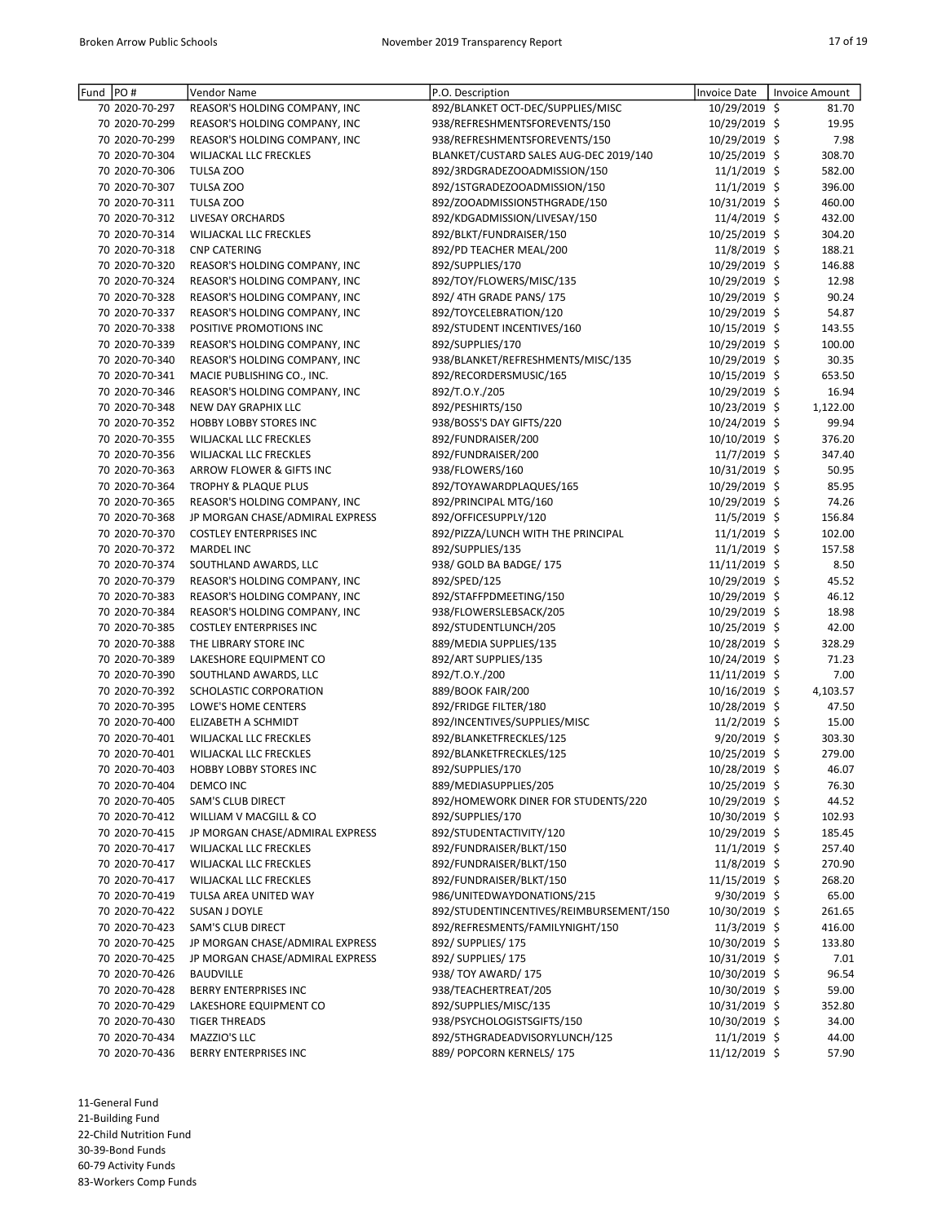| PO#<br>Fund    | Vendor Name                     | P.O. Description                        | <b>Invoice Date</b> | <b>Invoice Amount</b> |
|----------------|---------------------------------|-----------------------------------------|---------------------|-----------------------|
| 70 2020-70-297 | REASOR'S HOLDING COMPANY, INC   | 892/BLANKET OCT-DEC/SUPPLIES/MISC       | 10/29/2019 \$       | 81.70                 |
| 70 2020-70-299 | REASOR'S HOLDING COMPANY, INC   | 938/REFRESHMENTSFOREVENTS/150           | 10/29/2019 \$       | 19.95                 |
| 70 2020-70-299 | REASOR'S HOLDING COMPANY, INC   | 938/REFRESHMENTSFOREVENTS/150           | 10/29/2019 \$       | 7.98                  |
| 70 2020-70-304 | <b>WILJACKAL LLC FRECKLES</b>   | BLANKET/CUSTARD SALES AUG-DEC 2019/140  | 10/25/2019 \$       | 308.70                |
| 70 2020-70-306 | TULSA ZOO                       | 892/3RDGRADEZOOADMISSION/150            | $11/1/2019$ \$      | 582.00                |
| 70 2020-70-307 | TULSA ZOO                       | 892/1STGRADEZOOADMISSION/150            | 11/1/2019 \$        | 396.00                |
| 70 2020-70-311 | TULSA ZOO                       | 892/ZOOADMISSION5THGRADE/150            | 10/31/2019 \$       | 460.00                |
| 70 2020-70-312 | LIVESAY ORCHARDS                | 892/KDGADMISSION/LIVESAY/150            | 11/4/2019 \$        | 432.00                |
| 70 2020-70-314 | WILJACKAL LLC FRECKLES          | 892/BLKT/FUNDRAISER/150                 | 10/25/2019 \$       | 304.20                |
| 70 2020-70-318 | <b>CNP CATERING</b>             | 892/PD TEACHER MEAL/200                 | 11/8/2019 \$        | 188.21                |
| 70 2020-70-320 | REASOR'S HOLDING COMPANY, INC   | 892/SUPPLIES/170                        | 10/29/2019 \$       | 146.88                |
| 70 2020-70-324 | REASOR'S HOLDING COMPANY, INC   | 892/TOY/FLOWERS/MISC/135                | 10/29/2019 \$       | 12.98                 |
| 70 2020-70-328 | REASOR'S HOLDING COMPANY, INC   | 892/4TH GRADE PANS/175                  | 10/29/2019 \$       | 90.24                 |
| 70 2020-70-337 | REASOR'S HOLDING COMPANY, INC   | 892/TOYCELEBRATION/120                  | 10/29/2019 \$       | 54.87                 |
| 70 2020-70-338 | POSITIVE PROMOTIONS INC         | 892/STUDENT INCENTIVES/160              | 10/15/2019 \$       | 143.55                |
| 70 2020-70-339 | REASOR'S HOLDING COMPANY, INC   | 892/SUPPLIES/170                        | 10/29/2019 \$       | 100.00                |
| 70 2020-70-340 | REASOR'S HOLDING COMPANY, INC   | 938/BLANKET/REFRESHMENTS/MISC/135       | 10/29/2019 \$       | 30.35                 |
| 70 2020-70-341 | MACIE PUBLISHING CO., INC.      | 892/RECORDERSMUSIC/165                  | 10/15/2019 \$       | 653.50                |
| 70 2020-70-346 | REASOR'S HOLDING COMPANY, INC   | 892/T.O.Y./205                          | 10/29/2019 \$       | 16.94                 |
| 70 2020-70-348 | <b>NEW DAY GRAPHIX LLC</b>      | 892/PESHIRTS/150                        | 10/23/2019 \$       | 1,122.00              |
| 70 2020-70-352 | HOBBY LOBBY STORES INC          | 938/BOSS'S DAY GIFTS/220                | 10/24/2019 \$       | 99.94                 |
| 70 2020-70-355 | WILJACKAL LLC FRECKLES          | 892/FUNDRAISER/200                      | 10/10/2019 \$       | 376.20                |
| 70 2020-70-356 | <b>WILJACKAL LLC FRECKLES</b>   | 892/FUNDRAISER/200                      | 11/7/2019 \$        | 347.40                |
| 70 2020-70-363 | ARROW FLOWER & GIFTS INC        | 938/FLOWERS/160                         | 10/31/2019 \$       | 50.95                 |
| 70 2020-70-364 | <b>TROPHY &amp; PLAQUE PLUS</b> | 892/TOYAWARDPLAQUES/165                 | 10/29/2019 \$       | 85.95                 |
| 70 2020-70-365 | REASOR'S HOLDING COMPANY, INC   | 892/PRINCIPAL MTG/160                   | 10/29/2019 \$       | 74.26                 |
| 70 2020-70-368 | JP MORGAN CHASE/ADMIRAL EXPRESS | 892/OFFICESUPPLY/120                    | 11/5/2019 \$        | 156.84                |
| 70 2020-70-370 | <b>COSTLEY ENTERPRISES INC</b>  | 892/PIZZA/LUNCH WITH THE PRINCIPAL      | 11/1/2019 \$        | 102.00                |
| 70 2020-70-372 | <b>MARDEL INC</b>               | 892/SUPPLIES/135                        | 11/1/2019 \$        | 157.58                |
| 70 2020-70-374 | SOUTHLAND AWARDS, LLC           | 938/ GOLD BA BADGE/ 175                 | 11/11/2019 \$       | 8.50                  |
| 70 2020-70-379 | REASOR'S HOLDING COMPANY, INC   | 892/SPED/125                            | 10/29/2019 \$       | 45.52                 |
| 70 2020-70-383 | REASOR'S HOLDING COMPANY, INC   | 892/STAFFPDMEETING/150                  | 10/29/2019 \$       | 46.12                 |
| 70 2020-70-384 | REASOR'S HOLDING COMPANY, INC   | 938/FLOWERSLEBSACK/205                  | 10/29/2019 \$       | 18.98                 |
| 70 2020-70-385 | <b>COSTLEY ENTERPRISES INC</b>  | 892/STUDENTLUNCH/205                    | 10/25/2019 \$       | 42.00                 |
| 70 2020-70-388 | THE LIBRARY STORE INC           | 889/MEDIA SUPPLIES/135                  | 10/28/2019 \$       | 328.29                |
| 70 2020-70-389 | LAKESHORE EQUIPMENT CO          | 892/ART SUPPLIES/135                    | 10/24/2019 \$       | 71.23                 |
| 70 2020-70-390 | SOUTHLAND AWARDS, LLC           | 892/T.O.Y./200                          | 11/11/2019 \$       | 7.00                  |
| 70 2020-70-392 | SCHOLASTIC CORPORATION          | 889/BOOK FAIR/200                       | 10/16/2019 \$       | 4,103.57              |
| 70 2020-70-395 | LOWE'S HOME CENTERS             | 892/FRIDGE FILTER/180                   | 10/28/2019 \$       | 47.50                 |
| 70 2020-70-400 | ELIZABETH A SCHMIDT             | 892/INCENTIVES/SUPPLIES/MISC            | $11/2/2019$ \$      | 15.00                 |
| 70 2020-70-401 | <b>WILJACKAL LLC FRECKLES</b>   | 892/BLANKETFRECKLES/125                 | 9/20/2019 \$        | 303.30                |
| 70 2020-70-401 | <b>WILJACKAL LLC FRECKLES</b>   | 892/BLANKETFRECKLES/125                 | 10/25/2019 \$       | 279.00                |
| 70 2020-70-403 | HOBBY LOBBY STORES INC          | 892/SUPPLIES/170                        | 10/28/2019 \$       | 46.07                 |
| 70 2020-70-404 | DEMCO INC                       | 889/MEDIASUPPLIES/205                   | 10/25/2019 \$       | 76.30                 |
| 70 2020-70-405 | SAM'S CLUB DIRECT               | 892/HOMEWORK DINER FOR STUDENTS/220     | 10/29/2019 \$       | 44.52                 |
| 70 2020-70-412 | WILLIAM V MACGILL & CO          | 892/SUPPLIES/170                        | 10/30/2019 \$       | 102.93                |
| 70 2020-70-415 | JP MORGAN CHASE/ADMIRAL EXPRESS | 892/STUDENTACTIVITY/120                 | 10/29/2019 \$       | 185.45                |
| 70 2020-70-417 | <b>WILJACKAL LLC FRECKLES</b>   | 892/FUNDRAISER/BLKT/150                 | $11/1/2019$ \$      | 257.40                |
| 70 2020-70-417 | WILJACKAL LLC FRECKLES          | 892/FUNDRAISER/BLKT/150                 | 11/8/2019 \$        | 270.90                |
| 70 2020-70-417 | WILJACKAL LLC FRECKLES          | 892/FUNDRAISER/BLKT/150                 | 11/15/2019 \$       | 268.20                |
| 70 2020-70-419 | TULSA AREA UNITED WAY           | 986/UNITEDWAYDONATIONS/215              | $9/30/2019$ \$      | 65.00                 |
| 70 2020-70-422 | SUSAN J DOYLE                   | 892/STUDENTINCENTIVES/REIMBURSEMENT/150 | 10/30/2019 \$       | 261.65                |
| 70 2020-70-423 | SAM'S CLUB DIRECT               | 892/REFRESMENTS/FAMILYNIGHT/150         | $11/3/2019$ \$      | 416.00                |
| 70 2020-70-425 | JP MORGAN CHASE/ADMIRAL EXPRESS | 892/ SUPPLIES/ 175                      | 10/30/2019 \$       | 133.80                |
| 70 2020-70-425 | JP MORGAN CHASE/ADMIRAL EXPRESS | 892/ SUPPLIES/ 175                      | 10/31/2019 \$       | 7.01                  |
| 70 2020-70-426 | <b>BAUDVILLE</b>                | 938/TOY AWARD/175                       | 10/30/2019 \$       | 96.54                 |
| 70 2020-70-428 | <b>BERRY ENTERPRISES INC</b>    | 938/TEACHERTREAT/205                    | 10/30/2019 \$       | 59.00                 |
| 70 2020-70-429 | LAKESHORE EQUIPMENT CO          | 892/SUPPLIES/MISC/135                   | 10/31/2019 \$       | 352.80                |
| 70 2020-70-430 | <b>TIGER THREADS</b>            | 938/PSYCHOLOGISTSGIFTS/150              | 10/30/2019 \$       | 34.00                 |
| 70 2020-70-434 | MAZZIO'S LLC                    | 892/5THGRADEADVISORYLUNCH/125           | $11/1/2019$ \$      | 44.00                 |
| 70 2020-70-436 | BERRY ENTERPRISES INC           | 889/ POPCORN KERNELS/175                | 11/12/2019 \$       | 57.90                 |

11-General Fund 21-Building Fund 22-Child Nutrition Fund 30-39-Bond Funds

60-79 Activity Funds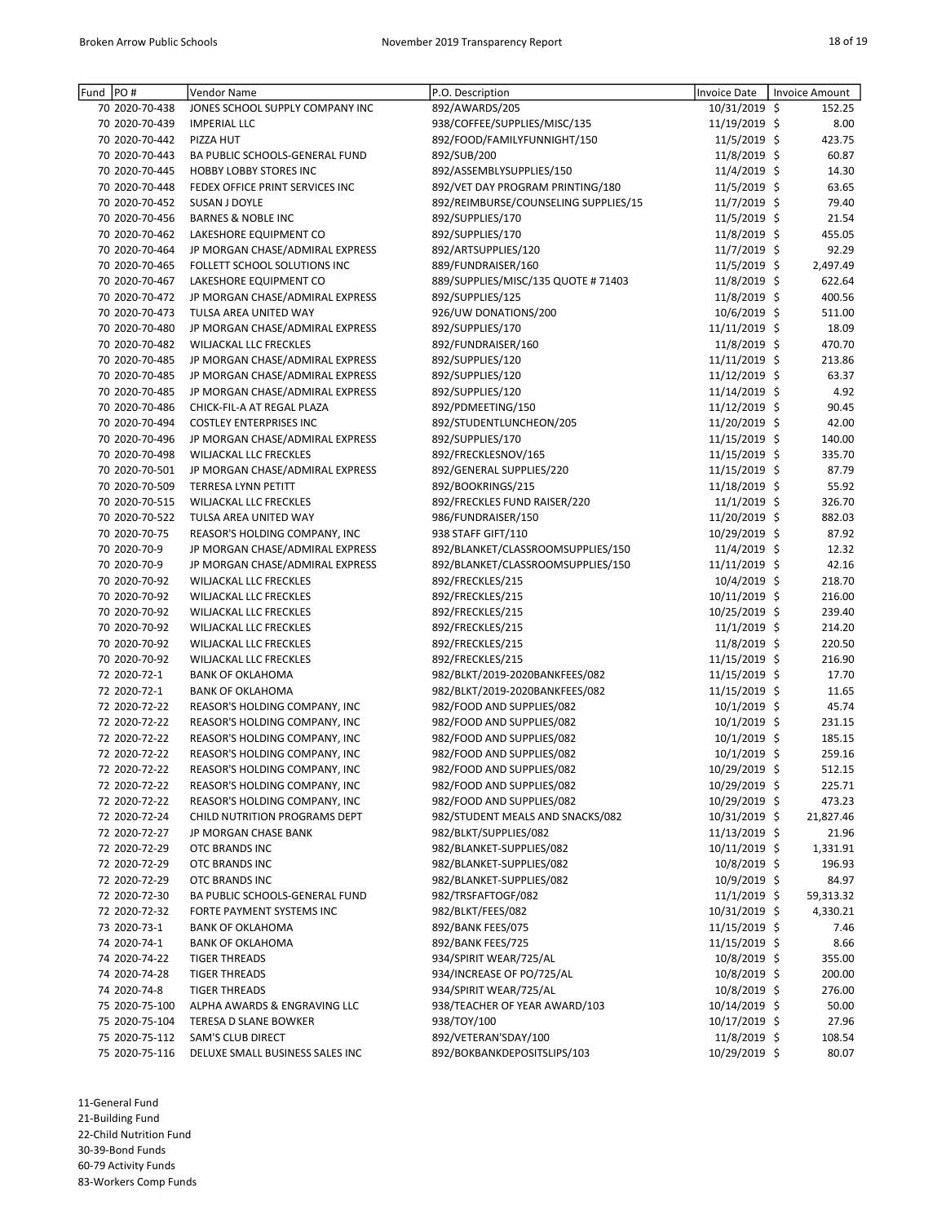| Fund PO#                       | Vendor Name                                           | P.O. Description                     | Invoice Date   | Invoice Amount |
|--------------------------------|-------------------------------------------------------|--------------------------------------|----------------|----------------|
| 70 2020-70-438                 | JONES SCHOOL SUPPLY COMPANY INC                       | 892/AWARDS/205                       | 10/31/2019 \$  | 152.25         |
| 70 2020-70-439                 | <b>IMPERIAL LLC</b>                                   | 938/COFFEE/SUPPLIES/MISC/135         | 11/19/2019 \$  | 8.00           |
| 70 2020-70-442                 | PIZZA HUT                                             | 892/FOOD/FAMILYFUNNIGHT/150          | 11/5/2019 \$   | 423.75         |
| 70 2020-70-443                 | BA PUBLIC SCHOOLS-GENERAL FUND                        | 892/SUB/200                          | 11/8/2019 \$   | 60.87          |
| 70 2020-70-445                 | <b>HOBBY LOBBY STORES INC</b>                         | 892/ASSEMBLYSUPPLIES/150             | 11/4/2019 \$   | 14.30          |
| 70 2020-70-448                 | FEDEX OFFICE PRINT SERVICES INC                       | 892/VET DAY PROGRAM PRINTING/180     | 11/5/2019 \$   | 63.65          |
| 70 2020-70-452                 | SUSAN J DOYLE                                         | 892/REIMBURSE/COUNSELING SUPPLIES/15 | 11/7/2019 \$   | 79.40          |
| 70 2020-70-456                 | <b>BARNES &amp; NOBLE INC</b>                         | 892/SUPPLIES/170                     | 11/5/2019 \$   | 21.54          |
| 70 2020-70-462                 | LAKESHORE EQUIPMENT CO                                | 892/SUPPLIES/170                     | 11/8/2019 \$   | 455.05         |
| 70 2020-70-464                 | JP MORGAN CHASE/ADMIRAL EXPRESS                       | 892/ARTSUPPLIES/120                  | 11/7/2019 \$   | 92.29          |
| 70 2020-70-465                 | FOLLETT SCHOOL SOLUTIONS INC                          | 889/FUNDRAISER/160                   | 11/5/2019 \$   | 2,497.49       |
| 70 2020-70-467                 | LAKESHORE EQUIPMENT CO                                | 889/SUPPLIES/MISC/135 QUOTE # 71403  | 11/8/2019 \$   | 622.64         |
| 70 2020-70-472                 | JP MORGAN CHASE/ADMIRAL EXPRESS                       | 892/SUPPLIES/125                     | 11/8/2019 \$   | 400.56         |
| 70 2020-70-473                 | TULSA AREA UNITED WAY                                 | 926/UW DONATIONS/200                 | 10/6/2019 \$   | 511.00         |
| 70 2020-70-480                 | JP MORGAN CHASE/ADMIRAL EXPRESS                       | 892/SUPPLIES/170                     | 11/11/2019 \$  | 18.09          |
| 70 2020-70-482                 | WILJACKAL LLC FRECKLES                                | 892/FUNDRAISER/160                   | 11/8/2019 \$   | 470.70         |
| 70 2020-70-485                 | JP MORGAN CHASE/ADMIRAL EXPRESS                       | 892/SUPPLIES/120                     | 11/11/2019 \$  | 213.86         |
| 70 2020-70-485                 | JP MORGAN CHASE/ADMIRAL EXPRESS                       | 892/SUPPLIES/120                     | 11/12/2019 \$  | 63.37          |
| 70 2020-70-485                 | JP MORGAN CHASE/ADMIRAL EXPRESS                       | 892/SUPPLIES/120                     | 11/14/2019 \$  | 4.92           |
| 70 2020-70-486                 | CHICK-FIL-A AT REGAL PLAZA                            | 892/PDMEETING/150                    | 11/12/2019 \$  | 90.45          |
| 70 2020-70-494                 | <b>COSTLEY ENTERPRISES INC</b>                        | 892/STUDENTLUNCHEON/205              | 11/20/2019 \$  | 42.00          |
| 70 2020-70-496                 | JP MORGAN CHASE/ADMIRAL EXPRESS                       | 892/SUPPLIES/170                     | 11/15/2019 \$  | 140.00         |
| 70 2020-70-498                 | WILJACKAL LLC FRECKLES                                | 892/FRECKLESNOV/165                  | 11/15/2019 \$  | 335.70         |
| 70 2020-70-501                 | JP MORGAN CHASE/ADMIRAL EXPRESS                       | 892/GENERAL SUPPLIES/220             | 11/15/2019 \$  | 87.79          |
| 70 2020-70-509                 | TERRESA LYNN PETITT                                   | 892/BOOKRINGS/215                    | 11/18/2019 \$  | 55.92          |
| 70 2020-70-515                 | WILJACKAL LLC FRECKLES                                | 892/FRECKLES FUND RAISER/220         | $11/1/2019$ \$ | 326.70         |
| 70 2020-70-522                 | TULSA AREA UNITED WAY                                 | 986/FUNDRAISER/150                   | 11/20/2019 \$  | 882.03         |
| 70 2020-70-75                  | REASOR'S HOLDING COMPANY, INC                         | 938 STAFF GIFT/110                   | 10/29/2019 \$  | 87.92          |
| 70 2020-70-9                   | JP MORGAN CHASE/ADMIRAL EXPRESS                       | 892/BLANKET/CLASSROOMSUPPLIES/150    | $11/4/2019$ \$ | 12.32          |
| 70 2020-70-9                   | JP MORGAN CHASE/ADMIRAL EXPRESS                       | 892/BLANKET/CLASSROOMSUPPLIES/150    | 11/11/2019 \$  | 42.16          |
| 70 2020-70-92                  | WILJACKAL LLC FRECKLES                                | 892/FRECKLES/215                     | 10/4/2019 \$   | 218.70         |
| 70 2020-70-92                  | WILJACKAL LLC FRECKLES                                | 892/FRECKLES/215                     | 10/11/2019 \$  | 216.00         |
| 70 2020-70-92                  | WILJACKAL LLC FRECKLES                                | 892/FRECKLES/215                     | 10/25/2019 \$  | 239.40         |
| 70 2020-70-92                  | WILJACKAL LLC FRECKLES                                | 892/FRECKLES/215                     | $11/1/2019$ \$ | 214.20         |
| 70 2020-70-92                  | WILJACKAL LLC FRECKLES                                | 892/FRECKLES/215                     | 11/8/2019 \$   | 220.50         |
| 70 2020-70-92                  | WILJACKAL LLC FRECKLES                                | 892/FRECKLES/215                     | 11/15/2019 \$  | 216.90         |
| 72 2020-72-1                   | <b>BANK OF OKLAHOMA</b>                               | 982/BLKT/2019-2020BANKFEES/082       | 11/15/2019 \$  | 17.70          |
| 72 2020-72-1                   | <b>BANK OF OKLAHOMA</b>                               | 982/BLKT/2019-2020BANKFEES/082       | 11/15/2019 \$  | 11.65          |
| 72 2020-72-22                  | REASOR'S HOLDING COMPANY, INC                         | 982/FOOD AND SUPPLIES/082            | $10/1/2019$ \$ | 45.74          |
| 72 2020-72-22                  | REASOR'S HOLDING COMPANY, INC                         | 982/FOOD AND SUPPLIES/082            | $10/1/2019$ \$ | 231.15         |
| 72 2020-72-22                  | REASOR'S HOLDING COMPANY, INC                         | 982/FOOD AND SUPPLIES/082            | 10/1/2019 \$   | 185.15         |
| 72 2020-72-22                  | REASOR'S HOLDING COMPANY, INC                         | 982/FOOD AND SUPPLIES/082            | $10/1/2019$ \$ | 259.16         |
| 72 2020-72-22                  | REASOR'S HOLDING COMPANY, INC                         | 982/FOOD AND SUPPLIES/082            | 10/29/2019 \$  | 512.15         |
|                                | REASOR'S HOLDING COMPANY, INC                         | 982/FOOD AND SUPPLIES/082            | 10/29/2019 \$  | 225.71         |
| 72 2020-72-22<br>72 2020-72-22 | REASOR'S HOLDING COMPANY, INC                         | 982/FOOD AND SUPPLIES/082            | 10/29/2019 \$  | 473.23         |
|                                |                                                       | 982/STUDENT MEALS AND SNACKS/082     | 10/31/2019 \$  |                |
| 72 2020-72-24                  | CHILD NUTRITION PROGRAMS DEPT<br>JP MORGAN CHASE BANK | 982/BLKT/SUPPLIES/082                |                | 21,827.46      |
| 72 2020-72-27                  |                                                       |                                      | 11/13/2019 \$  | 21.96          |
| 72 2020-72-29                  | OTC BRANDS INC                                        | 982/BLANKET-SUPPLIES/082             | 10/11/2019 \$  | 1,331.91       |
| 72 2020-72-29<br>72 2020-72-29 | OTC BRANDS INC                                        | 982/BLANKET-SUPPLIES/082             | 10/8/2019 \$   | 196.93         |
|                                | OTC BRANDS INC                                        | 982/BLANKET-SUPPLIES/082             | $10/9/2019$ \$ | 84.97          |
| 72 2020-72-30                  | BA PUBLIC SCHOOLS-GENERAL FUND                        | 982/TRSFAFTOGF/082                   | $11/1/2019$ \$ | 59,313.32      |
| 72 2020-72-32                  | FORTE PAYMENT SYSTEMS INC                             | 982/BLKT/FEES/082                    | 10/31/2019 \$  | 4,330.21       |
| 73 2020-73-1                   | <b>BANK OF OKLAHOMA</b>                               | 892/BANK FEES/075                    | 11/15/2019 \$  | 7.46           |
| 74 2020-74-1                   | <b>BANK OF OKLAHOMA</b>                               | 892/BANK FEES/725                    | 11/15/2019 \$  | 8.66           |
| 74 2020-74-22                  | <b>TIGER THREADS</b>                                  | 934/SPIRIT WEAR/725/AL               | 10/8/2019 \$   | 355.00         |
| 74 2020-74-28                  | <b>TIGER THREADS</b>                                  | 934/INCREASE OF PO/725/AL            | 10/8/2019 \$   | 200.00         |
| 74 2020-74-8                   | <b>TIGER THREADS</b>                                  | 934/SPIRIT WEAR/725/AL               | 10/8/2019 \$   | 276.00         |
| 75 2020-75-100                 | ALPHA AWARDS & ENGRAVING LLC                          | 938/TEACHER OF YEAR AWARD/103        | 10/14/2019 \$  | 50.00          |
| 75 2020-75-104                 | TERESA D SLANE BOWKER                                 | 938/TOY/100                          | 10/17/2019 \$  | 27.96          |
| 75 2020-75-112                 | SAM'S CLUB DIRECT                                     | 892/VETERAN'SDAY/100                 | $11/8/2019$ \$ | 108.54         |
| 75 2020-75-116                 | DELUXE SMALL BUSINESS SALES INC                       | 892/BOKBANKDEPOSITSLIPS/103          | 10/29/2019 \$  | 80.07          |

21-Building Fund

22-Child Nutrition Fund

30-39-Bond Funds